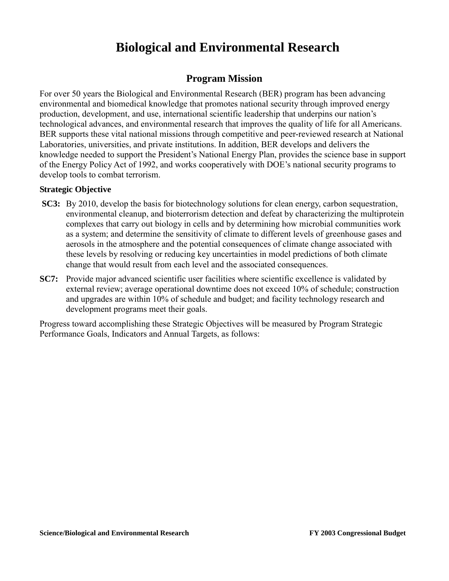# **Biological and Environmental Research**

## **Program Mission**

For over 50 years the Biological and Environmental Research (BER) program has been advancing environmental and biomedical knowledge that promotes national security through improved energy production, development, and use, international scientific leadership that underpins our nation's technological advances, and environmental research that improves the quality of life for all Americans. BER supports these vital national missions through competitive and peer-reviewed research at National Laboratories, universities, and private institutions. In addition, BER develops and delivers the knowledge needed to support the President's National Energy Plan, provides the science base in support of the Energy Policy Act of 1992, and works cooperatively with DOE's national security programs to develop tools to combat terrorism.

#### **Strategic Objective**

- **SC3:** By 2010, develop the basis for biotechnology solutions for clean energy, carbon sequestration, environmental cleanup, and bioterrorism detection and defeat by characterizing the multiprotein complexes that carry out biology in cells and by determining how microbial communities work as a system; and determine the sensitivity of climate to different levels of greenhouse gases and aerosols in the atmosphere and the potential consequences of climate change associated with these levels by resolving or reducing key uncertainties in model predictions of both climate change that would result from each level and the associated consequences.
- **SC7:** Provide major advanced scientific user facilities where scientific excellence is validated by external review; average operational downtime does not exceed 10% of schedule; construction and upgrades are within 10% of schedule and budget; and facility technology research and development programs meet their goals.

Progress toward accomplishing these Strategic Objectives will be measured by Program Strategic Performance Goals, Indicators and Annual Targets, as follows: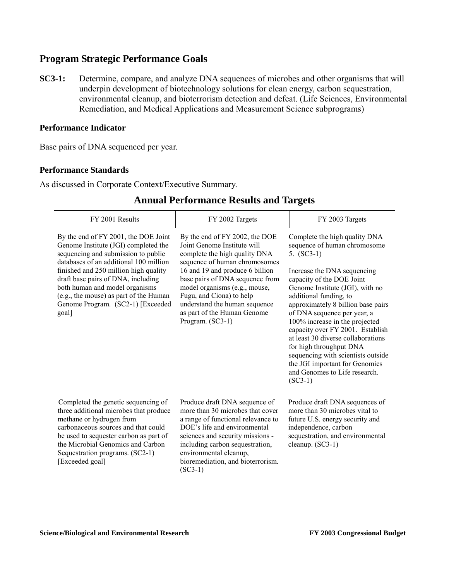### **Program Strategic Performance Goals**

**SC3-1:** Determine, compare, and analyze DNA sequences of microbes and other organisms that will underpin development of biotechnology solutions for clean energy, carbon sequestration, environmental cleanup, and bioterrorism detection and defeat. (Life Sciences, Environmental Remediation, and Medical Applications and Measurement Science subprograms)

#### **Performance Indicator**

Base pairs of DNA sequenced per year.

#### **Performance Standards**

As discussed in Corporate Context/Executive Summary.

| FY 2001 Results                                                                                                                                                                                                                                                                                                                                                        | FY 2002 Targets                                                                                                                                                                                                                                                                                                                                        | FY 2003 Targets                                                                                                                                                                                                                                                                                                                                                                                                                                                                                                                          |
|------------------------------------------------------------------------------------------------------------------------------------------------------------------------------------------------------------------------------------------------------------------------------------------------------------------------------------------------------------------------|--------------------------------------------------------------------------------------------------------------------------------------------------------------------------------------------------------------------------------------------------------------------------------------------------------------------------------------------------------|------------------------------------------------------------------------------------------------------------------------------------------------------------------------------------------------------------------------------------------------------------------------------------------------------------------------------------------------------------------------------------------------------------------------------------------------------------------------------------------------------------------------------------------|
| By the end of FY 2001, the DOE Joint<br>Genome Institute (JGI) completed the<br>sequencing and submission to public<br>databases of an additional 100 million<br>finished and 250 million high quality<br>draft base pairs of DNA, including<br>both human and model organisms<br>(e.g., the mouse) as part of the Human<br>Genome Program. (SC2-1) [Exceeded<br>goal] | By the end of FY 2002, the DOE<br>Joint Genome Institute will<br>complete the high quality DNA<br>sequence of human chromosomes<br>16 and 19 and produce 6 billion<br>base pairs of DNA sequence from<br>model organisms (e.g., mouse,<br>Fugu, and Ciona) to help<br>understand the human sequence<br>as part of the Human Genome<br>Program. (SC3-1) | Complete the high quality DNA<br>sequence of human chromosome<br>5. $(SC3-1)$<br>Increase the DNA sequencing<br>capacity of the DOE Joint<br>Genome Institute (JGI), with no<br>additional funding, to<br>approximately 8 billion base pairs<br>of DNA sequence per year, a<br>100% increase in the projected<br>capacity over FY 2001. Establish<br>at least 30 diverse collaborations<br>for high throughput DNA<br>sequencing with scientists outside<br>the JGI important for Genomics<br>and Genomes to Life research.<br>$(SC3-1)$ |
| Completed the genetic sequencing of<br>three additional microbes that produce<br>methane or hydrogen from<br>carbonaceous sources and that could<br>be used to sequester carbon as part of<br>the Microbial Genomics and Carbon<br>Sequestration programs. (SC2-1)<br>[Exceeded goal]                                                                                  | Produce draft DNA sequence of<br>more than 30 microbes that cover<br>a range of functional relevance to<br>DOE's life and environmental<br>sciences and security missions -<br>including carbon sequestration,<br>environmental cleanup,<br>bioremediation, and bioterrorism.<br>$(SC3-1)$                                                             | Produce draft DNA sequences of<br>more than 30 microbes vital to<br>future U.S. energy security and<br>independence, carbon<br>sequestration, and environmental<br>cleanup. $(SC3-1)$                                                                                                                                                                                                                                                                                                                                                    |

### **Annual Performance Results and Targets**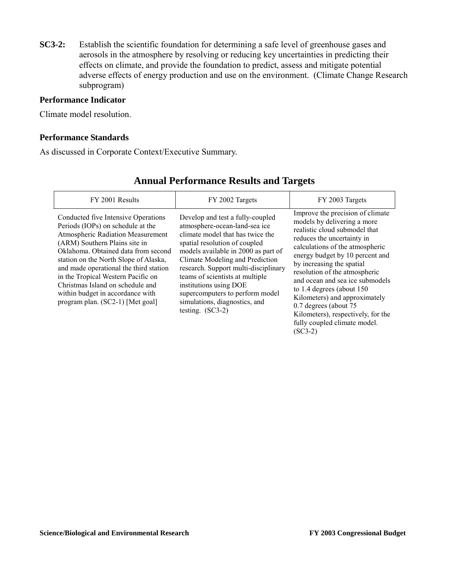**SC3-2:** Establish the scientific foundation for determining a safe level of greenhouse gases and aerosols in the atmosphere by resolving or reducing key uncertainties in predicting their effects on climate, and provide the foundation to predict, assess and mitigate potential adverse effects of energy production and use on the environment. (Climate Change Research subprogram)

#### **Performance Indicator**

Climate model resolution.

#### **Performance Standards**

As discussed in Corporate Context/Executive Summary.

| FY 2001 Results                                                                                                                                                                                                                                                                                                                                                                                                            | FY 2002 Targets                                                                                                                                                                                                                                                                                                                                                                                                 | FY 2003 Targets                                                                                                                                                                                                                                                                                                                                                                                                                                                                     |
|----------------------------------------------------------------------------------------------------------------------------------------------------------------------------------------------------------------------------------------------------------------------------------------------------------------------------------------------------------------------------------------------------------------------------|-----------------------------------------------------------------------------------------------------------------------------------------------------------------------------------------------------------------------------------------------------------------------------------------------------------------------------------------------------------------------------------------------------------------|-------------------------------------------------------------------------------------------------------------------------------------------------------------------------------------------------------------------------------------------------------------------------------------------------------------------------------------------------------------------------------------------------------------------------------------------------------------------------------------|
| Conducted five Intensive Operations<br>Periods (IOPs) on schedule at the<br>Atmospheric Radiation Measurement<br>(ARM) Southern Plains site in<br>Oklahoma. Obtained data from second<br>station on the North Slope of Alaska,<br>and made operational the third station<br>in the Tropical Western Pacific on<br>Christmas Island on schedule and<br>within budget in accordance with<br>program plan. (SC2-1) [Met goal] | Develop and test a fully-coupled<br>atmosphere-ocean-land-sea ice<br>climate model that has twice the<br>spatial resolution of coupled<br>models available in 2000 as part of<br>Climate Modeling and Prediction<br>research. Support multi-disciplinary<br>teams of scientists at multiple<br>institutions using DOE<br>supercomputers to perform model<br>simulations, diagnostics, and<br>testing. $(SC3-2)$ | Improve the precision of climate<br>models by delivering a more<br>realistic cloud submodel that<br>reduces the uncertainty in<br>calculations of the atmospheric<br>energy budget by 10 percent and<br>by increasing the spatial<br>resolution of the atmospheric<br>and ocean and sea ice submodels<br>to $1.4$ degrees (about $150$<br>Kilometers) and approximately<br>0.7 degrees (about 75<br>Kilometers), respectively, for the<br>fully coupled climate model.<br>$(SC3-2)$ |

## **Annual Performance Results and Targets**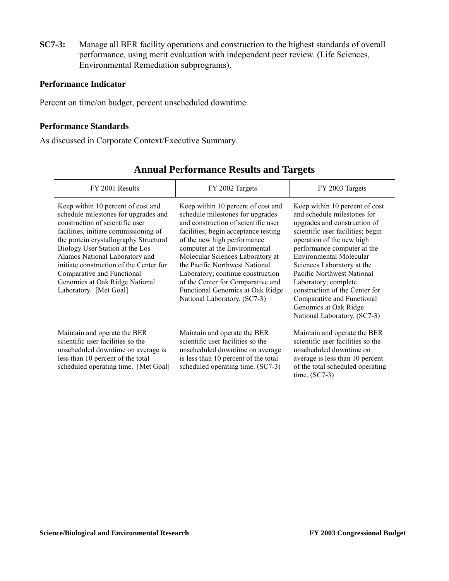**SC7-3:** Manage all BER facility operations and construction to the highest standards of overall performance, using merit evaluation with independent peer review. (Life Sciences, Environmental Remediation subprograms).

#### **Performance Indicator**

Percent on time/on budget, percent unscheduled downtime.

#### **Performance Standards**

As discussed in Corporate Context/Executive Summary.

| FY 2001 Results                                                                                                                                                                                                                                                                                                                                                                                            | FY 2002 Targets                                                                                                                                                                                                                                                                                                                                                                                                                           | FY 2003 Targets                                                                                                                                                                                                                                                                                                                                                                                                                        |
|------------------------------------------------------------------------------------------------------------------------------------------------------------------------------------------------------------------------------------------------------------------------------------------------------------------------------------------------------------------------------------------------------------|-------------------------------------------------------------------------------------------------------------------------------------------------------------------------------------------------------------------------------------------------------------------------------------------------------------------------------------------------------------------------------------------------------------------------------------------|----------------------------------------------------------------------------------------------------------------------------------------------------------------------------------------------------------------------------------------------------------------------------------------------------------------------------------------------------------------------------------------------------------------------------------------|
| Keep within 10 percent of cost and<br>schedule milestones for upgrades and<br>construction of scientific user<br>facilities, initiate commissioning of<br>the protein crystallography Structural<br>Biology User Station at the Los<br>Alamos National Laboratory and<br>initiate construction of the Center for<br>Comparative and Functional<br>Genomics at Oak Ridge National<br>Laboratory. [Met Goal] | Keep within 10 percent of cost and<br>schedule milestones for upgrades<br>and construction of scientific user<br>facilities; begin acceptance testing<br>of the new high performance<br>computer at the Environmental<br>Molecular Sciences Laboratory at<br>the Pacific Northwest National<br>Laboratory; continue construction<br>of the Center for Comparative and<br>Functional Genomics at Oak Ridge<br>National Laboratory. (SC7-3) | Keep within 10 percent of cost<br>and schedule milestones for<br>upgrades and construction of<br>scientific user facilities; begin<br>operation of the new high<br>performance computer at the<br>Environmental Molecular<br>Sciences Laboratory at the<br>Pacific Northwest National<br>Laboratory; complete<br>construction of the Center for<br>Comparative and Functional<br>Genomics at Oak Ridge<br>National Laboratory. (SC7-3) |
| Maintain and operate the BER<br>scientific user facilities so the<br>unscheduled downtime on average is<br>less than 10 percent of the total<br>scheduled operating time. [Met Goal]                                                                                                                                                                                                                       | Maintain and operate the BER<br>scientific user facilities so the<br>unscheduled downtime on average<br>is less than 10 percent of the total<br>scheduled operating time. (SC7-3)                                                                                                                                                                                                                                                         | Maintain and operate the BER<br>scientific user facilities so the<br>unscheduled downtime on<br>average is less than 10 percent<br>of the total scheduled operating<br>time. $(SC7-3)$                                                                                                                                                                                                                                                 |

## **Annual Performance Results and Targets**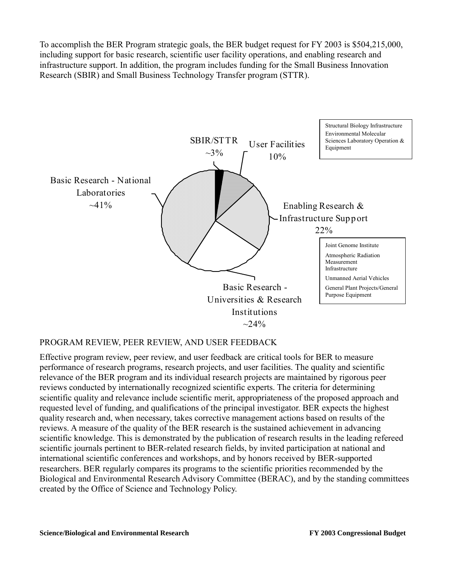To accomplish the BER Program strategic goals, the BER budget request for FY 2003 is \$504,215,000, including support for basic research, scientific user facility operations, and enabling research and infrastructure support. In addition, the program includes funding for the Small Business Innovation Research (SBIR) and Small Business Technology Transfer program (STTR).



#### PROGRAM REVIEW, PEER REVIEW, AND USER FEEDBACK

Effective program review, peer review, and user feedback are critical tools for BER to measure performance of research programs, research projects, and user facilities. The quality and scientific relevance of the BER program and its individual research projects are maintained by rigorous peer reviews conducted by internationally recognized scientific experts. The criteria for determining scientific quality and relevance include scientific merit, appropriateness of the proposed approach and requested level of funding, and qualifications of the principal investigator. BER expects the highest quality research and, when necessary, takes corrective management actions based on results of the reviews. A measure of the quality of the BER research is the sustained achievement in advancing scientific knowledge. This is demonstrated by the publication of research results in the leading refereed scientific journals pertinent to BER-related research fields, by invited participation at national and international scientific conferences and workshops, and by honors received by BER-supported researchers. BER regularly compares its programs to the scientific priorities recommended by the Biological and Environmental Research Advisory Committee (BERAC), and by the standing committees created by the Office of Science and Technology Policy.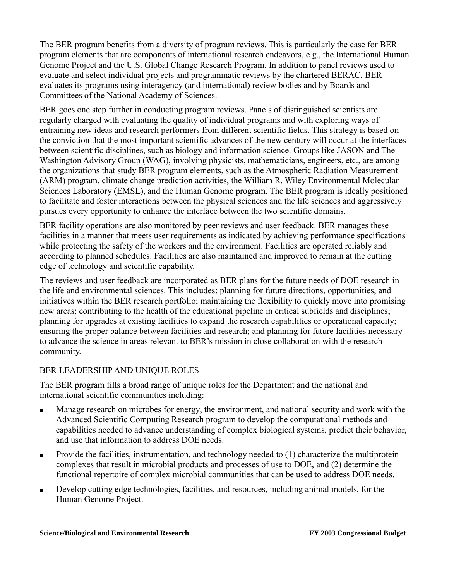The BER program benefits from a diversity of program reviews. This is particularly the case for BER program elements that are components of international research endeavors, e.g., the International Human Genome Project and the U.S. Global Change Research Program. In addition to panel reviews used to evaluate and select individual projects and programmatic reviews by the chartered BERAC, BER evaluates its programs using interagency (and international) review bodies and by Boards and Committees of the National Academy of Sciences.

BER goes one step further in conducting program reviews. Panels of distinguished scientists are regularly charged with evaluating the quality of individual programs and with exploring ways of entraining new ideas and research performers from different scientific fields. This strategy is based on the conviction that the most important scientific advances of the new century will occur at the interfaces between scientific disciplines, such as biology and information science. Groups like JASON and The Washington Advisory Group (WAG), involving physicists, mathematicians, engineers, etc., are among the organizations that study BER program elements, such as the Atmospheric Radiation Measurement (ARM) program, climate change prediction activities, the William R. Wiley Environmental Molecular Sciences Laboratory (EMSL), and the Human Genome program. The BER program is ideally positioned to facilitate and foster interactions between the physical sciences and the life sciences and aggressively pursues every opportunity to enhance the interface between the two scientific domains.

BER facility operations are also monitored by peer reviews and user feedback. BER manages these facilities in a manner that meets user requirements as indicated by achieving performance specifications while protecting the safety of the workers and the environment. Facilities are operated reliably and according to planned schedules. Facilities are also maintained and improved to remain at the cutting edge of technology and scientific capability.

The reviews and user feedback are incorporated as BER plans for the future needs of DOE research in the life and environmental sciences. This includes: planning for future directions, opportunities, and initiatives within the BER research portfolio; maintaining the flexibility to quickly move into promising new areas; contributing to the health of the educational pipeline in critical subfields and disciplines; planning for upgrades at existing facilities to expand the research capabilities or operational capacity; ensuring the proper balance between facilities and research; and planning for future facilities necessary to advance the science in areas relevant to BER's mission in close collaboration with the research community.

### BER LEADERSHIP AND UNIQUE ROLES

The BER program fills a broad range of unique roles for the Department and the national and international scientific communities including:

- Manage research on microbes for energy, the environment, and national security and work with the Advanced Scientific Computing Research program to develop the computational methods and capabilities needed to advance understanding of complex biological systems, predict their behavior, and use that information to address DOE needs.
- Provide the facilities, instrumentation, and technology needed to  $(1)$  characterize the multiprotein complexes that result in microbial products and processes of use to DOE, and (2) determine the functional repertoire of complex microbial communities that can be used to address DOE needs.
- Develop cutting edge technologies, facilities, and resources, including animal models, for the Human Genome Project.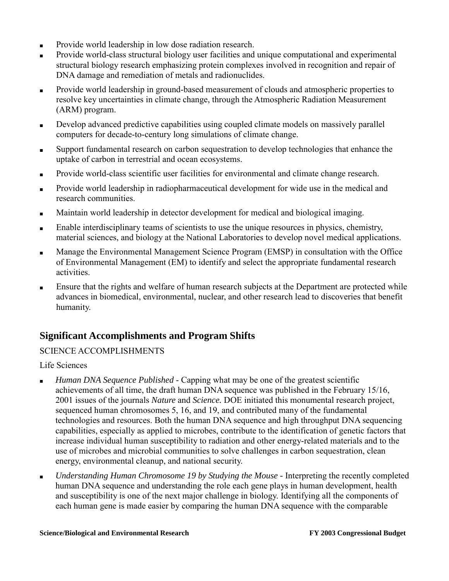- Provide world leadership in low dose radiation research.
- Provide world-class structural biology user facilities and unique computational and experimental structural biology research emphasizing protein complexes involved in recognition and repair of DNA damage and remediation of metals and radionuclides.
- Provide world leadership in ground-based measurement of clouds and atmospheric properties to resolve key uncertainties in climate change, through the Atmospheric Radiation Measurement (ARM) program.
- Develop advanced predictive capabilities using coupled climate models on massively parallel computers for decade-to-century long simulations of climate change.
- Support fundamental research on carbon sequestration to develop technologies that enhance the uptake of carbon in terrestrial and ocean ecosystems.
- Provide world-class scientific user facilities for environmental and climate change research.
- Provide world leadership in radiopharmaceutical development for wide use in the medical and research communities.
- Maintain world leadership in detector development for medical and biological imaging.
- Enable interdisciplinary teams of scientists to use the unique resources in physics, chemistry, material sciences, and biology at the National Laboratories to develop novel medical applications.
- Manage the Environmental Management Science Program (EMSP) in consultation with the Office of Environmental Management (EM) to identify and select the appropriate fundamental research activities.
- Ensure that the rights and welfare of human research subjects at the Department are protected while advances in biomedical, environmental, nuclear, and other research lead to discoveries that benefit humanity.

## **Significant Accomplishments and Program Shifts**

### SCIENCE ACCOMPLISHMENTS

Life Sciences

- Human DNA Sequence Published Capping what may be one of the greatest scientific achievements of all time, the draft human DNA sequence was published in the February 15/16, 2001 issues of the journals *Nature* and *Science.* DOE initiated this monumental research project, sequenced human chromosomes 5, 16, and 19, and contributed many of the fundamental technologies and resources. Both the human DNA sequence and high throughput DNA sequencing capabilities, especially as applied to microbes, contribute to the identification of genetic factors that increase individual human susceptibility to radiation and other energy-related materials and to the use of microbes and microbial communities to solve challenges in carbon sequestration, clean energy, environmental cleanup, and national security.
- *Understanding Human Chromosome 19 by Studying the Mouse* Interpreting the recently completed human DNA sequence and understanding the role each gene plays in human development, health and susceptibility is one of the next major challenge in biology. Identifying all the components of each human gene is made easier by comparing the human DNA sequence with the comparable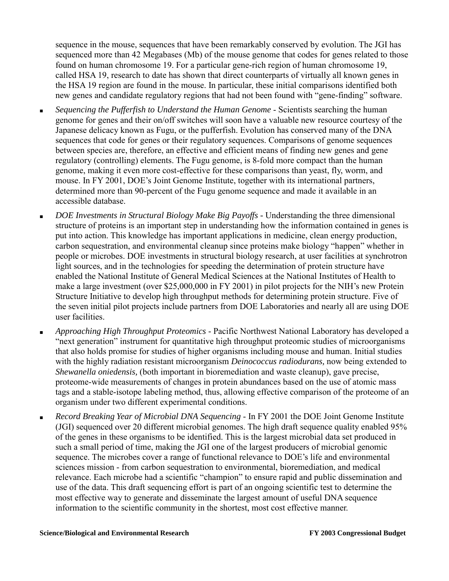sequence in the mouse, sequences that have been remarkably conserved by evolution. The JGI has sequenced more than 42 Megabases (Mb) of the mouse genome that codes for genes related to those found on human chromosome 19. For a particular gene-rich region of human chromosome 19, called HSA 19, research to date has shown that direct counterparts of virtually all known genes in the HSA 19 region are found in the mouse. In particular, these initial comparisons identified both new genes and candidate regulatory regions that had not been found with "gene-finding" software.

- Sequencing the Pufferfish to Understand the Human Genome Scientists searching the human genome for genes and their on/off switches will soon have a valuable new resource courtesy of the Japanese delicacy known as Fugu, or the pufferfish. Evolution has conserved many of the DNA sequences that code for genes or their regulatory sequences. Comparisons of genome sequences between species are, therefore, an effective and efficient means of finding new genes and gene regulatory (controlling) elements. The Fugu genome, is 8-fold more compact than the human genome, making it even more cost-effective for these comparisons than yeast, fly, worm, and mouse. In FY 2001, DOE's Joint Genome Institute, together with its international partners, determined more than 90-percent of the Fugu genome sequence and made it available in an accessible database.
- DOE Investments in Structural Biology Make Big Payoffs Understanding the three dimensional structure of proteins is an important step in understanding how the information contained in genes is put into action. This knowledge has important applications in medicine, clean energy production, carbon sequestration, and environmental cleanup since proteins make biology "happen" whether in people or microbes. DOE investments in structural biology research, at user facilities at synchrotron light sources, and in the technologies for speeding the determination of protein structure have enabled the National Institute of General Medical Sciences at the National Institutes of Health to make a large investment (over \$25,000,000 in FY 2001) in pilot projects for the NIH's new Protein Structure Initiative to develop high throughput methods for determining protein structure. Five of the seven initial pilot projects include partners from DOE Laboratories and nearly all are using DOE user facilities.
- *Approaching High Throughput Proteomics* Pacific Northwest National Laboratory has developed a "next generation" instrument for quantitative high throughput proteomic studies of microorganisms that also holds promise for studies of higher organisms including mouse and human. Initial studies with the highly radiation resistant microorganism *Deinococcus radiodurans,* now being extended to *Shewanella oniedensis,* (both important in bioremediation and waste cleanup), gave precise, proteome-wide measurements of changes in protein abundances based on the use of atomic mass tags and a stable-isotope labeling method, thus, allowing effective comparison of the proteome of an organism under two different experimental conditions.
- *Record Breaking Year of Microbial DNA Sequencing*  In FY 2001 the DOE Joint Genome Institute (JGI) sequenced over 20 different microbial genomes. The high draft sequence quality enabled 95% of the genes in these organisms to be identified. This is the largest microbial data set produced in such a small period of time, making the JGI one of the largest producers of microbial genomic sequence. The microbes cover a range of functional relevance to DOE's life and environmental sciences mission - from carbon sequestration to environmental, bioremediation, and medical relevance. Each microbe had a scientific "champion" to ensure rapid and public dissemination and use of the data. This draft sequencing effort is part of an ongoing scientific test to determine the most effective way to generate and disseminate the largest amount of useful DNA sequence information to the scientific community in the shortest, most cost effective manner.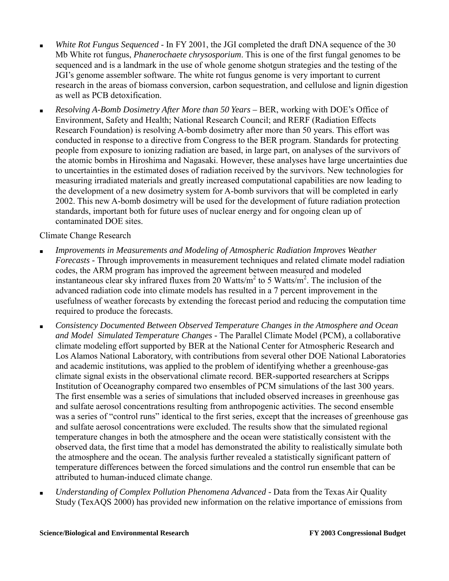- White Rot Fungus Sequenced In FY 2001, the JGI completed the draft DNA sequence of the 30 Mb White rot fungus, *Phanerochaete chrysosporium*. This is one of the first fungal genomes to be sequenced and is a landmark in the use of whole genome shotgun strategies and the testing of the JGI's genome assembler software. The white rot fungus genome is very important to current research in the areas of biomass conversion, carbon sequestration, and cellulose and lignin digestion as well as PCB detoxification.
- *Resolving A-Bomb Dosimetry After More than 50 Years –* BER, working with DOE's Office of Environment, Safety and Health; National Research Council; and RERF (Radiation Effects Research Foundation) is resolving A-bomb dosimetry after more than 50 years. This effort was conducted in response to a directive from Congress to the BER program. Standards for protecting people from exposure to ionizing radiation are based, in large part, on analyses of the survivors of the atomic bombs in Hiroshima and Nagasaki. However, these analyses have large uncertainties due to uncertainties in the estimated doses of radiation received by the survivors. New technologies for measuring irradiated materials and greatly increased computational capabilities are now leading to the development of a new dosimetry system for A-bomb survivors that will be completed in early 2002. This new A-bomb dosimetry will be used for the development of future radiation protection standards, important both for future uses of nuclear energy and for ongoing clean up of contaminated DOE sites.

Climate Change Research

- Improvements in Measurements and Modeling of Atmospheric Radiation Improves Weather *Forecasts -* Through improvements in measurement techniques and related climate model radiation codes, the ARM program has improved the agreement between measured and modeled instantaneous clear sky infrared fluxes from  $20 \text{ Watts/m}^2$  to 5 Watts/m<sup>2</sup>. The inclusion of the advanced radiation code into climate models has resulted in a 7 percent improvement in the usefulness of weather forecasts by extending the forecast period and reducing the computation time required to produce the forecasts.
- *Consistency Documented Between Observed Temperature Changes in the Atmosphere and Ocean and Model Simulated Temperature Changes -* The Parallel Climate Model (PCM), a collaborative climate modeling effort supported by BER at the National Center for Atmospheric Research and Los Alamos National Laboratory, with contributions from several other DOE National Laboratories and academic institutions, was applied to the problem of identifying whether a greenhouse-gas climate signal exists in the observational climate record. BER-supported researchers at Scripps Institution of Oceanography compared two ensembles of PCM simulations of the last 300 years. The first ensemble was a series of simulations that included observed increases in greenhouse gas and sulfate aerosol concentrations resulting from anthropogenic activities. The second ensemble was a series of "control runs" identical to the first series, except that the increases of greenhouse gas and sulfate aerosol concentrations were excluded. The results show that the simulated regional temperature changes in both the atmosphere and the ocean were statistically consistent with the observed data, the first time that a model has demonstrated the ability to realistically simulate both the atmosphere and the ocean. The analysis further revealed a statistically significant pattern of temperature differences between the forced simulations and the control run ensemble that can be attributed to human-induced climate change.
- Understanding of Complex Pollution Phenomena Advanced Data from the Texas Air Quality Study (TexAQS 2000) has provided new information on the relative importance of emissions from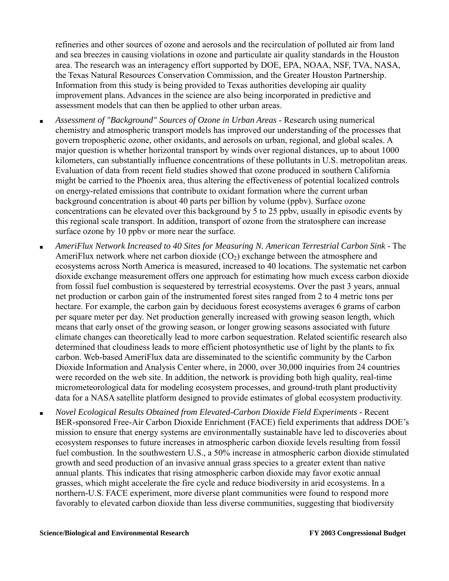refineries and other sources of ozone and aerosols and the recirculation of polluted air from land and sea breezes in causing violations in ozone and particulate air quality standards in the Houston area. The research was an interagency effort supported by DOE, EPA, NOAA, NSF, TVA, NASA, the Texas Natural Resources Conservation Commission, and the Greater Houston Partnership. Information from this study is being provided to Texas authorities developing air quality improvement plans. Advances in the science are also being incorporated in predictive and assessment models that can then be applied to other urban areas.

- Assessment of "Background" Sources of Ozone in Urban Areas Research using numerical chemistry and atmospheric transport models has improved our understanding of the processes that govern tropospheric ozone, other oxidants, and aerosols on urban, regional, and global scales. A major question is whether horizontal transport by winds over regional distances, up to about 1000 kilometers, can substantially influence concentrations of these pollutants in U.S. metropolitan areas. Evaluation of data from recent field studies showed that ozone produced in southern California might be carried to the Phoenix area, thus altering the effectiveness of potential localized controls on energy-related emissions that contribute to oxidant formation where the current urban background concentration is about 40 parts per billion by volume (ppbv). Surface ozone concentrations can be elevated over this background by 5 to 25 ppbv, usually in episodic events by this regional scale transport. In addition, transport of ozone from the stratosphere can increase surface ozone by 10 ppby or more near the surface.
- *AmeriFlux Network Increased to 40 Sites for Measuring N. American Terrestrial Carbon Sink -* The AmeriFlux network where net carbon dioxide  $(CO<sub>2</sub>)$  exchange between the atmosphere and ecosystems across North America is measured, increased to 40 locations. The systematic net carbon dioxide exchange measurement offers one approach for estimating how much excess carbon dioxide from fossil fuel combustion is sequestered by terrestrial ecosystems. Over the past 3 years, annual net production or carbon gain of the instrumented forest sites ranged from 2 to 4 metric tons per hectare. For example, the carbon gain by deciduous forest ecosystems averages 6 grams of carbon per square meter per day. Net production generally increased with growing season length, which means that early onset of the growing season, or longer growing seasons associated with future climate changes can theoretically lead to more carbon sequestration. Related scientific research also determined that cloudiness leads to more efficient photosynthetic use of light by the plants to fix carbon. Web-based AmeriFlux data are disseminated to the scientific community by the Carbon Dioxide Information and Analysis Center where, in 2000, over 30,000 inquiries from 24 countries were recorded on the web site. In addition, the network is providing both high quality, real-time micrometeorological data for modeling ecosystem processes, and ground-truth plant productivity data for a NASA satellite platform designed to provide estimates of global ecosystem productivity.
- *Novel Ecological Results Obtained from Elevated-Carbon Dioxide Field Experiments -* Recent BER-sponsored Free-Air Carbon Dioxide Enrichment (FACE) field experiments that address DOE's mission to ensure that energy systems are environmentally sustainable have led to discoveries about ecosystem responses to future increases in atmospheric carbon dioxide levels resulting from fossil fuel combustion. In the southwestern U.S., a 50% increase in atmospheric carbon dioxide stimulated growth and seed production of an invasive annual grass species to a greater extent than native annual plants. This indicates that rising atmospheric carbon dioxide may favor exotic annual grasses, which might accelerate the fire cycle and reduce biodiversity in arid ecosystems. In a northern-U.S. FACE experiment, more diverse plant communities were found to respond more favorably to elevated carbon dioxide than less diverse communities, suggesting that biodiversity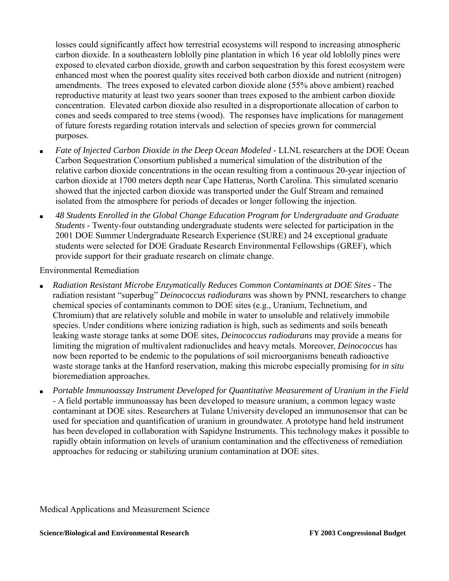losses could significantly affect how terrestrial ecosystems will respond to increasing atmospheric carbon dioxide. In a southeastern loblolly pine plantation in which 16 year old loblolly pines were exposed to elevated carbon dioxide, growth and carbon sequestration by this forest ecosystem were enhanced most when the poorest quality sites received both carbon dioxide and nutrient (nitrogen) amendments. The trees exposed to elevated carbon dioxide alone (55% above ambient) reached reproductive maturity at least two years sooner than trees exposed to the ambient carbon dioxide concentration. Elevated carbon dioxide also resulted in a disproportionate allocation of carbon to cones and seeds compared to tree stems (wood). The responses have implications for management of future forests regarding rotation intervals and selection of species grown for commercial purposes.

- Fate of Injected Carbon Dioxide in the Deep Ocean Modeled LLNL researchers at the DOE Ocean Carbon Sequestration Consortium published a numerical simulation of the distribution of the relative carbon dioxide concentrations in the ocean resulting from a continuous 20-year injection of carbon dioxide at 1700 meters depth near Cape Hatteras, North Carolina. This simulated scenario showed that the injected carbon dioxide was transported under the Gulf Stream and remained isolated from the atmosphere for periods of decades or longer following the injection.
- *48 Students Enrolled in the Global Change Education Program for Undergraduate and Graduate Students -* Twenty-four outstanding undergraduate students were selected for participation in the 2001 DOE Summer Undergraduate Research Experience (SURE) and 24 exceptional graduate students were selected for DOE Graduate Research Environmental Fellowships (GREF), which provide support for their graduate research on climate change.

Environmental Remediation

- Radiation Resistant Microbe Enzymatically Reduces Common Contaminants at DOE Sites The radiation resistant "superbug" *Deinococcus radiodurans* was shown by PNNL researchers to change chemical species of contaminants common to DOE sites (e.g., Uranium, Technetium, and Chromium) that are relatively soluble and mobile in water to unsoluble and relatively immobile species. Under conditions where ionizing radiation is high, such as sediments and soils beneath leaking waste storage tanks at some DOE sites, *Deinococcus radiodurans* may provide a means for limiting the migration of multivalent radionuclides and heavy metals. Moreover, *Deinococcus* has now been reported to be endemic to the populations of soil microorganisms beneath radioactive waste storage tanks at the Hanford reservation, making this microbe especially promising for *in situ* bioremediation approaches.
- Portable Immunoassay Instrument Developed for Quantitative Measurement of Uranium in the Field *-* A field portable immunoassay has been developed to measure uranium, a common legacy waste contaminant at DOE sites. Researchers at Tulane University developed an immunosensor that can be used for speciation and quantification of uranium in groundwater. A prototype hand held instrument has been developed in collaboration with Sapidyne Instruments. This technology makes it possible to rapidly obtain information on levels of uranium contamination and the effectiveness of remediation approaches for reducing or stabilizing uranium contamination at DOE sites.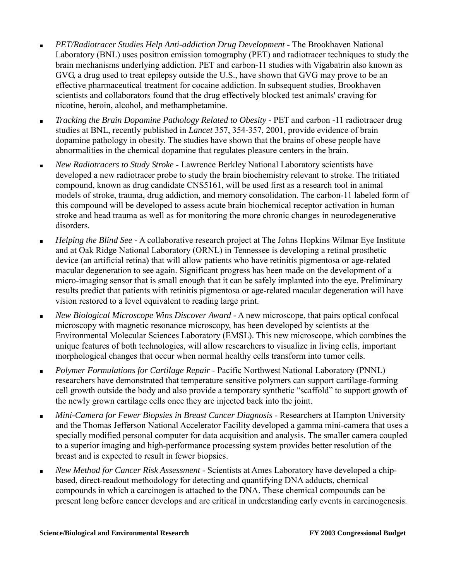- *PET/Radiotracer Studies Help Anti-addiction Drug Development*  The Brookhaven National Laboratory (BNL) uses positron emission tomography (PET) and radiotracer techniques to study the brain mechanisms underlying addiction. PET and carbon-11 studies with Vigabatrin also known as GVG, a drug used to treat epilepsy outside the U.S., have shown that GVG may prove to be an effective pharmaceutical treatment for cocaine addiction. In subsequent studies, Brookhaven scientists and collaborators found that the drug effectively blocked test animals' craving for nicotine, heroin, alcohol, and methamphetamine.
- *Tracking the Brain Dopamine Pathology Related to Obesity* PET and carbon -11 radiotracer drug studies at BNL, recently published in *Lancet* 357, 354-357, 2001, provide evidence of brain dopamine pathology in obesity. The studies have shown that the brains of obese people have abnormalities in the chemical dopamine that regulates pleasure centers in the brain.
- *New Radiotracers to Study Stroke*  Lawrence Berkley National Laboratory scientists have developed a new radiotracer probe to study the brain biochemistry relevant to stroke. The tritiated compound, known as drug candidate CNS5161, will be used first as a research tool in animal models of stroke, trauma, drug addiction, and memory consolidation. The carbon-11 labeled form of this compound will be developed to assess acute brain biochemical receptor activation in human stroke and head trauma as well as for monitoring the more chronic changes in neurodegenerative disorders.
- *Helping the Blind See -* A collaborative research project at The Johns Hopkins Wilmar Eye Institute and at Oak Ridge National Laboratory (ORNL) in Tennessee is developing a retinal prosthetic device (an artificial retina) that will allow patients who have retinitis pigmentosa or age-related macular degeneration to see again. Significant progress has been made on the development of a micro-imaging sensor that is small enough that it can be safely implanted into the eye. Preliminary results predict that patients with retinitis pigmentosa or age-related macular degeneration will have vision restored to a level equivalent to reading large print.
- *New Biological Microscope Wins Discover Award -* A new microscope, that pairs optical confocal microscopy with magnetic resonance microscopy, has been developed by scientists at the Environmental Molecular Sciences Laboratory (EMSL). This new microscope, which combines the unique features of both technologies, will allow researchers to visualize in living cells, important morphological changes that occur when normal healthy cells transform into tumor cells.
- *Polymer Formulations for Cartilage Repair*  Pacific Northwest National Laboratory (PNNL) researchers have demonstrated that temperature sensitive polymers can support cartilage-forming cell growth outside the body and also provide a temporary synthetic "scaffold" to support growth of the newly grown cartilage cells once they are injected back into the joint.
- *Mini-Camera for Fewer Biopsies in Breast Cancer Diagnosis* Researchers at Hampton University and the Thomas Jefferson National Accelerator Facility developed a gamma mini-camera that uses a specially modified personal computer for data acquisition and analysis. The smaller camera coupled to a superior imaging and high-performance processing system provides better resolution of the breast and is expected to result in fewer biopsies.
- *New Method for Cancer Risk Assessment*  Scientists at Ames Laboratory have developed a chipbased, direct-readout methodology for detecting and quantifying DNA adducts, chemical compounds in which a carcinogen is attached to the DNA. These chemical compounds can be present long before cancer develops and are critical in understanding early events in carcinogenesis.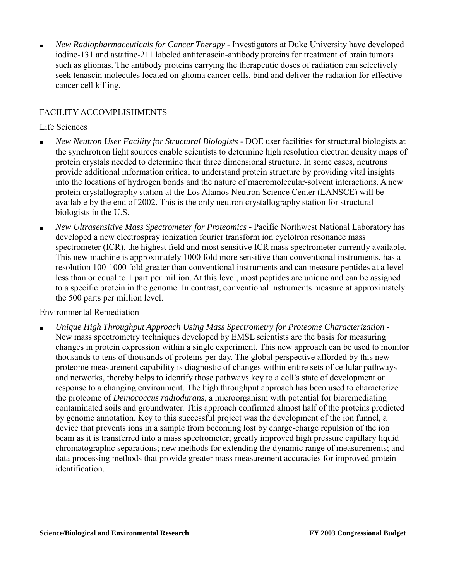*New Radiopharmaceuticals for Cancer Therapy - Investigators at Duke University have developed* iodine-131 and astatine-211 labeled antitenascin-antibody proteins for treatment of brain tumors such as gliomas. The antibody proteins carrying the therapeutic doses of radiation can selectively seek tenascin molecules located on glioma cancer cells, bind and deliver the radiation for effective cancer cell killing.

#### FACILITY ACCOMPLISHMENTS

#### Life Sciences

- *New Neutron User Facility for Structural Biologists -* DOE user facilities for structural biologists at the synchrotron light sources enable scientists to determine high resolution electron density maps of protein crystals needed to determine their three dimensional structure. In some cases, neutrons provide additional information critical to understand protein structure by providing vital insights into the locations of hydrogen bonds and the nature of macromolecular-solvent interactions. A new protein crystallography station at the Los Alamos Neutron Science Center (LANSCE) will be available by the end of 2002. This is the only neutron crystallography station for structural biologists in the U.S.
- *New Ultrasensitive Mass Spectrometer for Proteomics* Pacific Northwest National Laboratory has developed a new electrospray ionization fourier transform ion cyclotron resonance mass spectrometer (ICR), the highest field and most sensitive ICR mass spectrometer currently available. This new machine is approximately 1000 fold more sensitive than conventional instruments, has a resolution 100-1000 fold greater than conventional instruments and can measure peptides at a level less than or equal to 1 part per million. At this level, most peptides are unique and can be assigned to a specific protein in the genome. In contrast, conventional instruments measure at approximately the 500 parts per million level.

#### Environmental Remediation

■ *Unique High Throughput Approach Using Mass Spectrometry for Proteome Characterization -* New mass spectrometry techniques developed by EMSL scientists are the basis for measuring changes in protein expression within a single experiment. This new approach can be used to monitor thousands to tens of thousands of proteins per day. The global perspective afforded by this new proteome measurement capability is diagnostic of changes within entire sets of cellular pathways and networks, thereby helps to identify those pathways key to a cell's state of development or response to a changing environment. The high throughput approach has been used to characterize the proteome of *Deinococcus radiodurans*, a microorganism with potential for bioremediating contaminated soils and groundwater. This approach confirmed almost half of the proteins predicted by genome annotation. Key to this successful project was the development of the ion funnel, a device that prevents ions in a sample from becoming lost by charge-charge repulsion of the ion beam as it is transferred into a mass spectrometer; greatly improved high pressure capillary liquid chromatographic separations; new methods for extending the dynamic range of measurements; and data processing methods that provide greater mass measurement accuracies for improved protein identification.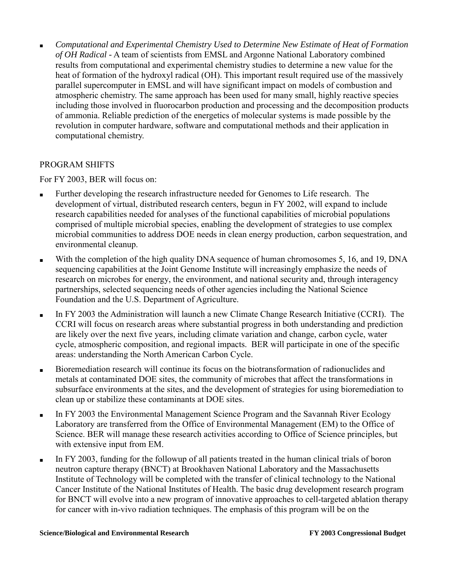Computational and Experimental Chemistry Used to Determine New Estimate of Heat of Formation *of OH Radical -* A team of scientists from EMSL and Argonne National Laboratory combined results from computational and experimental chemistry studies to determine a new value for the heat of formation of the hydroxyl radical (OH). This important result required use of the massively parallel supercomputer in EMSL and will have significant impact on models of combustion and atmospheric chemistry. The same approach has been used for many small, highly reactive species including those involved in fluorocarbon production and processing and the decomposition products of ammonia. Reliable prediction of the energetics of molecular systems is made possible by the revolution in computer hardware, software and computational methods and their application in computational chemistry.

### PROGRAM SHIFTS

For FY 2003, BER will focus on:

- Further developing the research infrastructure needed for Genomes to Life research. The development of virtual, distributed research centers, begun in FY 2002, will expand to include research capabilities needed for analyses of the functional capabilities of microbial populations comprised of multiple microbial species, enabling the development of strategies to use complex microbial communities to address DOE needs in clean energy production, carbon sequestration, and environmental cleanup.
- With the completion of the high quality DNA sequence of human chromosomes 5, 16, and 19, DNA sequencing capabilities at the Joint Genome Institute will increasingly emphasize the needs of research on microbes for energy, the environment, and national security and, through interagency partnerships, selected sequencing needs of other agencies including the National Science Foundation and the U.S. Department of Agriculture.
- In FY 2003 the Administration will launch a new Climate Change Research Initiative (CCRI). The CCRI will focus on research areas where substantial progress in both understanding and prediction are likely over the next five years, including climate variation and change, carbon cycle, water cycle, atmospheric composition, and regional impacts. BER will participate in one of the specific areas: understanding the North American Carbon Cycle.
- Bioremediation research will continue its focus on the biotransformation of radionuclides and metals at contaminated DOE sites, the community of microbes that affect the transformations in subsurface environments at the sites, and the development of strategies for using bioremediation to clean up or stabilize these contaminants at DOE sites.
- In FY 2003 the Environmental Management Science Program and the Savannah River Ecology Laboratory are transferred from the Office of Environmental Management (EM) to the Office of Science. BER will manage these research activities according to Office of Science principles, but with extensive input from EM.
- In FY 2003, funding for the followup of all patients treated in the human clinical trials of boron neutron capture therapy (BNCT) at Brookhaven National Laboratory and the Massachusetts Institute of Technology will be completed with the transfer of clinical technology to the National Cancer Institute of the National Institutes of Health. The basic drug development research program for BNCT will evolve into a new program of innovative approaches to cell-targeted ablation therapy for cancer with in-vivo radiation techniques. The emphasis of this program will be on the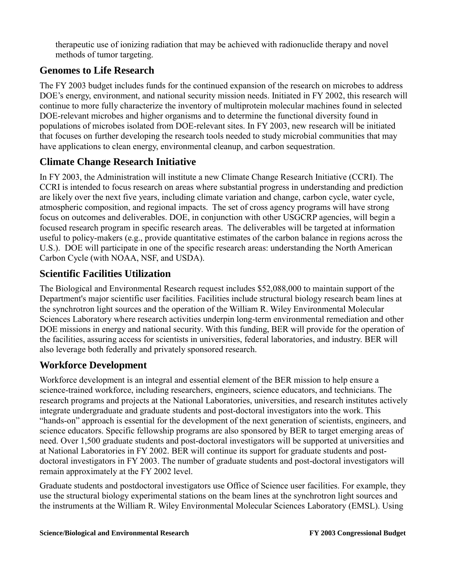therapeutic use of ionizing radiation that may be achieved with radionuclide therapy and novel methods of tumor targeting.

## **Genomes to Life Research**

The FY 2003 budget includes funds for the continued expansion of the research on microbes to address DOE's energy, environment, and national security mission needs. Initiated in FY 2002, this research will continue to more fully characterize the inventory of multiprotein molecular machines found in selected DOE-relevant microbes and higher organisms and to determine the functional diversity found in populations of microbes isolated from DOE-relevant sites. In FY 2003, new research will be initiated that focuses on further developing the research tools needed to study microbial communities that may have applications to clean energy, environmental cleanup, and carbon sequestration.

## **Climate Change Research Initiative**

In FY 2003, the Administration will institute a new Climate Change Research Initiative (CCRI). The CCRI is intended to focus research on areas where substantial progress in understanding and prediction are likely over the next five years, including climate variation and change, carbon cycle, water cycle, atmospheric composition, and regional impacts. The set of cross agency programs will have strong focus on outcomes and deliverables. DOE, in conjunction with other USGCRP agencies, will begin a focused research program in specific research areas. The deliverables will be targeted at information useful to policy-makers (e.g., provide quantitative estimates of the carbon balance in regions across the U.S.). DOE will participate in one of the specific research areas: understanding the North American Carbon Cycle (with NOAA, NSF, and USDA).

## **Scientific Facilities Utilization**

The Biological and Environmental Research request includes \$52,088,000 to maintain support of the Department's major scientific user facilities. Facilities include structural biology research beam lines at the synchrotron light sources and the operation of the William R. Wiley Environmental Molecular Sciences Laboratory where research activities underpin long-term environmental remediation and other DOE missions in energy and national security. With this funding, BER will provide for the operation of the facilities, assuring access for scientists in universities, federal laboratories, and industry. BER will also leverage both federally and privately sponsored research.

## **Workforce Development**

Workforce development is an integral and essential element of the BER mission to help ensure a science-trained workforce, including researchers, engineers, science educators, and technicians. The research programs and projects at the National Laboratories, universities, and research institutes actively integrate undergraduate and graduate students and post-doctoral investigators into the work. This "hands-on" approach is essential for the development of the next generation of scientists, engineers, and science educators. Specific fellowship programs are also sponsored by BER to target emerging areas of need. Over 1,500 graduate students and post-doctoral investigators will be supported at universities and at National Laboratories in FY 2002. BER will continue its support for graduate students and postdoctoral investigators in FY 2003. The number of graduate students and post-doctoral investigators will remain approximately at the FY 2002 level.

Graduate students and postdoctoral investigators use Office of Science user facilities. For example, they use the structural biology experimental stations on the beam lines at the synchrotron light sources and the instruments at the William R. Wiley Environmental Molecular Sciences Laboratory (EMSL). Using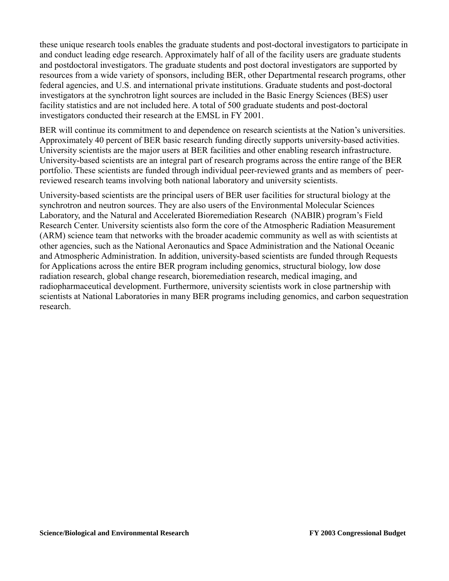these unique research tools enables the graduate students and post-doctoral investigators to participate in and conduct leading edge research. Approximately half of all of the facility users are graduate students and postdoctoral investigators. The graduate students and post doctoral investigators are supported by resources from a wide variety of sponsors, including BER, other Departmental research programs, other federal agencies, and U.S. and international private institutions. Graduate students and post-doctoral investigators at the synchrotron light sources are included in the Basic Energy Sciences (BES) user facility statistics and are not included here. A total of 500 graduate students and post-doctoral investigators conducted their research at the EMSL in FY 2001.

BER will continue its commitment to and dependence on research scientists at the Nation's universities. Approximately 40 percent of BER basic research funding directly supports university-based activities. University scientists are the major users at BER facilities and other enabling research infrastructure. University-based scientists are an integral part of research programs across the entire range of the BER portfolio. These scientists are funded through individual peer-reviewed grants and as members of peerreviewed research teams involving both national laboratory and university scientists.

University-based scientists are the principal users of BER user facilities for structural biology at the synchrotron and neutron sources. They are also users of the Environmental Molecular Sciences Laboratory, and the Natural and Accelerated Bioremediation Research (NABIR) program's Field Research Center. University scientists also form the core of the Atmospheric Radiation Measurement (ARM) science team that networks with the broader academic community as well as with scientists at other agencies, such as the National Aeronautics and Space Administration and the National Oceanic and Atmospheric Administration. In addition, university-based scientists are funded through Requests for Applications across the entire BER program including genomics, structural biology, low dose radiation research, global change research, bioremediation research, medical imaging, and radiopharmaceutical development. Furthermore, university scientists work in close partnership with scientists at National Laboratories in many BER programs including genomics, and carbon sequestration research.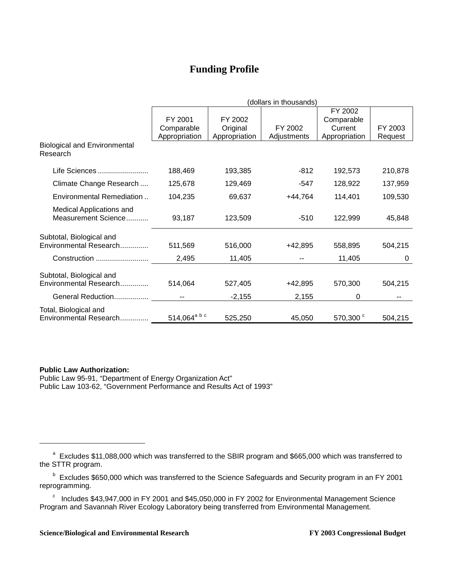## **Funding Profile**

|                                                    | (dollars in thousands)   |               |             |                      |         |
|----------------------------------------------------|--------------------------|---------------|-------------|----------------------|---------|
|                                                    |                          |               |             | FY 2002              |         |
|                                                    | FY 2001                  | FY 2002       |             | Comparable           |         |
|                                                    | Comparable               | Original      | FY 2002     | Current              | FY 2003 |
|                                                    | Appropriation            | Appropriation | Adjustments | Appropriation        | Request |
| <b>Biological and Environmental</b><br>Research    |                          |               |             |                      |         |
| Life Sciences                                      | 188,469                  | 193,385       | -812        | 192,573              | 210,878 |
| Climate Change Research                            | 125,678                  | 129,469       | -547        | 128,922              | 137,959 |
| Environmental Remediation                          | 104,235                  | 69,637        | $+44,764$   | 114,401              | 109,530 |
| Medical Applications and<br>Measurement Science    | 93,187                   | 123,509       | $-510$      | 122,999              | 45,848  |
| Subtotal, Biological and                           |                          |               |             |                      |         |
| Environmental Research                             | 511,569                  | 516,000       | $+42,895$   | 558,895              | 504,215 |
| Construction                                       | 2,495                    | 11,405        |             | 11,405               | 0       |
| Subtotal, Biological and<br>Environmental Research | 514,064                  | 527,405       | +42,895     | 570,300              | 504,215 |
| General Reduction                                  | --                       | $-2,155$      | 2,155       | 0                    |         |
| Total, Biological and<br>Environmental Research    | 514,064 <sup>a b c</sup> | 525,250       | 45,050      | 570,300 <sup>c</sup> | 504,215 |

#### **Public Law Authorization:**

 $\overline{a}$ 

Public Law 95-91, "Department of Energy Organization Act" Public Law 103-62, "Government Performance and Results Act of 1993"

<sup>&</sup>lt;sup>a</sup> Excludes \$11,088,000 which was transferred to the SBIR program and \$665,000 which was transferred to the STTR program.

<sup>&</sup>lt;sup>b</sup> Excludes \$650,000 which was transferred to the Science Safeguards and Security program in an FY 2001 reprogramming.

 $\degree$  Includes \$43,947,000 in FY 2001 and \$45,050,000 in FY 2002 for Environmental Management Science Program and Savannah River Ecology Laboratory being transferred from Environmental Management.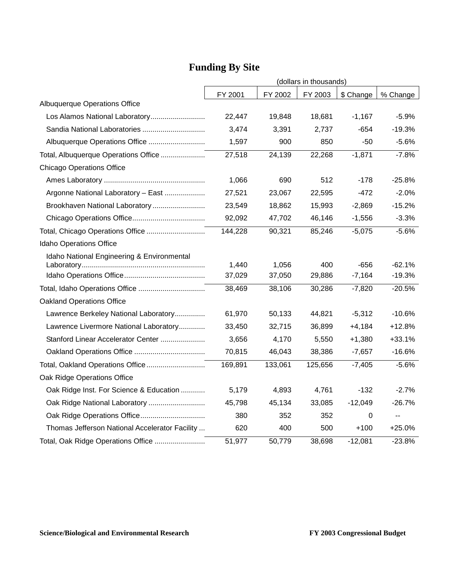|                                                | (dollars in thousands) |         |         |           |                          |
|------------------------------------------------|------------------------|---------|---------|-----------|--------------------------|
|                                                | FY 2001                | FY 2002 | FY 2003 | \$ Change | % Change                 |
| Albuquerque Operations Office                  |                        |         |         |           |                          |
| Los Alamos National Laboratory                 | 22,447                 | 19,848  | 18,681  | $-1,167$  | $-5.9%$                  |
|                                                | 3,474                  | 3,391   | 2,737   | -654      | $-19.3%$                 |
|                                                | 1,597                  | 900     | 850     | -50       | $-5.6%$                  |
| Total, Albuquerque Operations Office           | 27,518                 | 24,139  | 22,268  | $-1,871$  | $-7.8%$                  |
| <b>Chicago Operations Office</b>               |                        |         |         |           |                          |
|                                                | 1,066                  | 690     | 512     | -178      | $-25.8%$                 |
| Argonne National Laboratory - East             | 27,521                 | 23,067  | 22,595  | $-472$    | $-2.0%$                  |
| Brookhaven National Laboratory                 | 23,549                 | 18,862  | 15,993  | $-2,869$  | $-15.2%$                 |
|                                                | 92,092                 | 47,702  | 46,146  | $-1,556$  | $-3.3%$                  |
| Total, Chicago Operations Office               | 144,228                | 90,321  | 85,246  | $-5,075$  | $-5.6%$                  |
| Idaho Operations Office                        |                        |         |         |           |                          |
| Idaho National Engineering & Environmental     |                        |         |         |           |                          |
|                                                | 1,440                  | 1,056   | 400     | $-656$    | $-62.1%$                 |
|                                                | 37,029                 | 37,050  | 29,886  | $-7,164$  | $-19.3%$                 |
|                                                | 38,469                 | 38,106  | 30,286  | $-7,820$  | $-20.5%$                 |
| <b>Oakland Operations Office</b>               |                        |         |         |           |                          |
| Lawrence Berkeley National Laboratory          | 61,970                 | 50,133  | 44,821  | $-5,312$  | -10.6%                   |
| Lawrence Livermore National Laboratory         | 33,450                 | 32,715  | 36,899  | $+4,184$  | $+12.8%$                 |
| Stanford Linear Accelerator Center             | 3,656                  | 4,170   | 5,550   | $+1,380$  | $+33.1%$                 |
|                                                | 70,815                 | 46,043  | 38,386  | $-7,657$  | $-16.6%$                 |
| Total, Oakland Operations Office               | 169,891                | 133,061 | 125,656 | $-7,405$  | $-5.6%$                  |
| Oak Ridge Operations Office                    |                        |         |         |           |                          |
| Oak Ridge Inst. For Science & Education        | 5,179                  | 4,893   | 4,761   | $-132$    | $-2.7%$                  |
| Oak Ridge National Laboratory                  | 45,798                 | 45,134  | 33,085  | $-12,049$ | $-26.7%$                 |
|                                                | 380                    | 352     | 352     | 0         | $\overline{\phantom{a}}$ |
| Thomas Jefferson National Accelerator Facility | 620                    | 400     | 500     | $+100$    | $+25.0%$                 |
| Total, Oak Ridge Operations Office             | 51,977                 | 50,779  | 38,698  | $-12,081$ | $-23.8%$                 |

# **Funding By Site**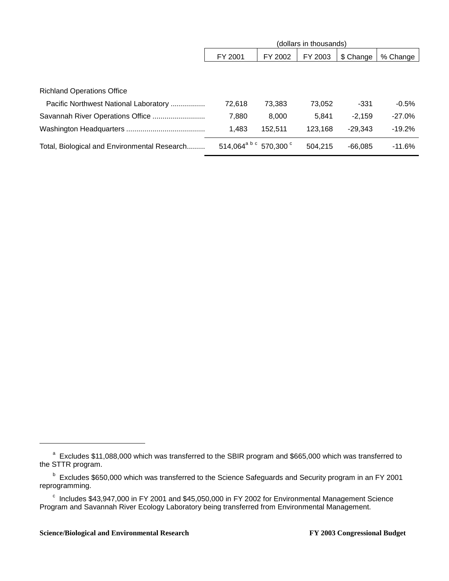|                                              | (dollars in thousands)             |         |         |           |          |
|----------------------------------------------|------------------------------------|---------|---------|-----------|----------|
|                                              | FY 2001                            | FY 2002 | FY 2003 | \$ Change | % Change |
|                                              |                                    |         |         |           |          |
|                                              |                                    |         |         |           |          |
| <b>Richland Operations Office</b>            |                                    |         |         |           |          |
| Pacific Northwest National Laboratory        | 72,618                             | 73,383  | 73,052  | $-331$    | $-0.5%$  |
|                                              | 7,880                              | 8,000   | 5,841   | $-2.159$  | $-27.0%$ |
|                                              | 1,483                              | 152,511 | 123,168 | $-29.343$ | $-19.2%$ |
| Total, Biological and Environmental Research | 514,064 <sup>a b c</sup> 570,300 ° |         | 504,215 | $-66,085$ | $-11.6%$ |

 $\overline{a}$ 

<sup>&</sup>lt;sup>a</sup> Excludes \$11,088,000 which was transferred to the SBIR program and \$665,000 which was transferred to the STTR program.

<sup>&</sup>lt;sup>b</sup> Excludes \$650,000 which was transferred to the Science Safeguards and Security program in an FY 2001 reprogramming.

 $\textdegree$  Includes \$43,947,000 in FY 2001 and \$45,050,000 in FY 2002 for Environmental Management Science Program and Savannah River Ecology Laboratory being transferred from Environmental Management.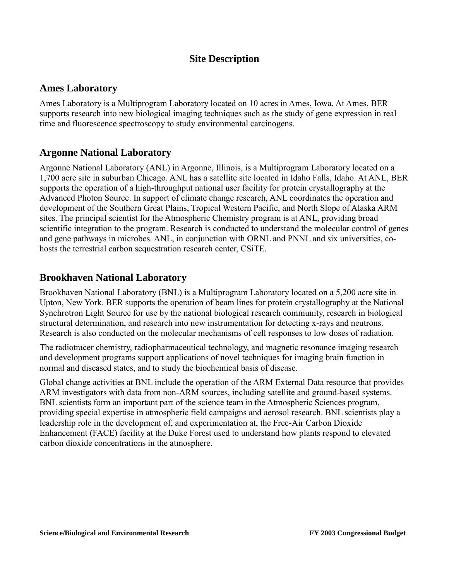## **Site Description**

### **Ames Laboratory**

Ames Laboratory is a Multiprogram Laboratory located on 10 acres in Ames, Iowa. At Ames, BER supports research into new biological imaging techniques such as the study of gene expression in real time and fluorescence spectroscopy to study environmental carcinogens.

## **Argonne National Laboratory**

Argonne National Laboratory (ANL) in Argonne, Illinois, is a Multiprogram Laboratory located on a 1,700 acre site in suburban Chicago. ANL has a satellite site located in Idaho Falls, Idaho. At ANL, BER supports the operation of a high-throughput national user facility for protein crystallography at the Advanced Photon Source. In support of climate change research, ANL coordinates the operation and development of the Southern Great Plains, Tropical Western Pacific, and North Slope of Alaska ARM sites. The principal scientist for the Atmospheric Chemistry program is at ANL, providing broad scientific integration to the program. Research is conducted to understand the molecular control of genes and gene pathways in microbes. ANL, in conjunction with ORNL and PNNL and six universities, cohosts the terrestrial carbon sequestration research center, CSiTE.

### **Brookhaven National Laboratory**

Brookhaven National Laboratory (BNL) is a Multiprogram Laboratory located on a 5,200 acre site in Upton, New York. BER supports the operation of beam lines for protein crystallography at the National Synchrotron Light Source for use by the national biological research community, research in biological structural determination, and research into new instrumentation for detecting x-rays and neutrons. Research is also conducted on the molecular mechanisms of cell responses to low doses of radiation.

The radiotracer chemistry, radiopharmaceutical technology, and magnetic resonance imaging research and development programs support applications of novel techniques for imaging brain function in normal and diseased states, and to study the biochemical basis of disease.

Global change activities at BNL include the operation of the ARM External Data resource that provides ARM investigators with data from non-ARM sources, including satellite and ground-based systems. BNL scientists form an important part of the science team in the Atmospheric Sciences program, providing special expertise in atmospheric field campaigns and aerosol research. BNL scientists play a leadership role in the development of, and experimentation at, the Free-Air Carbon Dioxide Enhancement (FACE) facility at the Duke Forest used to understand how plants respond to elevated carbon dioxide concentrations in the atmosphere.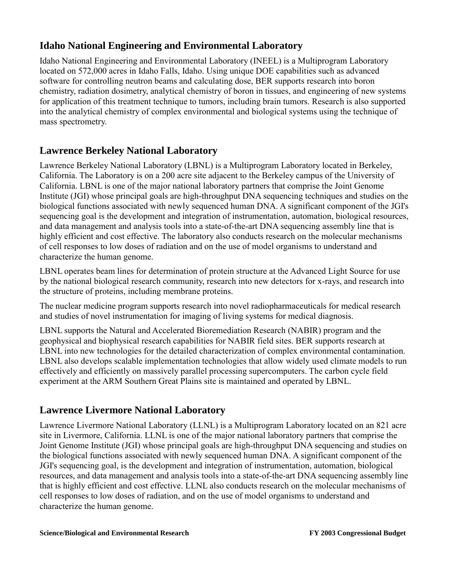## **Idaho National Engineering and Environmental Laboratory**

Idaho National Engineering and Environmental Laboratory (INEEL) is a Multiprogram Laboratory located on 572,000 acres in Idaho Falls, Idaho. Using unique DOE capabilities such as advanced software for controlling neutron beams and calculating dose, BER supports research into boron chemistry, radiation dosimetry, analytical chemistry of boron in tissues, and engineering of new systems for application of this treatment technique to tumors, including brain tumors. Research is also supported into the analytical chemistry of complex environmental and biological systems using the technique of mass spectrometry.

## **Lawrence Berkeley National Laboratory**

Lawrence Berkeley National Laboratory (LBNL) is a Multiprogram Laboratory located in Berkeley, California. The Laboratory is on a 200 acre site adjacent to the Berkeley campus of the University of California. LBNL is one of the major national laboratory partners that comprise the Joint Genome Institute (JGI) whose principal goals are high-throughput DNA sequencing techniques and studies on the biological functions associated with newly sequenced human DNA. A significant component of the JGI's sequencing goal is the development and integration of instrumentation, automation, biological resources, and data management and analysis tools into a state-of-the-art DNA sequencing assembly line that is highly efficient and cost effective. The laboratory also conducts research on the molecular mechanisms of cell responses to low doses of radiation and on the use of model organisms to understand and characterize the human genome.

LBNL operates beam lines for determination of protein structure at the Advanced Light Source for use by the national biological research community, research into new detectors for x-rays, and research into the structure of proteins, including membrane proteins.

The nuclear medicine program supports research into novel radiopharmaceuticals for medical research and studies of novel instrumentation for imaging of living systems for medical diagnosis.

LBNL supports the Natural and Accelerated Bioremediation Research (NABIR) program and the geophysical and biophysical research capabilities for NABIR field sites. BER supports research at LBNL into new technologies for the detailed characterization of complex environmental contamination. LBNL also develops scalable implementation technologies that allow widely used climate models to run effectively and efficiently on massively parallel processing supercomputers. The carbon cycle field experiment at the ARM Southern Great Plains site is maintained and operated by LBNL.

## **Lawrence Livermore National Laboratory**

Lawrence Livermore National Laboratory (LLNL) is a Multiprogram Laboratory located on an 821 acre site in Livermore, California. LLNL is one of the major national laboratory partners that comprise the Joint Genome Institute (JGI) whose principal goals are high-throughput DNA sequencing and studies on the biological functions associated with newly sequenced human DNA. A significant component of the JGI's sequencing goal, is the development and integration of instrumentation, automation, biological resources, and data management and analysis tools into a state-of-the-art DNA sequencing assembly line that is highly efficient and cost effective. LLNL also conducts research on the molecular mechanisms of cell responses to low doses of radiation, and on the use of model organisms to understand and characterize the human genome.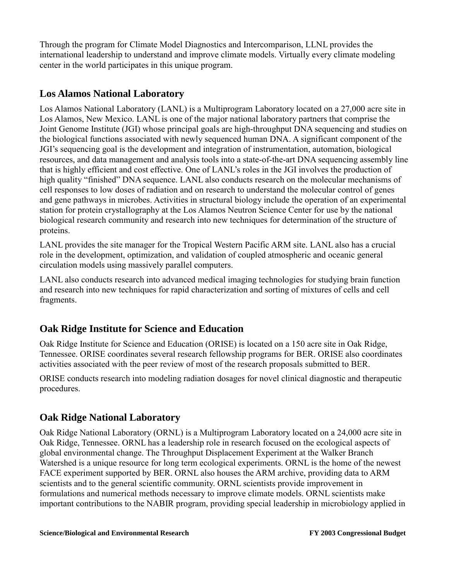Through the program for Climate Model Diagnostics and Intercomparison, LLNL provides the international leadership to understand and improve climate models. Virtually every climate modeling center in the world participates in this unique program.

## **Los Alamos National Laboratory**

Los Alamos National Laboratory (LANL) is a Multiprogram Laboratory located on a 27,000 acre site in Los Alamos, New Mexico. LANL is one of the major national laboratory partners that comprise the Joint Genome Institute (JGI) whose principal goals are high-throughput DNA sequencing and studies on the biological functions associated with newly sequenced human DNA. A significant component of the JGI's sequencing goal is the development and integration of instrumentation, automation, biological resources, and data management and analysis tools into a state-of-the-art DNA sequencing assembly line that is highly efficient and cost effective. One of LANL's roles in the JGI involves the production of high quality "finished" DNA sequence. LANL also conducts research on the molecular mechanisms of cell responses to low doses of radiation and on research to understand the molecular control of genes and gene pathways in microbes. Activities in structural biology include the operation of an experimental station for protein crystallography at the Los Alamos Neutron Science Center for use by the national biological research community and research into new techniques for determination of the structure of proteins.

LANL provides the site manager for the Tropical Western Pacific ARM site. LANL also has a crucial role in the development, optimization, and validation of coupled atmospheric and oceanic general circulation models using massively parallel computers.

LANL also conducts research into advanced medical imaging technologies for studying brain function and research into new techniques for rapid characterization and sorting of mixtures of cells and cell fragments.

## **Oak Ridge Institute for Science and Education**

Oak Ridge Institute for Science and Education (ORISE) is located on a 150 acre site in Oak Ridge, Tennessee. ORISE coordinates several research fellowship programs for BER. ORISE also coordinates activities associated with the peer review of most of the research proposals submitted to BER.

ORISE conducts research into modeling radiation dosages for novel clinical diagnostic and therapeutic procedures.

## **Oak Ridge National Laboratory**

Oak Ridge National Laboratory (ORNL) is a Multiprogram Laboratory located on a 24,000 acre site in Oak Ridge, Tennessee. ORNL has a leadership role in research focused on the ecological aspects of global environmental change. The Throughput Displacement Experiment at the Walker Branch Watershed is a unique resource for long term ecological experiments. ORNL is the home of the newest FACE experiment supported by BER. ORNL also houses the ARM archive, providing data to ARM scientists and to the general scientific community. ORNL scientists provide improvement in formulations and numerical methods necessary to improve climate models. ORNL scientists make important contributions to the NABIR program, providing special leadership in microbiology applied in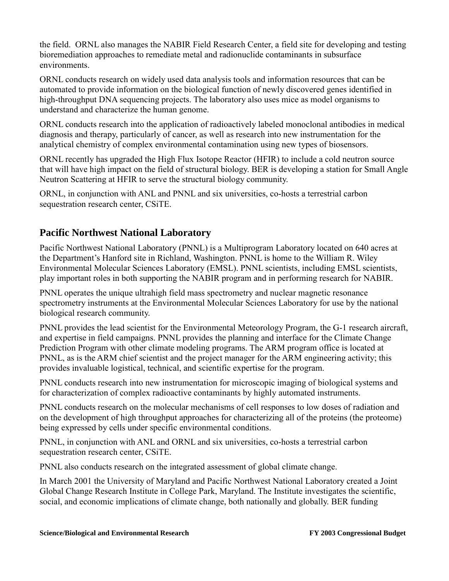the field. ORNL also manages the NABIR Field Research Center, a field site for developing and testing bioremediation approaches to remediate metal and radionuclide contaminants in subsurface environments.

ORNL conducts research on widely used data analysis tools and information resources that can be automated to provide information on the biological function of newly discovered genes identified in high-throughput DNA sequencing projects. The laboratory also uses mice as model organisms to understand and characterize the human genome.

ORNL conducts research into the application of radioactively labeled monoclonal antibodies in medical diagnosis and therapy, particularly of cancer, as well as research into new instrumentation for the analytical chemistry of complex environmental contamination using new types of biosensors.

ORNL recently has upgraded the High Flux Isotope Reactor (HFIR) to include a cold neutron source that will have high impact on the field of structural biology. BER is developing a station for Small Angle Neutron Scattering at HFIR to serve the structural biology community.

ORNL, in conjunction with ANL and PNNL and six universities, co-hosts a terrestrial carbon sequestration research center, CSiTE.

## **Pacific Northwest National Laboratory**

Pacific Northwest National Laboratory (PNNL) is a Multiprogram Laboratory located on 640 acres at the Department's Hanford site in Richland, Washington. PNNL is home to the William R. Wiley Environmental Molecular Sciences Laboratory (EMSL). PNNL scientists, including EMSL scientists, play important roles in both supporting the NABIR program and in performing research for NABIR.

PNNL operates the unique ultrahigh field mass spectrometry and nuclear magnetic resonance spectrometry instruments at the Environmental Molecular Sciences Laboratory for use by the national biological research community.

PNNL provides the lead scientist for the Environmental Meteorology Program, the G-1 research aircraft, and expertise in field campaigns. PNNL provides the planning and interface for the Climate Change Prediction Program with other climate modeling programs. The ARM program office is located at PNNL, as is the ARM chief scientist and the project manager for the ARM engineering activity; this provides invaluable logistical, technical, and scientific expertise for the program.

PNNL conducts research into new instrumentation for microscopic imaging of biological systems and for characterization of complex radioactive contaminants by highly automated instruments.

PNNL conducts research on the molecular mechanisms of cell responses to low doses of radiation and on the development of high throughput approaches for characterizing all of the proteins (the proteome) being expressed by cells under specific environmental conditions.

PNNL, in conjunction with ANL and ORNL and six universities, co-hosts a terrestrial carbon sequestration research center, CSiTE.

PNNL also conducts research on the integrated assessment of global climate change.

In March 2001 the University of Maryland and Pacific Northwest National Laboratory created a Joint Global Change Research Institute in College Park, Maryland. The Institute investigates the scientific, social, and economic implications of climate change, both nationally and globally. BER funding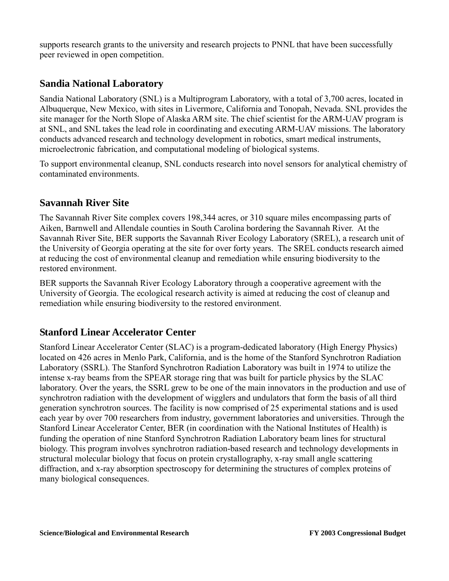supports research grants to the university and research projects to PNNL that have been successfully peer reviewed in open competition.

## **Sandia National Laboratory**

Sandia National Laboratory (SNL) is a Multiprogram Laboratory, with a total of 3,700 acres, located in Albuquerque, New Mexico, with sites in Livermore, California and Tonopah, Nevada. SNL provides the site manager for the North Slope of Alaska ARM site. The chief scientist for the ARM-UAV program is at SNL, and SNL takes the lead role in coordinating and executing ARM-UAV missions. The laboratory conducts advanced research and technology development in robotics, smart medical instruments, microelectronic fabrication, and computational modeling of biological systems.

To support environmental cleanup, SNL conducts research into novel sensors for analytical chemistry of contaminated environments.

## **Savannah River Site**

The Savannah River Site complex covers 198,344 acres, or 310 square miles encompassing parts of Aiken, Barnwell and Allendale counties in South Carolina bordering the Savannah River. At the Savannah River Site, BER supports the Savannah River Ecology Laboratory (SREL), a research unit of the University of Georgia operating at the site for over forty years. The SREL conducts research aimed at reducing the cost of environmental cleanup and remediation while ensuring biodiversity to the restored environment.

BER supports the Savannah River Ecology Laboratory through a cooperative agreement with the University of Georgia. The ecological research activity is aimed at reducing the cost of cleanup and remediation while ensuring biodiversity to the restored environment.

## **Stanford Linear Accelerator Center**

Stanford Linear Accelerator Center (SLAC) is a program-dedicated laboratory (High Energy Physics) located on 426 acres in Menlo Park, California, and is the home of the Stanford Synchrotron Radiation Laboratory (SSRL). The Stanford Synchrotron Radiation Laboratory was built in 1974 to utilize the intense x-ray beams from the SPEAR storage ring that was built for particle physics by the SLAC laboratory. Over the years, the SSRL grew to be one of the main innovators in the production and use of synchrotron radiation with the development of wigglers and undulators that form the basis of all third generation synchrotron sources. The facility is now comprised of 25 experimental stations and is used each year by over 700 researchers from industry, government laboratories and universities. Through the Stanford Linear Accelerator Center, BER (in coordination with the National Institutes of Health) is funding the operation of nine Stanford Synchrotron Radiation Laboratory beam lines for structural biology. This program involves synchrotron radiation-based research and technology developments in structural molecular biology that focus on protein crystallography, x-ray small angle scattering diffraction, and x-ray absorption spectroscopy for determining the structures of complex proteins of many biological consequences.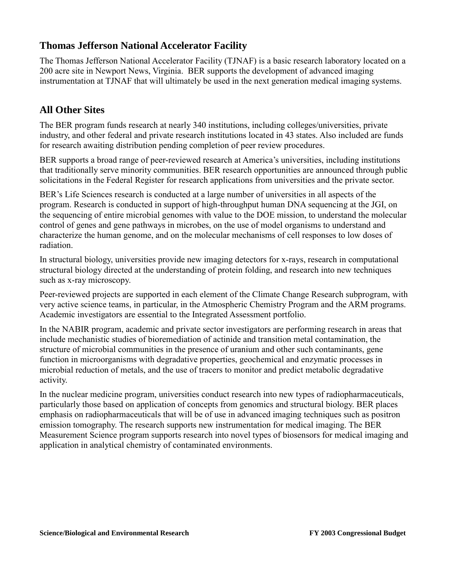## **Thomas Jefferson National Accelerator Facility**

The Thomas Jefferson National Accelerator Facility (TJNAF) is a basic research laboratory located on a 200 acre site in Newport News, Virginia. BER supports the development of advanced imaging instrumentation at TJNAF that will ultimately be used in the next generation medical imaging systems.

## **All Other Sites**

The BER program funds research at nearly 340 institutions, including colleges/universities, private industry, and other federal and private research institutions located in 43 states. Also included are funds for research awaiting distribution pending completion of peer review procedures.

BER supports a broad range of peer-reviewed research at America's universities, including institutions that traditionally serve minority communities. BER research opportunities are announced through public solicitations in the Federal Register for research applications from universities and the private sector.

BER's Life Sciences research is conducted at a large number of universities in all aspects of the program. Research is conducted in support of high-throughput human DNA sequencing at the JGI, on the sequencing of entire microbial genomes with value to the DOE mission, to understand the molecular control of genes and gene pathways in microbes, on the use of model organisms to understand and characterize the human genome, and on the molecular mechanisms of cell responses to low doses of radiation.

In structural biology, universities provide new imaging detectors for x-rays, research in computational structural biology directed at the understanding of protein folding, and research into new techniques such as x-ray microscopy.

Peer-reviewed projects are supported in each element of the Climate Change Research subprogram, with very active science teams, in particular, in the Atmospheric Chemistry Program and the ARM programs. Academic investigators are essential to the Integrated Assessment portfolio.

In the NABIR program, academic and private sector investigators are performing research in areas that include mechanistic studies of bioremediation of actinide and transition metal contamination, the structure of microbial communities in the presence of uranium and other such contaminants, gene function in microorganisms with degradative properties, geochemical and enzymatic processes in microbial reduction of metals, and the use of tracers to monitor and predict metabolic degradative activity.

In the nuclear medicine program, universities conduct research into new types of radiopharmaceuticals, particularly those based on application of concepts from genomics and structural biology. BER places emphasis on radiopharmaceuticals that will be of use in advanced imaging techniques such as positron emission tomography. The research supports new instrumentation for medical imaging. The BER Measurement Science program supports research into novel types of biosensors for medical imaging and application in analytical chemistry of contaminated environments.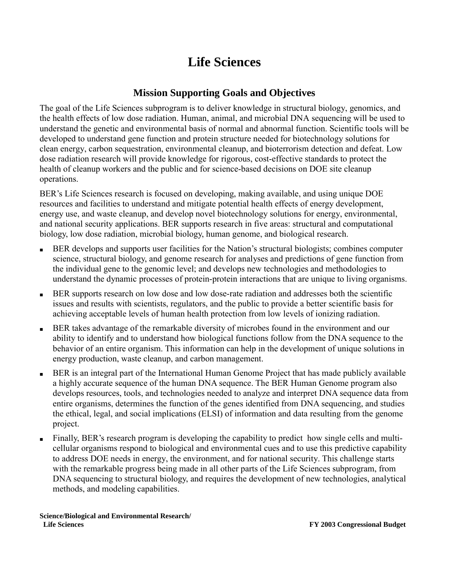# **Life Sciences**

## **Mission Supporting Goals and Objectives**

The goal of the Life Sciences subprogram is to deliver knowledge in structural biology, genomics, and the health effects of low dose radiation. Human, animal, and microbial DNA sequencing will be used to understand the genetic and environmental basis of normal and abnormal function. Scientific tools will be developed to understand gene function and protein structure needed for biotechnology solutions for clean energy, carbon sequestration, environmental cleanup, and bioterrorism detection and defeat. Low dose radiation research will provide knowledge for rigorous, cost-effective standards to protect the health of cleanup workers and the public and for science-based decisions on DOE site cleanup operations.

BER's Life Sciences research is focused on developing, making available, and using unique DOE resources and facilities to understand and mitigate potential health effects of energy development, energy use, and waste cleanup, and develop novel biotechnology solutions for energy, environmental, and national security applications. BER supports research in five areas: structural and computational biology, low dose radiation, microbial biology, human genome, and biological research.

- BER develops and supports user facilities for the Nation's structural biologists; combines computer science, structural biology, and genome research for analyses and predictions of gene function from the individual gene to the genomic level; and develops new technologies and methodologies to understand the dynamic processes of protein-protein interactions that are unique to living organisms.
- BER supports research on low dose and low dose-rate radiation and addresses both the scientific issues and results with scientists, regulators, and the public to provide a better scientific basis for achieving acceptable levels of human health protection from low levels of ionizing radiation.
- BER takes advantage of the remarkable diversity of microbes found in the environment and our ability to identify and to understand how biological functions follow from the DNA sequence to the behavior of an entire organism. This information can help in the development of unique solutions in energy production, waste cleanup, and carbon management.
- BER is an integral part of the International Human Genome Project that has made publicly available a highly accurate sequence of the human DNA sequence. The BER Human Genome program also develops resources, tools, and technologies needed to analyze and interpret DNA sequence data from entire organisms, determines the function of the genes identified from DNA sequencing, and studies the ethical, legal, and social implications (ELSI) of information and data resulting from the genome project.
- Finally, BER's research program is developing the capability to predict how single cells and multicellular organisms respond to biological and environmental cues and to use this predictive capability to address DOE needs in energy, the environment, and for national security. This challenge starts with the remarkable progress being made in all other parts of the Life Sciences subprogram, from DNA sequencing to structural biology, and requires the development of new technologies, analytical methods, and modeling capabilities.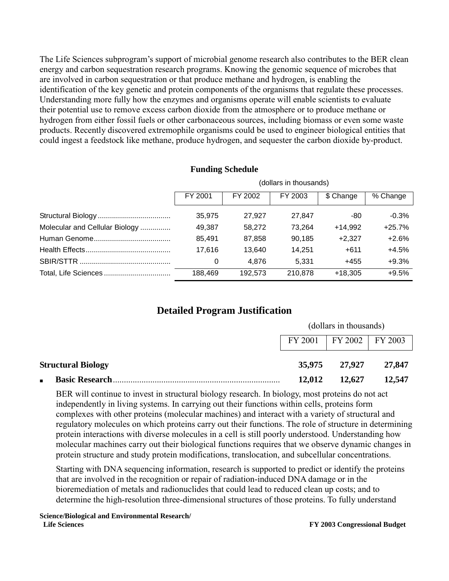The Life Sciences subprogram's support of microbial genome research also contributes to the BER clean energy and carbon sequestration research programs. Knowing the genomic sequence of microbes that are involved in carbon sequestration or that produce methane and hydrogen, is enabling the identification of the key genetic and protein components of the organisms that regulate these processes. Understanding more fully how the enzymes and organisms operate will enable scientists to evaluate their potential use to remove excess carbon dioxide from the atmosphere or to produce methane or hydrogen from either fossil fuels or other carbonaceous sources, including biomass or even some waste products. Recently discovered extremophile organisms could be used to engineer biological entities that could ingest a feedstock like methane, produce hydrogen, and sequester the carbon dioxide by-product.

|                                | (dollars in thousands) |         |         |           |          |  |  |
|--------------------------------|------------------------|---------|---------|-----------|----------|--|--|
|                                | FY 2001                | FY 2002 | FY 2003 | \$ Change | % Change |  |  |
|                                | 35,975                 | 27.927  | 27,847  | -80       | $-0.3%$  |  |  |
| Molecular and Cellular Biology | 49,387                 | 58.272  | 73,264  | $+14.992$ | $+25.7%$ |  |  |
|                                | 85.491                 | 87.858  | 90.185  | $+2.327$  | $+2.6%$  |  |  |
|                                | 17.616                 | 13,640  | 14.251  | $+611$    | $+4.5%$  |  |  |
|                                | 0                      | 4.876   | 5.331   | $+455$    | $+9.3%$  |  |  |
|                                | 188.469                | 192,573 | 210,878 | $+18.305$ | $+9.5%$  |  |  |

#### **Funding Schedule**

## **Detailed Program Justification**

|                                         | (dollars in thousands) |                                   |        |
|-----------------------------------------|------------------------|-----------------------------------|--------|
|                                         |                        | $FY 2001$   $FY 2002$   $FY 2003$ |        |
| <b>Structural Biology</b>               |                        | 35,975 27,927                     | 27,847 |
| <b>Basic Research</b><br>$\blacksquare$ | 12,012                 | 12,627                            | 12,547 |

BER will continue to invest in structural biology research. In biology, most proteins do not act independently in living systems. In carrying out their functions within cells, proteins form complexes with other proteins (molecular machines) and interact with a variety of structural and regulatory molecules on which proteins carry out their functions. The role of structure in determining protein interactions with diverse molecules in a cell is still poorly understood. Understanding how molecular machines carry out their biological functions requires that we observe dynamic changes in protein structure and study protein modifications, translocation, and subcellular concentrations.

Starting with DNA sequencing information, research is supported to predict or identify the proteins that are involved in the recognition or repair of radiation-induced DNA damage or in the bioremediation of metals and radionuclides that could lead to reduced clean up costs; and to determine the high-resolution three-dimensional structures of those proteins. To fully understand

**Science/Biological and Environmental Research/ Life Sciences FY 2003 Congressional Budget**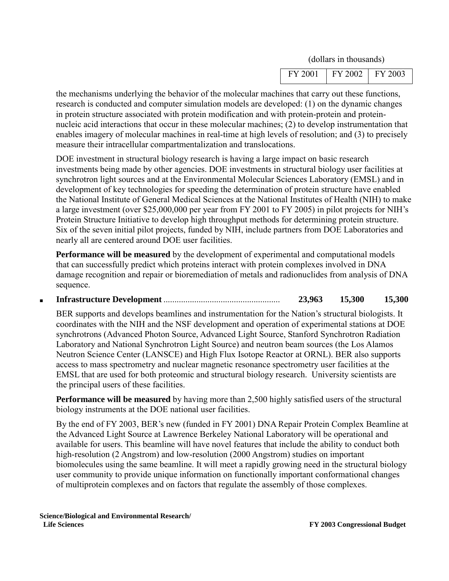| <sup>v</sup> Y 2001 | FY 2002    | FY 2003 |
|---------------------|------------|---------|
|                     | __<br>____ |         |

the mechanisms underlying the behavior of the molecular machines that carry out these functions, research is conducted and computer simulation models are developed: (1) on the dynamic changes in protein structure associated with protein modification and with protein-protein and proteinnucleic acid interactions that occur in these molecular machines; (2) to develop instrumentation that enables imagery of molecular machines in real-time at high levels of resolution; and (3) to precisely measure their intracellular compartmentalization and translocations.

DOE investment in structural biology research is having a large impact on basic research investments being made by other agencies. DOE investments in structural biology user facilities at synchrotron light sources and at the Environmental Molecular Sciences Laboratory (EMSL) and in development of key technologies for speeding the determination of protein structure have enabled the National Institute of General Medical Sciences at the National Institutes of Health (NIH) to make a large investment (over \$25,000,000 per year from FY 2001 to FY 2005) in pilot projects for NIH's Protein Structure Initiative to develop high throughput methods for determining protein structure. Six of the seven initial pilot projects, funded by NIH, include partners from DOE Laboratories and nearly all are centered around DOE user facilities.

**Performance will be measured** by the development of experimental and computational models that can successfully predict which proteins interact with protein complexes involved in DNA damage recognition and repair or bioremediation of metals and radionuclides from analysis of DNA sequence.

■ **Infrastructure Development** ..................................................... **23,963 15,300 15,300**

BER supports and develops beamlines and instrumentation for the Nation's structural biologists. It coordinates with the NIH and the NSF development and operation of experimental stations at DOE synchrotrons (Advanced Photon Source, Advanced Light Source, Stanford Synchrotron Radiation Laboratory and National Synchrotron Light Source) and neutron beam sources (the Los Alamos Neutron Science Center (LANSCE) and High Flux Isotope Reactor at ORNL). BER also supports access to mass spectrometry and nuclear magnetic resonance spectrometry user facilities at the EMSL that are used for both proteomic and structural biology research. University scientists are the principal users of these facilities.

**Performance will be measured** by having more than 2,500 highly satisfied users of the structural biology instruments at the DOE national user facilities.

By the end of FY 2003, BER's new (funded in FY 2001) DNA Repair Protein Complex Beamline at the Advanced Light Source at Lawrence Berkeley National Laboratory will be operational and available for users. This beamline will have novel features that include the ability to conduct both high-resolution (2 Angstrom) and low-resolution (2000 Angstrom) studies on important biomolecules using the same beamline. It will meet a rapidly growing need in the structural biology user community to provide unique information on functionally important conformational changes of multiprotein complexes and on factors that regulate the assembly of those complexes.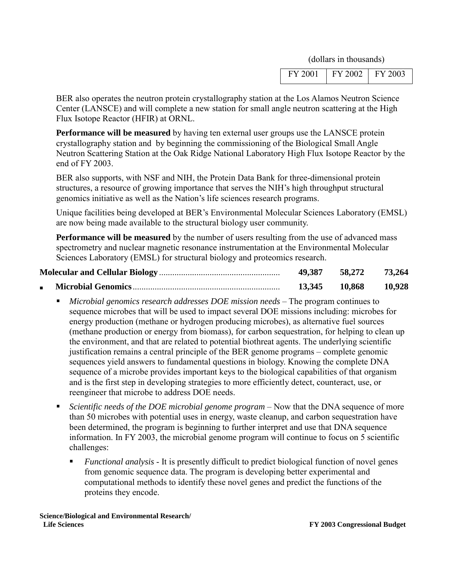|  | FY 2003 | $FY$ 2002 | FY 2001 |
|--|---------|-----------|---------|
|--|---------|-----------|---------|

BER also operates the neutron protein crystallography station at the Los Alamos Neutron Science Center (LANSCE) and will complete a new station for small angle neutron scattering at the High Flux Isotope Reactor (HFIR) at ORNL.

**Performance will be measured** by having ten external user groups use the LANSCE protein crystallography station and by beginning the commissioning of the Biological Small Angle Neutron Scattering Station at the Oak Ridge National Laboratory High Flux Isotope Reactor by the end of FY 2003.

BER also supports, with NSF and NIH, the Protein Data Bank for three-dimensional protein structures, a resource of growing importance that serves the NIH's high throughput structural genomics initiative as well as the Nation's life sciences research programs.

Unique facilities being developed at BER's Environmental Molecular Sciences Laboratory (EMSL) are now being made available to the structural biology user community.

**Performance will be measured** by the number of users resulting from the use of advanced mass spectrometry and nuclear magnetic resonance instrumentation at the Environmental Molecular Sciences Laboratory (EMSL) for structural biology and proteomics research.

| 49,387 | 58,272 | 73,264 |
|--------|--------|--------|
| 13,345 | 10.868 | 10,928 |

- *Microbial genomics research addresses DOE mission needs* The program continues to sequence microbes that will be used to impact several DOE missions including: microbes for energy production (methane or hydrogen producing microbes), as alternative fuel sources (methane production or energy from biomass), for carbon sequestration, for helping to clean up the environment, and that are related to potential biothreat agents. The underlying scientific justification remains a central principle of the BER genome programs – complete genomic sequences yield answers to fundamental questions in biology. Knowing the complete DNA sequence of a microbe provides important keys to the biological capabilities of that organism and is the first step in developing strategies to more efficiently detect, counteract, use, or reengineer that microbe to address DOE needs.
- *Scientific needs of the DOE microbial genome program* Now that the DNA sequence of more than 50 microbes with potential uses in energy, waste cleanup, and carbon sequestration have been determined, the program is beginning to further interpret and use that DNA sequence information. In FY 2003, the microbial genome program will continue to focus on 5 scientific challenges:
	- *Functional analysis* It is presently difficult to predict biological function of novel genes from genomic sequence data. The program is developing better experimental and computational methods to identify these novel genes and predict the functions of the proteins they encode.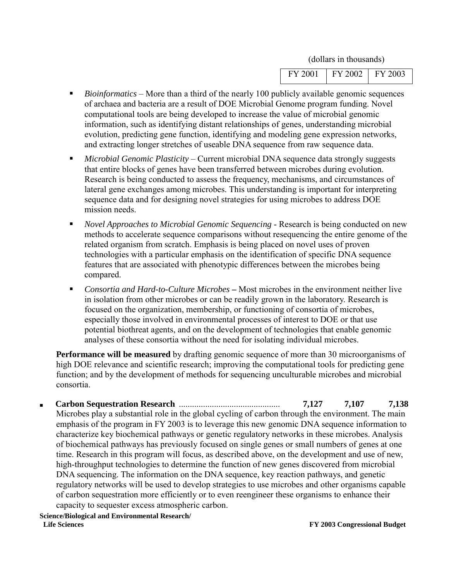| FY 2001   FY 2002   FY 2003 |  |
|-----------------------------|--|
|                             |  |

- *Bioinformatics* More than a third of the nearly 100 publicly available genomic sequences of archaea and bacteria are a result of DOE Microbial Genome program funding. Novel computational tools are being developed to increase the value of microbial genomic information, such as identifying distant relationships of genes, understanding microbial evolution, predicting gene function, identifying and modeling gene expression networks, and extracting longer stretches of useable DNA sequence from raw sequence data.
- *Microbial Genomic Plasticity* Current microbial DNA sequence data strongly suggests that entire blocks of genes have been transferred between microbes during evolution. Research is being conducted to assess the frequency, mechanisms, and circumstances of lateral gene exchanges among microbes. This understanding is important for interpreting sequence data and for designing novel strategies for using microbes to address DOE mission needs.
- *Novel Approaches to Microbial Genomic Sequencing* Research is being conducted on new methods to accelerate sequence comparisons without resequencing the entire genome of the related organism from scratch. Emphasis is being placed on novel uses of proven technologies with a particular emphasis on the identification of specific DNA sequence features that are associated with phenotypic differences between the microbes being compared.
- *Consortia and Hard-to-Culture Microbes* **–** Most microbes in the environment neither live in isolation from other microbes or can be readily grown in the laboratory. Research is focused on the organization, membership, or functioning of consortia of microbes, especially those involved in environmental processes of interest to DOE or that use potential biothreat agents, and on the development of technologies that enable genomic analyses of these consortia without the need for isolating individual microbes.

**Performance will be measured** by drafting genomic sequence of more than 30 microorganisms of high DOE relevance and scientific research; improving the computational tools for predicting gene function; and by the development of methods for sequencing unculturable microbes and microbial consortia.

■ **Carbon Sequestration Research** .............................................. **7,127 7,107 7,138** Microbes play a substantial role in the global cycling of carbon through the environment. The main emphasis of the program in FY 2003 is to leverage this new genomic DNA sequence information to characterize key biochemical pathways or genetic regulatory networks in these microbes. Analysis of biochemical pathways has previously focused on single genes or small numbers of genes at one time. Research in this program will focus, as described above, on the development and use of new, high-throughput technologies to determine the function of new genes discovered from microbial DNA sequencing. The information on the DNA sequence, key reaction pathways, and genetic regulatory networks will be used to develop strategies to use microbes and other organisms capable of carbon sequestration more efficiently or to even reengineer these organisms to enhance their capacity to sequester excess atmospheric carbon.

**Science/Biological and Environmental Research/ Life Sciences FY 2003 Congressional Budget**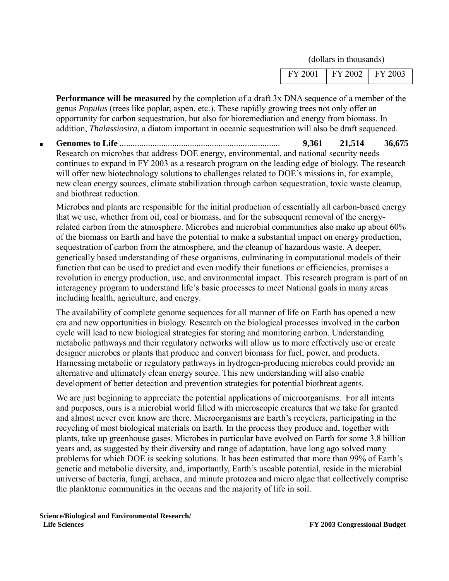| FY 2001 | FY 2002 | FY 2003 |
|---------|---------|---------|
|         |         |         |

**Performance will be measured** by the completion of a draft 3x DNA sequence of a member of the genus *Populus* (trees like poplar, aspen, etc.). These rapidly growing trees not only offer an opportunity for carbon sequestration, but also for bioremediation and energy from biomass. In addition, *Thalassiosira*, a diatom important in oceanic sequestration will also be draft sequenced.

■ **Genomes to Life** ......................................................................... **9,361 21,514 36,675** Research on microbes that address DOE energy, environmental, and national security needs continues to expand in FY 2003 as a research program on the leading edge of biology. The research will offer new biotechnology solutions to challenges related to DOE's missions in, for example, new clean energy sources, climate stabilization through carbon sequestration, toxic waste cleanup, and biothreat reduction.

Microbes and plants are responsible for the initial production of essentially all carbon-based energy that we use, whether from oil, coal or biomass, and for the subsequent removal of the energyrelated carbon from the atmosphere. Microbes and microbial communities also make up about 60% of the biomass on Earth and have the potential to make a substantial impact on energy production, sequestration of carbon from the atmosphere, and the cleanup of hazardous waste. A deeper, genetically based understanding of these organisms, culminating in computational models of their function that can be used to predict and even modify their functions or efficiencies, promises a revolution in energy production, use, and environmental impact. This research program is part of an interagency program to understand life's basic processes to meet National goals in many areas including health, agriculture, and energy.

The availability of complete genome sequences for all manner of life on Earth has opened a new era and new opportunities in biology. Research on the biological processes involved in the carbon cycle will lead to new biological strategies for storing and monitoring carbon. Understanding metabolic pathways and their regulatory networks will allow us to more effectively use or create designer microbes or plants that produce and convert biomass for fuel, power, and products. Harnessing metabolic or regulatory pathways in hydrogen-producing microbes could provide an alternative and ultimately clean energy source. This new understanding will also enable development of better detection and prevention strategies for potential biothreat agents.

We are just beginning to appreciate the potential applications of microorganisms. For all intents and purposes, ours is a microbial world filled with microscopic creatures that we take for granted and almost never even know are there. Microorganisms are Earth's recyclers, participating in the recycling of most biological materials on Earth. In the process they produce and, together with plants, take up greenhouse gases. Microbes in particular have evolved on Earth for some 3.8 billion years and, as suggested by their diversity and range of adaptation, have long ago solved many problems for which DOE is seeking solutions. It has been estimated that more than 99% of Earth's genetic and metabolic diversity, and, importantly, Earth's useable potential, reside in the microbial universe of bacteria, fungi, archaea, and minute protozoa and micro algae that collectively comprise the planktonic communities in the oceans and the majority of life in soil.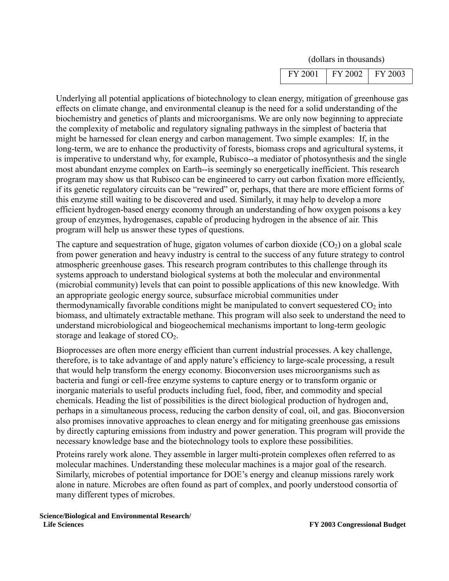| $FY 2001$   $FY 2002$   $FY 2003$ |  |
|-----------------------------------|--|
|-----------------------------------|--|

Underlying all potential applications of biotechnology to clean energy, mitigation of greenhouse gas effects on climate change, and environmental cleanup is the need for a solid understanding of the biochemistry and genetics of plants and microorganisms. We are only now beginning to appreciate the complexity of metabolic and regulatory signaling pathways in the simplest of bacteria that might be harnessed for clean energy and carbon management. Two simple examples: If, in the long-term, we are to enhance the productivity of forests, biomass crops and agricultural systems, it is imperative to understand why, for example, Rubisco--a mediator of photosynthesis and the single most abundant enzyme complex on Earth--is seemingly so energetically inefficient. This research program may show us that Rubisco can be engineered to carry out carbon fixation more efficiently, if its genetic regulatory circuits can be "rewired" or, perhaps, that there are more efficient forms of this enzyme still waiting to be discovered and used. Similarly, it may help to develop a more efficient hydrogen-based energy economy through an understanding of how oxygen poisons a key group of enzymes, hydrogenases, capable of producing hydrogen in the absence of air. This program will help us answer these types of questions.

The capture and sequestration of huge, gigaton volumes of carbon dioxide  $(CO_2)$  on a global scale from power generation and heavy industry is central to the success of any future strategy to control atmospheric greenhouse gases. This research program contributes to this challenge through its systems approach to understand biological systems at both the molecular and environmental (microbial community) levels that can point to possible applications of this new knowledge. With an appropriate geologic energy source, subsurface microbial communities under thermodynamically favorable conditions might be manipulated to convert sequestered  $CO<sub>2</sub>$  into biomass, and ultimately extractable methane. This program will also seek to understand the need to understand microbiological and biogeochemical mechanisms important to long-term geologic storage and leakage of stored  $CO<sub>2</sub>$ .

Bioprocesses are often more energy efficient than current industrial processes. A key challenge, therefore, is to take advantage of and apply nature's efficiency to large-scale processing, a result that would help transform the energy economy. Bioconversion uses microorganisms such as bacteria and fungi or cell-free enzyme systems to capture energy or to transform organic or inorganic materials to useful products including fuel, food, fiber, and commodity and special chemicals. Heading the list of possibilities is the direct biological production of hydrogen and, perhaps in a simultaneous process, reducing the carbon density of coal, oil, and gas. Bioconversion also promises innovative approaches to clean energy and for mitigating greenhouse gas emissions by directly capturing emissions from industry and power generation. This program will provide the necessary knowledge base and the biotechnology tools to explore these possibilities.

Proteins rarely work alone. They assemble in larger multi-protein complexes often referred to as molecular machines. Understanding these molecular machines is a major goal of the research. Similarly, microbes of potential importance for DOE's energy and cleanup missions rarely work alone in nature. Microbes are often found as part of complex, and poorly understood consortia of many different types of microbes.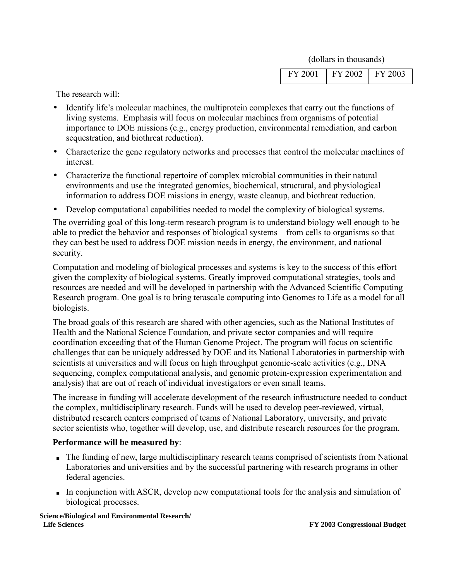| $\mid$ FY 2001   FY 2002   FY 2003 |  |  |
|------------------------------------|--|--|
|                                    |  |  |

The research will:

- Identify life's molecular machines, the multiprotein complexes that carry out the functions of living systems. Emphasis will focus on molecular machines from organisms of potential importance to DOE missions (e.g., energy production, environmental remediation, and carbon sequestration, and biothreat reduction).
- Characterize the gene regulatory networks and processes that control the molecular machines of interest.
- Characterize the functional repertoire of complex microbial communities in their natural environments and use the integrated genomics, biochemical, structural, and physiological information to address DOE missions in energy, waste cleanup, and biothreat reduction.
- Develop computational capabilities needed to model the complexity of biological systems.

The overriding goal of this long-term research program is to understand biology well enough to be able to predict the behavior and responses of biological systems – from cells to organisms so that they can best be used to address DOE mission needs in energy, the environment, and national security.

Computation and modeling of biological processes and systems is key to the success of this effort given the complexity of biological systems. Greatly improved computational strategies, tools and resources are needed and will be developed in partnership with the Advanced Scientific Computing Research program. One goal is to bring terascale computing into Genomes to Life as a model for all biologists.

The broad goals of this research are shared with other agencies, such as the National Institutes of Health and the National Science Foundation, and private sector companies and will require coordination exceeding that of the Human Genome Project. The program will focus on scientific challenges that can be uniquely addressed by DOE and its National Laboratories in partnership with scientists at universities and will focus on high throughput genomic-scale activities (e.g., DNA sequencing, complex computational analysis, and genomic protein-expression experimentation and analysis) that are out of reach of individual investigators or even small teams.

The increase in funding will accelerate development of the research infrastructure needed to conduct the complex, multidisciplinary research. Funds will be used to develop peer-reviewed, virtual, distributed research centers comprised of teams of National Laboratory, university, and private sector scientists who, together will develop, use, and distribute research resources for the program.

#### **Performance will be measured by**:

- The funding of new, large multidisciplinary research teams comprised of scientists from National Laboratories and universities and by the successful partnering with research programs in other federal agencies.
- In conjunction with ASCR, develop new computational tools for the analysis and simulation of biological processes.

**Science/Biological and Environmental Research/ Life Sciences FY 2003 Congressional Budget**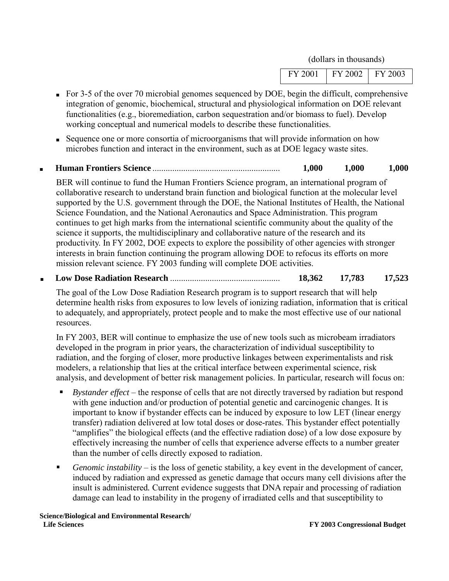| FY 2001   FY 2002   FY 2003 |  |
|-----------------------------|--|
|-----------------------------|--|

- For 3-5 of the over 70 microbial genomes sequenced by DOE, begin the difficult, comprehensive integration of genomic, biochemical, structural and physiological information on DOE relevant functionalities (e.g., bioremediation, carbon sequestration and/or biomass to fuel). Develop working conceptual and numerical models to describe these functionalities.
- Sequence one or more consortia of microorganisms that will provide information on how microbes function and interact in the environment, such as at DOE legacy waste sites.

#### ■ **Human Frontiers Science** .......................................................... **1,000 1,000 1,000**

BER will continue to fund the Human Frontiers Science program, an international program of collaborative research to understand brain function and biological function at the molecular level supported by the U.S. government through the DOE, the National Institutes of Health, the National Science Foundation, and the National Aeronautics and Space Administration. This program continues to get high marks from the international scientific community about the quality of the science it supports, the multidisciplinary and collaborative nature of the research and its productivity. In FY 2002, DOE expects to explore the possibility of other agencies with stronger interests in brain function continuing the program allowing DOE to refocus its efforts on more mission relevant science. FY 2003 funding will complete DOE activities.

■ **Low Dose Radiation Research** .................................................. **18,362 17,783 17,523**

The goal of the Low Dose Radiation Research program is to support research that will help determine health risks from exposures to low levels of ionizing radiation, information that is critical to adequately, and appropriately, protect people and to make the most effective use of our national resources.

In FY 2003, BER will continue to emphasize the use of new tools such as microbeam irradiators developed in the program in prior years, the characterization of individual susceptibility to radiation, and the forging of closer, more productive linkages between experimentalists and risk modelers, a relationship that lies at the critical interface between experimental science, risk analysis, and development of better risk management policies. In particular, research will focus on:

- *Bystander effect* the response of cells that are not directly traversed by radiation but respond with gene induction and/or production of potential genetic and carcinogenic changes. It is important to know if bystander effects can be induced by exposure to low LET (linear energy transfer) radiation delivered at low total doses or dose-rates. This bystander effect potentially "amplifies" the biological effects (and the effective radiation dose) of a low dose exposure by effectively increasing the number of cells that experience adverse effects to a number greater than the number of cells directly exposed to radiation.
- *Genomic instability* is the loss of genetic stability, a key event in the development of cancer, induced by radiation and expressed as genetic damage that occurs many cell divisions after the insult is administered*.* Current evidence suggests that DNA repair and processing of radiation damage can lead to instability in the progeny of irradiated cells and that susceptibility to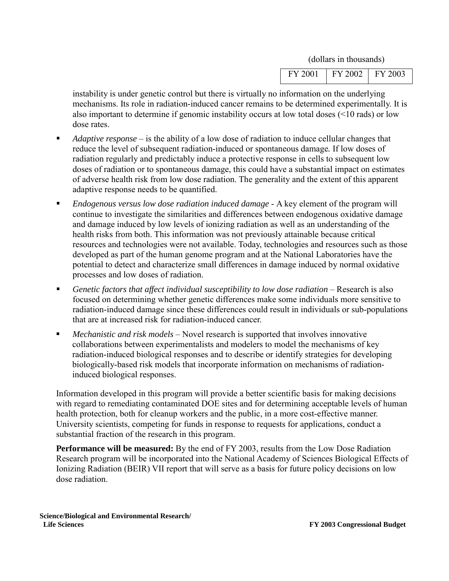| FY 2001 | FY 2002<br>$\sim$ $\sim$ | 2003<br>FV |  |
|---------|--------------------------|------------|--|
|         |                          |            |  |

instability is under genetic control but there is virtually no information on the underlying mechanisms. Its role in radiation-induced cancer remains to be determined experimentally. It is also important to determine if genomic instability occurs at low total doses (<10 rads) or low dose rates.

- *Adaptive response* is the ability of a low dose of radiation to induce cellular changes that reduce the level of subsequent radiation-induced or spontaneous damage*.* If low doses of radiation regularly and predictably induce a protective response in cells to subsequent low doses of radiation or to spontaneous damage, this could have a substantial impact on estimates of adverse health risk from low dose radiation. The generality and the extent of this apparent adaptive response needs to be quantified.
- *Endogenous versus low dose radiation induced damage* A key element of the program will continue to investigate the similarities and differences between endogenous oxidative damage and damage induced by low levels of ionizing radiation as well as an understanding of the health risks from both. This information was not previously attainable because critical resources and technologies were not available. Today, technologies and resources such as those developed as part of the human genome program and at the National Laboratories have the potential to detect and characterize small differences in damage induced by normal oxidative processes and low doses of radiation.
- *Genetic factors that affect individual susceptibility to low dose radiation* Research is also focused on determining whether genetic differences make some individuals more sensitive to radiation-induced damage since these differences could result in individuals or sub-populations that are at increased risk for radiation-induced cancer.
- *Mechanistic and risk models* Novel research is supported that involves innovative collaborations between experimentalists and modelers to model the mechanisms of key radiation-induced biological responses and to describe or identify strategies for developing biologically-based risk models that incorporate information on mechanisms of radiationinduced biological responses.

Information developed in this program will provide a better scientific basis for making decisions with regard to remediating contaminated DOE sites and for determining acceptable levels of human health protection, both for cleanup workers and the public, in a more cost-effective manner. University scientists, competing for funds in response to requests for applications, conduct a substantial fraction of the research in this program.

**Performance will be measured:** By the end of FY 2003, results from the Low Dose Radiation Research program will be incorporated into the National Academy of Sciences Biological Effects of Ionizing Radiation (BEIR) VII report that will serve as a basis for future policy decisions on low dose radiation.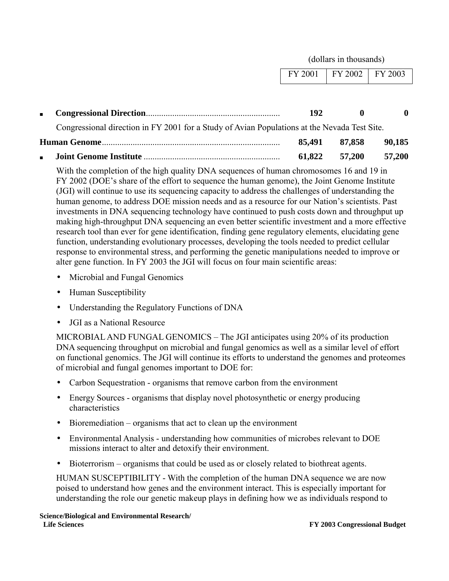|                |                                                                                              |         | (dollars in thousands) |              |
|----------------|----------------------------------------------------------------------------------------------|---------|------------------------|--------------|
|                |                                                                                              | FY 2001 | FY 2002                | FY 2003      |
|                |                                                                                              |         |                        |              |
| $\blacksquare$ |                                                                                              | 192     | O                      | $\mathbf{0}$ |
|                | Congressional direction in FY 2001 for a Study of Avian Populations at the Nevada Test Site. |         |                        |              |
|                |                                                                                              | 85,491  | 87,858                 | 90,185       |
| $\blacksquare$ |                                                                                              | 61,822  | 57,200                 | 57,200       |

With the completion of the high quality DNA sequences of human chromosomes 16 and 19 in FY 2002 (DOE's share of the effort to sequence the human genome), the Joint Genome Institute (JGI) will continue to use its sequencing capacity to address the challenges of understanding the human genome, to address DOE mission needs and as a resource for our Nation's scientists. Past investments in DNA sequencing technology have continued to push costs down and throughput up making high-throughput DNA sequencing an even better scientific investment and a more effective research tool than ever for gene identification, finding gene regulatory elements, elucidating gene function, understanding evolutionary processes, developing the tools needed to predict cellular response to environmental stress, and performing the genetic manipulations needed to improve or alter gene function. In FY 2003 the JGI will focus on four main scientific areas:

- Microbial and Fungal Genomics
- Human Susceptibility
- Understanding the Regulatory Functions of DNA
- JGI as a National Resource

MICROBIAL AND FUNGAL GENOMICS – The JGI anticipates using 20% of its production DNA sequencing throughput on microbial and fungal genomics as well as a similar level of effort on functional genomics. The JGI will continue its efforts to understand the genomes and proteomes of microbial and fungal genomes important to DOE for:

- Carbon Sequestration organisms that remove carbon from the environment
- Energy Sources organisms that display novel photosynthetic or energy producing characteristics
- Bioremediation organisms that act to clean up the environment
- Environmental Analysis understanding how communities of microbes relevant to DOE missions interact to alter and detoxify their environment.
- Bioterrorism organisms that could be used as or closely related to biothreat agents.

HUMAN SUSCEPTIBILITY - With the completion of the human DNA sequence we are now poised to understand how genes and the environment interact. This is especially important for understanding the role our genetic makeup plays in defining how we as individuals respond to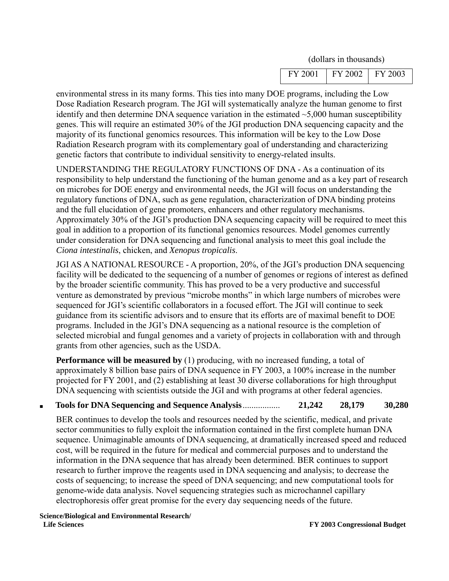| FY 2001 | FY 2002<br>__ | FY 2003 |
|---------|---------------|---------|
|         |               |         |

environmental stress in its many forms. This ties into many DOE programs, including the Low Dose Radiation Research program. The JGI will systematically analyze the human genome to first identify and then determine DNA sequence variation in the estimated  $\sim$  5,000 human susceptibility genes. This will require an estimated 30% of the JGI production DNA sequencing capacity and the majority of its functional genomics resources. This information will be key to the Low Dose Radiation Research program with its complementary goal of understanding and characterizing genetic factors that contribute to individual sensitivity to energy-related insults.

UNDERSTANDING THE REGULATORY FUNCTIONS OF DNA - As a continuation of its responsibility to help understand the functioning of the human genome and as a key part of research on microbes for DOE energy and environmental needs, the JGI will focus on understanding the regulatory functions of DNA, such as gene regulation, characterization of DNA binding proteins and the full elucidation of gene promoters, enhancers and other regulatory mechanisms. Approximately 30% of the JGI's production DNA sequencing capacity will be required to meet this goal in addition to a proportion of its functional genomics resources. Model genomes currently under consideration for DNA sequencing and functional analysis to meet this goal include the *Ciona intestinalis*, chicken, and *Xenopus tropicalis*.

JGI AS A NATIONAL RESOURCE - A proportion, 20%, of the JGI's production DNA sequencing facility will be dedicated to the sequencing of a number of genomes or regions of interest as defined by the broader scientific community. This has proved to be a very productive and successful venture as demonstrated by previous "microbe months" in which large numbers of microbes were sequenced for JGI's scientific collaborators in a focused effort. The JGI will continue to seek guidance from its scientific advisors and to ensure that its efforts are of maximal benefit to DOE programs. Included in the JGI's DNA sequencing as a national resource is the completion of selected microbial and fungal genomes and a variety of projects in collaboration with and through grants from other agencies, such as the USDA.

**Performance will be measured by** (1) producing, with no increased funding, a total of approximately 8 billion base pairs of DNA sequence in FY 2003, a 100% increase in the number projected for FY 2001, and (2) establishing at least 30 diverse collaborations for high throughput DNA sequencing with scientists outside the JGI and with programs at other federal agencies.

#### ■ **Tools for DNA Sequencing and Sequence Analysis**................. **21,242 28,179 30,280**

BER continues to develop the tools and resources needed by the scientific, medical, and private sector communities to fully exploit the information contained in the first complete human DNA sequence. Unimaginable amounts of DNA sequencing, at dramatically increased speed and reduced cost, will be required in the future for medical and commercial purposes and to understand the information in the DNA sequence that has already been determined. BER continues to support research to further improve the reagents used in DNA sequencing and analysis; to decrease the costs of sequencing; to increase the speed of DNA sequencing; and new computational tools for genome-wide data analysis. Novel sequencing strategies such as microchannel capillary electrophoresis offer great promise for the every day sequencing needs of the future.

**Science/Biological and Environmental Research/ Life Sciences FY 2003 Congressional Budget**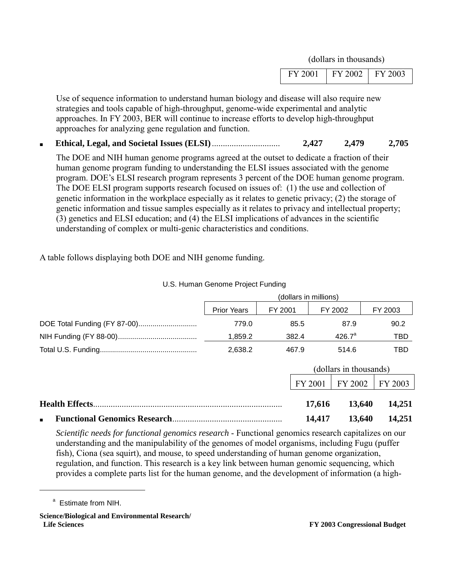| $\mid$ FY 2001 $\mid$ FY 2002 $\mid$ FY 2003 |  |
|----------------------------------------------|--|
|----------------------------------------------|--|

Use of sequence information to understand human biology and disease will also require new strategies and tools capable of high-throughput, genome-wide experimental and analytic approaches. In FY 2003, BER will continue to increase efforts to develop high-throughput approaches for analyzing gene regulation and function.

■ **Ethical, Legal, and Societal Issues (ELSI)**............................... **2,427 2,479 2,705**

The DOE and NIH human genome programs agreed at the outset to dedicate a fraction of their human genome program funding to understanding the ELSI issues associated with the genome program. DOE's ELSI research program represents 3 percent of the DOE human genome program. The DOE ELSI program supports research focused on issues of: (1) the use and collection of genetic information in the workplace especially as it relates to genetic privacy; (2) the storage of genetic information and tissue samples especially as it relates to privacy and intellectual property; (3) genetics and ELSI education; and (4) the ELSI implications of advances in the scientific understanding of complex or multi-genic characteristics and conditions.

A table follows displaying both DOE and NIH genome funding.

|                       | (dollars in millions) |         |                        |         |         |
|-----------------------|-----------------------|---------|------------------------|---------|---------|
|                       | <b>Prior Years</b>    | FY 2001 | FY 2002                |         | FY 2003 |
|                       | 779.0                 | 85.5    | 87.9                   |         | 90.2    |
|                       | 1,859.2               | 382.4   | $426.7^a$              |         | TBD     |
|                       | 2,638.2               | 467.9   | 514.6                  |         | TBD     |
|                       |                       |         | (dollars in thousands) |         |         |
|                       |                       |         | FY 2001                | FY 2002 | FY 2003 |
| <b>Health Effects</b> |                       |         | 17,616                 | 13,640  | 14,251  |
| $\blacksquare$        |                       |         | 14,417                 | 13,640  | 14,251  |

U.S. Human Genome Project Funding

*Scientific needs for functional genomics research* - Functional genomics research capitalizes on our understanding and the manipulability of the genomes of model organisms, including Fugu (puffer fish), Ciona (sea squirt), and mouse, to speed understanding of human genome organization, regulation, and function. This research is a key link between human genomic sequencing, which provides a complete parts list for the human genome, and the development of information (a high-

 $\overline{a}$ 

<sup>&</sup>lt;sup>a</sup> Estimate from NIH.

**Science/Biological and Environmental Research/ Life Sciences FY 2003 Congressional Budget**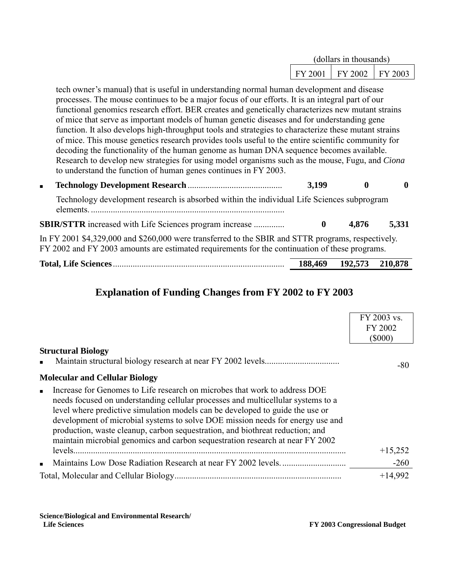|         | (dollars in thousands) |  |
|---------|------------------------|--|
| FY 2001 | FY 2002 FY 2003        |  |

tech owner's manual) that is useful in understanding normal human development and disease processes. The mouse continues to be a major focus of our efforts. It is an integral part of our functional genomics research effort. BER creates and genetically characterizes new mutant strains of mice that serve as important models of human genetic diseases and for understanding gene function. It also develops high-throughput tools and strategies to characterize these mutant strains of mice. This mouse genetics research provides tools useful to the entire scientific community for decoding the functionality of the human genome as human DNA sequence becomes available. Research to develop new strategies for using model organisms such as the mouse, Fugu, and *Ciona*  to understand the function of human genes continues in FY 2003.

■ **Technology Development Research** ........................................... **3,199 0 0** Technology development research is absorbed within the individual Life Sciences subprogram elements. ........................................................................................ **SBIR/STTR** increased with Life Sciences program increase .............. **0 4,876 5,331** In FY 2001 \$4,329,000 and \$260,000 were transferred to the SBIR and STTR programs, respectively. FY 2002 and FY 2003 amounts are estimated requirements for the continuation of these programs.

| <b>Total, Life Sciences</b> | 188,469 | 192,573 | 210.878 |
|-----------------------------|---------|---------|---------|
|                             |         |         |         |

## **Explanation of Funding Changes from FY 2002 to FY 2003**

|                                                                                                                                                                                                                                                                                                                                                                                                                                                                                                     | FY 2003 vs. |
|-----------------------------------------------------------------------------------------------------------------------------------------------------------------------------------------------------------------------------------------------------------------------------------------------------------------------------------------------------------------------------------------------------------------------------------------------------------------------------------------------------|-------------|
|                                                                                                                                                                                                                                                                                                                                                                                                                                                                                                     | FY 2002     |
|                                                                                                                                                                                                                                                                                                                                                                                                                                                                                                     | $(\$000)$   |
| <b>Structural Biology</b>                                                                                                                                                                                                                                                                                                                                                                                                                                                                           |             |
|                                                                                                                                                                                                                                                                                                                                                                                                                                                                                                     | -80         |
| <b>Molecular and Cellular Biology</b>                                                                                                                                                                                                                                                                                                                                                                                                                                                               |             |
| Increase for Genomes to Life research on microbes that work to address DOE<br>needs focused on understanding cellular processes and multicellular systems to a<br>level where predictive simulation models can be developed to guide the use or<br>development of microbial systems to solve DOE mission needs for energy use and<br>production, waste cleanup, carbon sequestration, and biothreat reduction; and<br>maintain microbial genomics and carbon sequestration research at near FY 2002 |             |
|                                                                                                                                                                                                                                                                                                                                                                                                                                                                                                     | $+15,252$   |
| $\blacksquare$                                                                                                                                                                                                                                                                                                                                                                                                                                                                                      | $-260$      |
|                                                                                                                                                                                                                                                                                                                                                                                                                                                                                                     | $+14,992$   |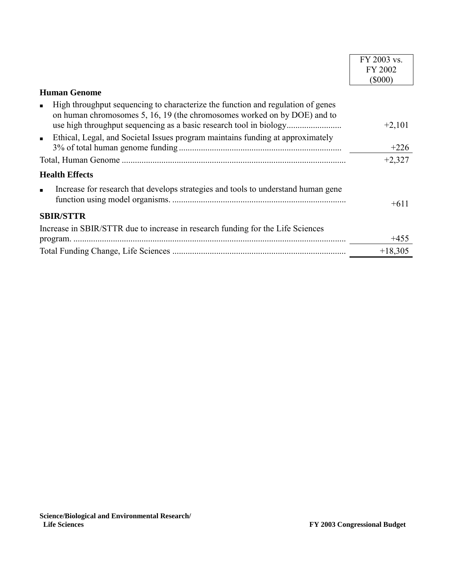|                                                                                                                                                                               | FY 2003 vs. |
|-------------------------------------------------------------------------------------------------------------------------------------------------------------------------------|-------------|
|                                                                                                                                                                               | FY 2002     |
|                                                                                                                                                                               | $(\$000)$   |
| <b>Human Genome</b>                                                                                                                                                           |             |
| High throughput sequencing to characterize the function and regulation of genes<br>$\blacksquare$<br>on human chromosomes 5, 16, 19 (the chromosomes worked on by DOE) and to | $+2,101$    |
| Ethical, Legal, and Societal Issues program maintains funding at approximately<br>$\blacksquare$                                                                              | $+226$      |
|                                                                                                                                                                               | $+2,327$    |
| <b>Health Effects</b>                                                                                                                                                         |             |
| Increase for research that develops strategies and tools to understand human gene<br>$\blacksquare$                                                                           | $+611$      |
| <b>SBIR/STTR</b>                                                                                                                                                              |             |
| Increase in SBIR/STTR due to increase in research funding for the Life Sciences                                                                                               | $+455$      |
|                                                                                                                                                                               | $+18,305$   |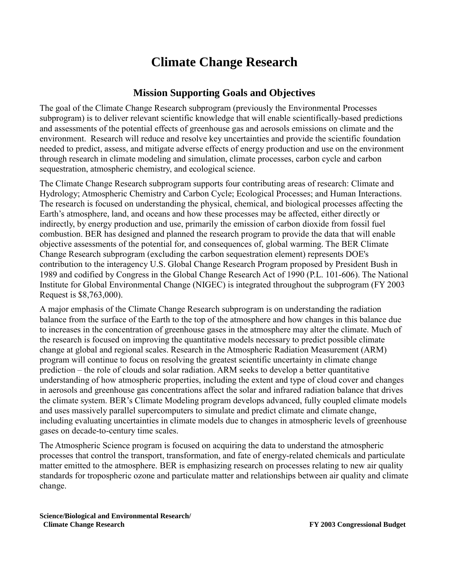# **Climate Change Research**

### **Mission Supporting Goals and Objectives**

The goal of the Climate Change Research subprogram (previously the Environmental Processes subprogram) is to deliver relevant scientific knowledge that will enable scientifically-based predictions and assessments of the potential effects of greenhouse gas and aerosols emissions on climate and the environment. Research will reduce and resolve key uncertainties and provide the scientific foundation needed to predict, assess, and mitigate adverse effects of energy production and use on the environment through research in climate modeling and simulation, climate processes, carbon cycle and carbon sequestration, atmospheric chemistry, and ecological science.

The Climate Change Research subprogram supports four contributing areas of research: Climate and Hydrology; Atmospheric Chemistry and Carbon Cycle; Ecological Processes; and Human Interactions. The research is focused on understanding the physical, chemical, and biological processes affecting the Earth's atmosphere, land, and oceans and how these processes may be affected, either directly or indirectly, by energy production and use, primarily the emission of carbon dioxide from fossil fuel combustion. BER has designed and planned the research program to provide the data that will enable objective assessments of the potential for, and consequences of, global warming. The BER Climate Change Research subprogram (excluding the carbon sequestration element) represents DOE's contribution to the interagency U.S. Global Change Research Program proposed by President Bush in 1989 and codified by Congress in the Global Change Research Act of 1990 (P.L. 101-606). The National Institute for Global Environmental Change (NIGEC) is integrated throughout the subprogram (FY 2003 Request is \$8,763,000).

A major emphasis of the Climate Change Research subprogram is on understanding the radiation balance from the surface of the Earth to the top of the atmosphere and how changes in this balance due to increases in the concentration of greenhouse gases in the atmosphere may alter the climate. Much of the research is focused on improving the quantitative models necessary to predict possible climate change at global and regional scales. Research in the Atmospheric Radiation Measurement (ARM) program will continue to focus on resolving the greatest scientific uncertainty in climate change prediction – the role of clouds and solar radiation. ARM seeks to develop a better quantitative understanding of how atmospheric properties, including the extent and type of cloud cover and changes in aerosols and greenhouse gas concentrations affect the solar and infrared radiation balance that drives the climate system. BER's Climate Modeling program develops advanced, fully coupled climate models and uses massively parallel supercomputers to simulate and predict climate and climate change, including evaluating uncertainties in climate models due to changes in atmospheric levels of greenhouse gases on decade-to-century time scales.

The Atmospheric Science program is focused on acquiring the data to understand the atmospheric processes that control the transport, transformation, and fate of energy-related chemicals and particulate matter emitted to the atmosphere. BER is emphasizing research on processes relating to new air quality standards for tropospheric ozone and particulate matter and relationships between air quality and climate change.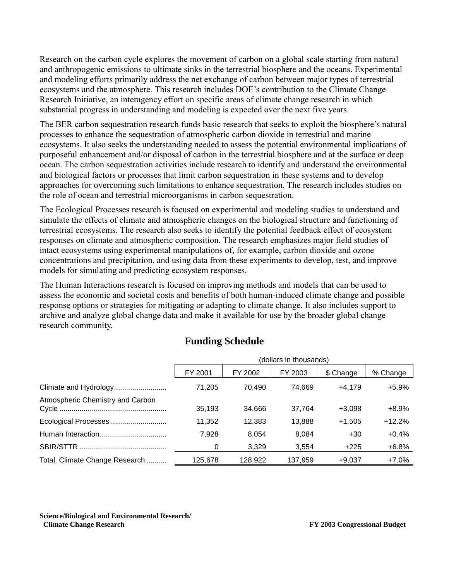Research on the carbon cycle explores the movement of carbon on a global scale starting from natural and anthropogenic emissions to ultimate sinks in the terrestrial biosphere and the oceans. Experimental and modeling efforts primarily address the net exchange of carbon between major types of terrestrial ecosystems and the atmosphere. This research includes DOE's contribution to the Climate Change Research Initiative, an interagency effort on specific areas of climate change research in which substantial progress in understanding and modeling is expected over the next five years.

The BER carbon sequestration research funds basic research that seeks to exploit the biosphere's natural processes to enhance the sequestration of atmospheric carbon dioxide in terrestrial and marine ecosystems. It also seeks the understanding needed to assess the potential environmental implications of purposeful enhancement and/or disposal of carbon in the terrestrial biosphere and at the surface or deep ocean. The carbon sequestration activities include research to identify and understand the environmental and biological factors or processes that limit carbon sequestration in these systems and to develop approaches for overcoming such limitations to enhance sequestration. The research includes studies on the role of ocean and terrestrial microorganisms in carbon sequestration.

The Ecological Processes research is focused on experimental and modeling studies to understand and simulate the effects of climate and atmospheric changes on the biological structure and functioning of terrestrial ecosystems. The research also seeks to identify the potential feedback effect of ecosystem responses on climate and atmospheric composition. The research emphasizes major field studies of intact ecosystems using experimental manipulations of, for example, carbon dioxide and ozone concentrations and precipitation, and using data from these experiments to develop, test, and improve models for simulating and predicting ecosystem responses.

The Human Interactions research is focused on improving methods and models that can be used to assess the economic and societal costs and benefits of both human-induced climate change and possible response options or strategies for mitigating or adapting to climate change. It also includes support to archive and analyze global change data and make it available for use by the broader global change research community.

### **Funding Schedule**

|                                  | (dollars in thousands) |         |         |           |          |
|----------------------------------|------------------------|---------|---------|-----------|----------|
|                                  | FY 2001                | FY 2002 | FY 2003 | \$ Change | % Change |
| Climate and Hydrology            | 71,205                 | 70.490  | 74.669  | $+4.179$  | $+5.9%$  |
| Atmospheric Chemistry and Carbon | 35,193                 | 34.666  | 37,764  | $+3.098$  | $+8.9%$  |
| Ecological Processes             | 11,352                 | 12,383  | 13,888  | $+1.505$  | $+12.2%$ |
|                                  | 7,928                  | 8.054   | 8.084   | $+30$     | $+0.4%$  |
|                                  | 0                      | 3.329   | 3.554   | $+225$    | $+6.8%$  |
| Total, Climate Change Research   | 125,678                | 128,922 | 137.959 | $+9.037$  | $+7.0%$  |

**Science/Biological and Environmental Research/ Climate Change Research EXECUTE: EXECUTE: FX** 2003 Congressional Budget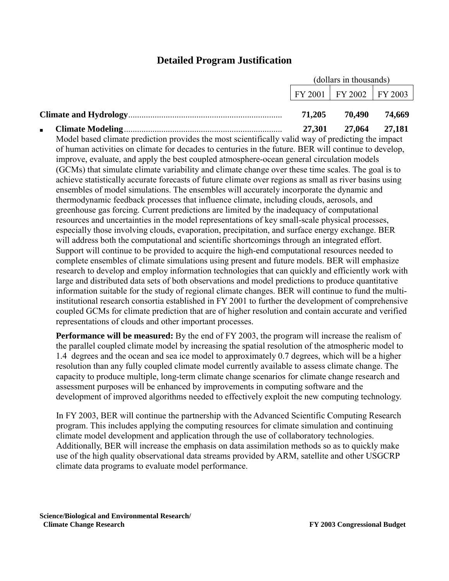## **Detailed Program Justification**

|        | (dollars in thousands)      |               |  |
|--------|-----------------------------|---------------|--|
|        | FY 2001   FY 2002   FY 2003 |               |  |
| 71.205 |                             | 70.490 74.669 |  |
|        | 27,301 27,064 27,181        |               |  |

Model based climate prediction provides the most scientifically valid way of predicting the impact of human activities on climate for decades to centuries in the future. BER will continue to develop, improve, evaluate, and apply the best coupled atmosphere-ocean general circulation models (GCMs) that simulate climate variability and climate change over these time scales. The goal is to achieve statistically accurate forecasts of future climate over regions as small as river basins using ensembles of model simulations. The ensembles will accurately incorporate the dynamic and thermodynamic feedback processes that influence climate, including clouds, aerosols, and greenhouse gas forcing. Current predictions are limited by the inadequacy of computational resources and uncertainties in the model representations of key small-scale physical processes, especially those involving clouds, evaporation, precipitation, and surface energy exchange. BER will address both the computational and scientific shortcomings through an integrated effort. Support will continue to be provided to acquire the high-end computational resources needed to complete ensembles of climate simulations using present and future models. BER will emphasize research to develop and employ information technologies that can quickly and efficiently work with large and distributed data sets of both observations and model predictions to produce quantitative information suitable for the study of regional climate changes. BER will continue to fund the multiinstitutional research consortia established in FY 2001 to further the development of comprehensive coupled GCMs for climate prediction that are of higher resolution and contain accurate and verified representations of clouds and other important processes.

**Performance will be measured:** By the end of FY 2003, the program will increase the realism of the parallel coupled climate model by increasing the spatial resolution of the atmospheric model to 1.4 degrees and the ocean and sea ice model to approximately 0.7 degrees, which will be a higher resolution than any fully coupled climate model currently available to assess climate change. The capacity to produce multiple, long-term climate change scenarios for climate change research and assessment purposes will be enhanced by improvements in computing software and the development of improved algorithms needed to effectively exploit the new computing technology.

In FY 2003, BER will continue the partnership with the Advanced Scientific Computing Research program. This includes applying the computing resources for climate simulation and continuing climate model development and application through the use of collaboratory technologies. Additionally, BER will increase the emphasis on data assimilation methods so as to quickly make use of the high quality observational data streams provided by ARM, satellite and other USGCRP climate data programs to evaluate model performance.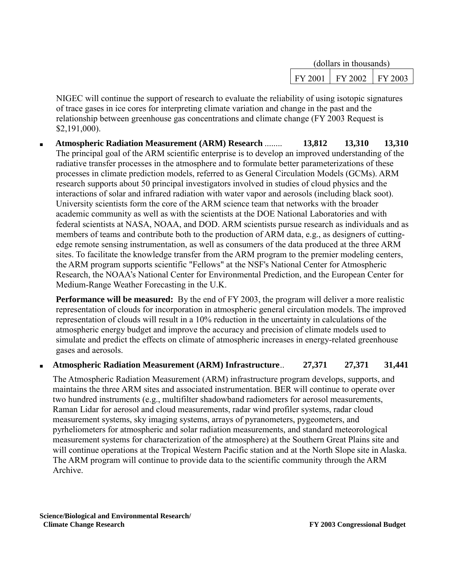| (dollars in thousands) |         |         |  |
|------------------------|---------|---------|--|
| FY 2001                | FY 2002 | FY 2003 |  |

NIGEC will continue the support of research to evaluate the reliability of using isotopic signatures of trace gases in ice cores for interpreting climate variation and change in the past and the relationship between greenhouse gas concentrations and climate change (FY 2003 Request is \$2,191,000).

■ **Atmospheric Radiation Measurement (ARM) Research** ........ **13,812 13,310 13,310** The principal goal of the ARM scientific enterprise is to develop an improved understanding of the radiative transfer processes in the atmosphere and to formulate better parameterizations of these processes in climate prediction models, referred to as General Circulation Models (GCMs). ARM research supports about 50 principal investigators involved in studies of cloud physics and the interactions of solar and infrared radiation with water vapor and aerosols (including black soot). University scientists form the core of the ARM science team that networks with the broader academic community as well as with the scientists at the DOE National Laboratories and with federal scientists at NASA, NOAA, and DOD. ARM scientists pursue research as individuals and as members of teams and contribute both to the production of ARM data, e.g., as designers of cuttingedge remote sensing instrumentation, as well as consumers of the data produced at the three ARM sites. To facilitate the knowledge transfer from the ARM program to the premier modeling centers, the ARM program supports scientific "Fellows" at the NSF's National Center for Atmospheric Research, the NOAA's National Center for Environmental Prediction, and the European Center for Medium-Range Weather Forecasting in the U.K.

**Performance will be measured:** By the end of FY 2003, the program will deliver a more realistic representation of clouds for incorporation in atmospheric general circulation models. The improved representation of clouds will result in a 10% reduction in the uncertainty in calculations of the atmospheric energy budget and improve the accuracy and precision of climate models used to simulate and predict the effects on climate of atmospheric increases in energy-related greenhouse gases and aerosols.

#### ■ **Atmospheric Radiation Measurement (ARM) Infrastructure**.. **27,371 27,371 31,441**

The Atmospheric Radiation Measurement (ARM) infrastructure program develops, supports, and maintains the three ARM sites and associated instrumentation. BER will continue to operate over two hundred instruments (e.g., multifilter shadowband radiometers for aerosol measurements, Raman Lidar for aerosol and cloud measurements, radar wind profiler systems, radar cloud measurement systems, sky imaging systems, arrays of pyranometers, pygeometers, and pyrheliometers for atmospheric and solar radiation measurements, and standard meteorological measurement systems for characterization of the atmosphere) at the Southern Great Plains site and will continue operations at the Tropical Western Pacific station and at the North Slope site in Alaska. The ARM program will continue to provide data to the scientific community through the ARM Archive.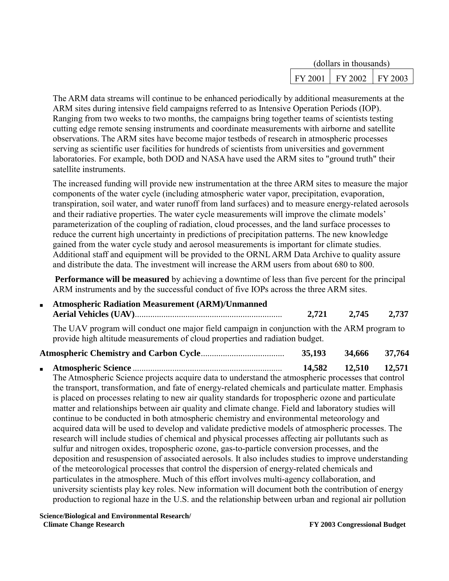| (dollars in thousands) |         |         |  |
|------------------------|---------|---------|--|
| FY 2001                | FY 2002 | FY 2003 |  |

The ARM data streams will continue to be enhanced periodically by additional measurements at the ARM sites during intensive field campaigns referred to as Intensive Operation Periods (IOP). Ranging from two weeks to two months, the campaigns bring together teams of scientists testing cutting edge remote sensing instruments and coordinate measurements with airborne and satellite observations. The ARM sites have become major testbeds of research in atmospheric processes serving as scientific user facilities for hundreds of scientists from universities and government laboratories. For example, both DOD and NASA have used the ARM sites to "ground truth" their satellite instruments.

The increased funding will provide new instrumentation at the three ARM sites to measure the major components of the water cycle (including atmospheric water vapor, precipitation, evaporation, transpiration, soil water, and water runoff from land surfaces) and to measure energy-related aerosols and their radiative properties. The water cycle measurements will improve the climate models' parameterization of the coupling of radiation, cloud processes, and the land surface processes to reduce the current high uncertainty in predictions of precipitation patterns. The new knowledge gained from the water cycle study and aerosol measurements is important for climate studies. Additional staff and equipment will be provided to the ORNL ARM Data Archive to quality assure and distribute the data. The investment will increase the ARM users from about 680 to 800.

**Performance will be measured** by achieving a downtime of less than five percent for the principal ARM instruments and by the successful conduct of five IOPs across the three ARM sites.

■ **Atmospheric Radiation Measurement (ARM)/Unmanned Aerial Vehicles (UAV)**................................................................... **2,721 2,745 2,737**

The UAV program will conduct one major field campaign in conjunction with the ARM program to provide high altitude measurements of cloud properties and radiation budget.

### **Atmospheric Chemistry and Carbon Cycle**...................................... **35,193 34,666 37,764**

■ **Atmospheric Science** .................................................................... **14,582 12,510 12,571**

The Atmospheric Science projects acquire data to understand the atmospheric processes that control the transport, transformation, and fate of energy-related chemicals and particulate matter. Emphasis is placed on processes relating to new air quality standards for tropospheric ozone and particulate matter and relationships between air quality and climate change. Field and laboratory studies will continue to be conducted in both atmospheric chemistry and environmental meteorology and acquired data will be used to develop and validate predictive models of atmospheric processes. The research will include studies of chemical and physical processes affecting air pollutants such as sulfur and nitrogen oxides, tropospheric ozone, gas-to-particle conversion processes, and the deposition and resuspension of associated aerosols. It also includes studies to improve understanding of the meteorological processes that control the dispersion of energy-related chemicals and particulates in the atmosphere. Much of this effort involves multi-agency collaboration, and university scientists play key roles. New information will document both the contribution of energy production to regional haze in the U.S. and the relationship between urban and regional air pollution

**Science/Biological and Environmental Research/ Climate Change Research EXEC 2003** Congressional Budget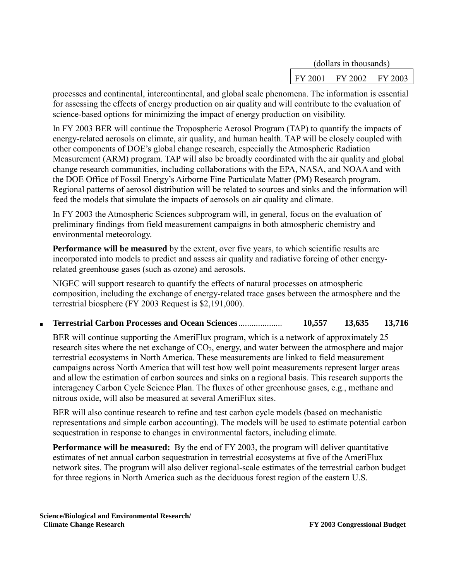| (dollars in thousands) |         |         |  |
|------------------------|---------|---------|--|
| FY 2001                | FY 2002 | FY 2003 |  |

processes and continental, intercontinental, and global scale phenomena. The information is essential for assessing the effects of energy production on air quality and will contribute to the evaluation of science-based options for minimizing the impact of energy production on visibility.

In FY 2003 BER will continue the Tropospheric Aerosol Program (TAP) to quantify the impacts of energy-related aerosols on climate, air quality, and human health. TAP will be closely coupled with other components of DOE's global change research, especially the Atmospheric Radiation Measurement (ARM) program. TAP will also be broadly coordinated with the air quality and global change research communities, including collaborations with the EPA, NASA, and NOAA and with the DOE Office of Fossil Energy's Airborne Fine Particulate Matter (PM) Research program. Regional patterns of aerosol distribution will be related to sources and sinks and the information will feed the models that simulate the impacts of aerosols on air quality and climate.

In FY 2003 the Atmospheric Sciences subprogram will, in general, focus on the evaluation of preliminary findings from field measurement campaigns in both atmospheric chemistry and environmental meteorology.

**Performance will be measured** by the extent, over five years, to which scientific results are incorporated into models to predict and assess air quality and radiative forcing of other energyrelated greenhouse gases (such as ozone) and aerosols.

NIGEC will support research to quantify the effects of natural processes on atmospheric composition, including the exchange of energy-related trace gases between the atmosphere and the terrestrial biosphere (FY 2003 Request is \$2,191,000).

■ **Terrestrial Carbon Processes and Ocean Sciences**.................... **10,557 13,635 13,716**

BER will continue supporting the AmeriFlux program, which is a network of approximately 25 research sites where the net exchange of  $CO<sub>2</sub>$ , energy, and water between the atmosphere and major terrestrial ecosystems in North America. These measurements are linked to field measurement campaigns across North America that will test how well point measurements represent larger areas and allow the estimation of carbon sources and sinks on a regional basis. This research supports the interagency Carbon Cycle Science Plan. The fluxes of other greenhouse gases, e.g., methane and nitrous oxide, will also be measured at several AmeriFlux sites.

BER will also continue research to refine and test carbon cycle models (based on mechanistic representations and simple carbon accounting). The models will be used to estimate potential carbon sequestration in response to changes in environmental factors, including climate.

**Performance will be measured:** By the end of FY 2003, the program will deliver quantitative estimates of net annual carbon sequestration in terrestrial ecosystems at five of the AmeriFlux network sites. The program will also deliver regional-scale estimates of the terrestrial carbon budget for three regions in North America such as the deciduous forest region of the eastern U.S.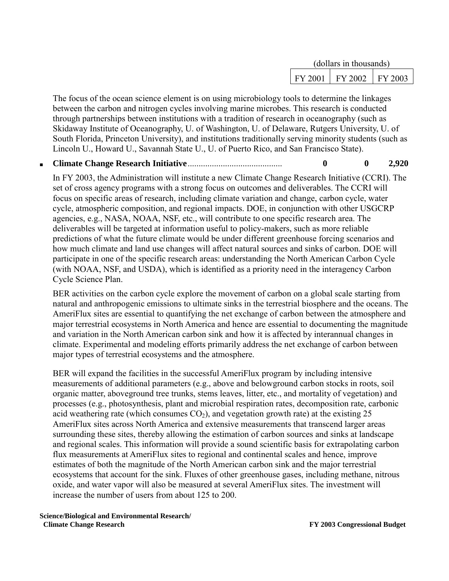| (dollars in thousands) |         |         |  |
|------------------------|---------|---------|--|
| FY 2001                | FY 2002 | FY 2003 |  |

The focus of the ocean science element is on using microbiology tools to determine the linkages between the carbon and nitrogen cycles involving marine microbes. This research is conducted through partnerships between institutions with a tradition of research in oceanography (such as Skidaway Institute of Oceanography, U. of Washington, U. of Delaware, Rutgers University, U. of South Florida, Princeton University), and institutions traditionally serving minority students (such as Lincoln U., Howard U., Savannah State U., U. of Puerto Rico, and San Francisco State).

#### ■ **Climate Change Research Initiative**........................................... **0 0 2,920**

In FY 2003, the Administration will institute a new Climate Change Research Initiative (CCRI). The set of cross agency programs with a strong focus on outcomes and deliverables. The CCRI will focus on specific areas of research, including climate variation and change, carbon cycle, water cycle, atmospheric composition, and regional impacts. DOE, in conjunction with other USGCRP agencies, e.g., NASA, NOAA, NSF, etc., will contribute to one specific research area. The deliverables will be targeted at information useful to policy-makers, such as more reliable predictions of what the future climate would be under different greenhouse forcing scenarios and how much climate and land use changes will affect natural sources and sinks of carbon. DOE will participate in one of the specific research areas: understanding the North American Carbon Cycle (with NOAA, NSF, and USDA), which is identified as a priority need in the interagency Carbon Cycle Science Plan.

BER activities on the carbon cycle explore the movement of carbon on a global scale starting from natural and anthropogenic emissions to ultimate sinks in the terrestrial biosphere and the oceans. The AmeriFlux sites are essential to quantifying the net exchange of carbon between the atmosphere and major terrestrial ecosystems in North America and hence are essential to documenting the magnitude and variation in the North American carbon sink and how it is affected by interannual changes in climate. Experimental and modeling efforts primarily address the net exchange of carbon between major types of terrestrial ecosystems and the atmosphere.

BER will expand the facilities in the successful AmeriFlux program by including intensive measurements of additional parameters (e.g., above and belowground carbon stocks in roots, soil organic matter, aboveground tree trunks, stems leaves, litter, etc., and mortality of vegetation) and processes (e.g., photosynthesis, plant and microbial respiration rates, decomposition rate, carbonic acid weathering rate (which consumes  $CO<sub>2</sub>$ ), and vegetation growth rate) at the existing 25 AmeriFlux sites across North America and extensive measurements that transcend larger areas surrounding these sites, thereby allowing the estimation of carbon sources and sinks at landscape and regional scales. This information will provide a sound scientific basis for extrapolating carbon flux measurements at AmeriFlux sites to regional and continental scales and hence, improve estimates of both the magnitude of the North American carbon sink and the major terrestrial ecosystems that account for the sink. Fluxes of other greenhouse gases, including methane, nitrous oxide, and water vapor will also be measured at several AmeriFlux sites. The investment will increase the number of users from about 125 to 200.

**Science/Biological and Environmental Research/ Climate Change Research EXEC 2003** Congressional Budget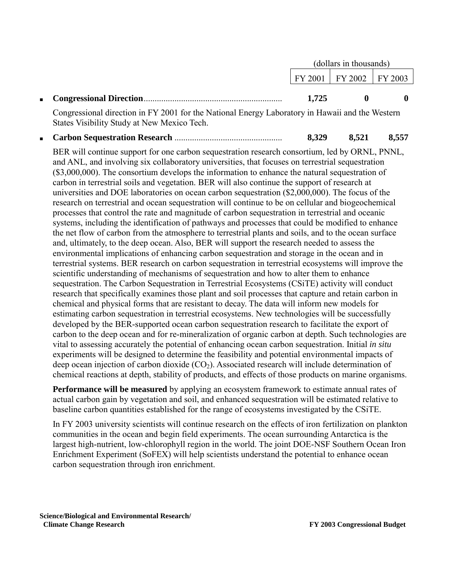|  |       | $FY 2001$   $FY 2002$   $FY 2003$ |  |
|--|-------|-----------------------------------|--|
|  | 1.725 |                                   |  |

Congressional direction in FY 2001 for the National Energy Laboratory in Hawaii and the Western States Visibility Study at New Mexico Tech.

■ **Carbon Sequestration Research** ................................................. **8,329 8,521 8,557**

BER will continue support for one carbon sequestration research consortium, led by ORNL, PNNL, and ANL, and involving six collaboratory universities, that focuses on terrestrial sequestration (\$3,000,000). The consortium develops the information to enhance the natural sequestration of carbon in terrestrial soils and vegetation. BER will also continue the support of research at universities and DOE laboratories on ocean carbon sequestration (\$2,000,000). The focus of the research on terrestrial and ocean sequestration will continue to be on cellular and biogeochemical processes that control the rate and magnitude of carbon sequestration in terrestrial and oceanic systems, including the identification of pathways and processes that could be modified to enhance the net flow of carbon from the atmosphere to terrestrial plants and soils, and to the ocean surface and, ultimately, to the deep ocean. Also, BER will support the research needed to assess the environmental implications of enhancing carbon sequestration and storage in the ocean and in terrestrial systems. BER research on carbon sequestration in terrestrial ecosystems will improve the scientific understanding of mechanisms of sequestration and how to alter them to enhance sequestration. The Carbon Sequestration in Terrestrial Ecosystems (CSiTE) activity will conduct research that specifically examines those plant and soil processes that capture and retain carbon in chemical and physical forms that are resistant to decay. The data will inform new models for estimating carbon sequestration in terrestrial ecosystems. New technologies will be successfully developed by the BER-supported ocean carbon sequestration research to facilitate the export of carbon to the deep ocean and for re-mineralization of organic carbon at depth. Such technologies are vital to assessing accurately the potential of enhancing ocean carbon sequestration. Initial *in situ* experiments will be designed to determine the feasibility and potential environmental impacts of deep ocean injection of carbon dioxide  $(CO<sub>2</sub>)$ . Associated research will include determination of chemical reactions at depth, stability of products, and effects of those products on marine organisms.

**Performance will be measured** by applying an ecosystem framework to estimate annual rates of actual carbon gain by vegetation and soil, and enhanced sequestration will be estimated relative to baseline carbon quantities established for the range of ecosystems investigated by the CSiTE.

In FY 2003 university scientists will continue research on the effects of iron fertilization on plankton communities in the ocean and begin field experiments. The ocean surrounding Antarctica is the largest high-nutrient, low-chlorophyll region in the world. The joint DOE-NSF Southern Ocean Iron Enrichment Experiment (SoFEX) will help scientists understand the potential to enhance ocean carbon sequestration through iron enrichment.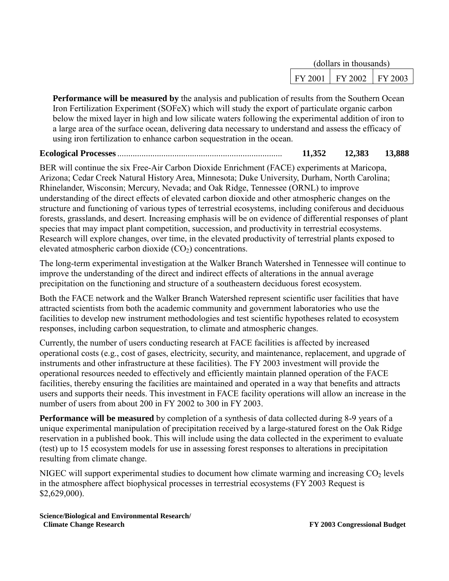| (dollars in thousands) |         |         |  |
|------------------------|---------|---------|--|
| FY 2001                | FY 2002 | FY 2003 |  |

**Performance will be measured by** the analysis and publication of results from the Southern Ocean Iron Fertilization Experiment (SOFeX) which will study the export of particulate organic carbon below the mixed layer in high and low silicate waters following the experimental addition of iron to a large area of the surface ocean, delivering data necessary to understand and assess the efficacy of using iron fertilization to enhance carbon sequestration in the ocean.

### **Ecological Processes**........................................................................... **11,352 12,383 13,888**

BER will continue the six Free-Air Carbon Dioxide Enrichment (FACE) experiments at Maricopa, Arizona; Cedar Creek Natural History Area, Minnesota; Duke University, Durham, North Carolina; Rhinelander, Wisconsin; Mercury, Nevada; and Oak Ridge, Tennessee (ORNL) to improve understanding of the direct effects of elevated carbon dioxide and other atmospheric changes on the structure and functioning of various types of terrestrial ecosystems, including coniferous and deciduous forests, grasslands, and desert. Increasing emphasis will be on evidence of differential responses of plant species that may impact plant competition, succession, and productivity in terrestrial ecosystems. Research will explore changes, over time, in the elevated productivity of terrestrial plants exposed to elevated atmospheric carbon dioxide  $(CO<sub>2</sub>)$  concentrations.

The long-term experimental investigation at the Walker Branch Watershed in Tennessee will continue to improve the understanding of the direct and indirect effects of alterations in the annual average precipitation on the functioning and structure of a southeastern deciduous forest ecosystem.

Both the FACE network and the Walker Branch Watershed represent scientific user facilities that have attracted scientists from both the academic community and government laboratories who use the facilities to develop new instrument methodologies and test scientific hypotheses related to ecosystem responses, including carbon sequestration, to climate and atmospheric changes.

Currently, the number of users conducting research at FACE facilities is affected by increased operational costs (e.g., cost of gases, electricity, security, and maintenance, replacement, and upgrade of instruments and other infrastructure at these facilities). The FY 2003 investment will provide the operational resources needed to effectively and efficiently maintain planned operation of the FACE facilities, thereby ensuring the facilities are maintained and operated in a way that benefits and attracts users and supports their needs. This investment in FACE facility operations will allow an increase in the number of users from about 200 in FY 2002 to 300 in FY 2003.

**Performance will be measured** by completion of a synthesis of data collected during 8-9 years of a unique experimental manipulation of precipitation received by a large-statured forest on the Oak Ridge reservation in a published book. This will include using the data collected in the experiment to evaluate (test) up to 15 ecosystem models for use in assessing forest responses to alterations in precipitation resulting from climate change.

NIGEC will support experimental studies to document how climate warming and increasing  $CO<sub>2</sub>$  levels in the atmosphere affect biophysical processes in terrestrial ecosystems (FY 2003 Request is \$2,629,000).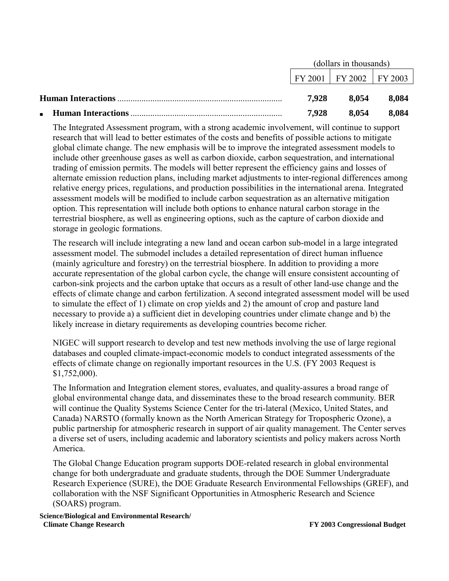|                                             |       | (dollars in thousands)            |       |
|---------------------------------------------|-------|-----------------------------------|-------|
|                                             |       | $FY 2001$   $FY 2002$   $FY 2003$ |       |
|                                             | 7.928 | 8.054                             | 8.084 |
| <b>Human Interactions</b><br>$\blacksquare$ | 7.928 | 8.054                             | 8.084 |

The Integrated Assessment program, with a strong academic involvement, will continue to support research that will lead to better estimates of the costs and benefits of possible actions to mitigate global climate change. The new emphasis will be to improve the integrated assessment models to include other greenhouse gases as well as carbon dioxide, carbon sequestration, and international trading of emission permits. The models will better represent the efficiency gains and losses of alternate emission reduction plans, including market adjustments to inter-regional differences among relative energy prices, regulations, and production possibilities in the international arena. Integrated assessment models will be modified to include carbon sequestration as an alternative mitigation option. This representation will include both options to enhance natural carbon storage in the terrestrial biosphere, as well as engineering options, such as the capture of carbon dioxide and storage in geologic formations.

The research will include integrating a new land and ocean carbon sub-model in a large integrated assessment model. The submodel includes a detailed representation of direct human influence (mainly agriculture and forestry) on the terrestrial biosphere. In addition to providing a more accurate representation of the global carbon cycle, the change will ensure consistent accounting of carbon-sink projects and the carbon uptake that occurs as a result of other land-use change and the effects of climate change and carbon fertilization. A second integrated assessment model will be used to simulate the effect of 1) climate on crop yields and 2) the amount of crop and pasture land necessary to provide a) a sufficient diet in developing countries under climate change and b) the likely increase in dietary requirements as developing countries become richer.

NIGEC will support research to develop and test new methods involving the use of large regional databases and coupled climate-impact-economic models to conduct integrated assessments of the effects of climate change on regionally important resources in the U.S. (FY 2003 Request is \$1,752,000).

The Information and Integration element stores, evaluates, and quality-assures a broad range of global environmental change data, and disseminates these to the broad research community. BER will continue the Quality Systems Science Center for the tri-lateral (Mexico, United States, and Canada) NARSTO (formally known as the North American Strategy for Tropospheric Ozone), a public partnership for atmospheric research in support of air quality management. The Center serves a diverse set of users, including academic and laboratory scientists and policy makers across North America.

The Global Change Education program supports DOE-related research in global environmental change for both undergraduate and graduate students, through the DOE Summer Undergraduate Research Experience (SURE), the DOE Graduate Research Environmental Fellowships (GREF), and collaboration with the NSF Significant Opportunities in Atmospheric Research and Science (SOARS) program.

**Science/Biological and Environmental Research/ Climate Change Research EXEC 2003** Congressional Budget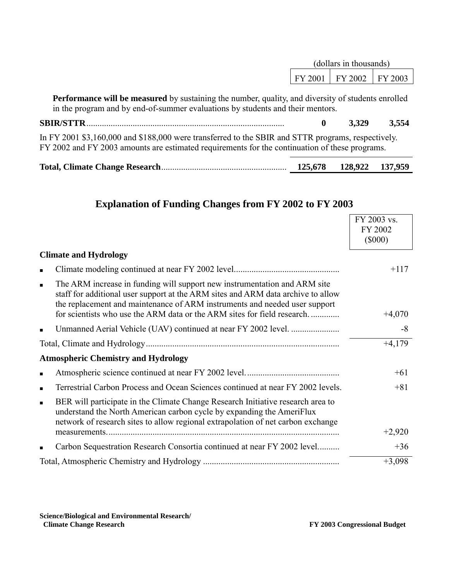|                                                                                                                                                                                                      | (dollars in thousands) |         |         |
|------------------------------------------------------------------------------------------------------------------------------------------------------------------------------------------------------|------------------------|---------|---------|
|                                                                                                                                                                                                      | FY 2001                | FY 2002 | FY 2003 |
| <b>Performance will be measured</b> by sustaining the number, quality, and diversity of students enrolled<br>in the program and by end-of-summer evaluations by students and their mentors.          |                        |         |         |
| <b>SBIR/STTR</b>                                                                                                                                                                                     | 0                      | 3,329   | 3,554   |
| In FY 2001 \$3,160,000 and \$188,000 were transferred to the SBIR and STTR programs, respectively.<br>FY 2002 and FY 2003 amounts are estimated requirements for the continuation of these programs. |                        |         |         |

| 125,678 128,922 137,959 |  |
|-------------------------|--|
|                         |  |

|                |                                                                                                                                                                                                                                              | FY 2003 vs.<br>FY 2002<br>$(\$000)$ |
|----------------|----------------------------------------------------------------------------------------------------------------------------------------------------------------------------------------------------------------------------------------------|-------------------------------------|
|                | <b>Climate and Hydrology</b>                                                                                                                                                                                                                 |                                     |
|                |                                                                                                                                                                                                                                              | $+117$                              |
| $\blacksquare$ | The ARM increase in funding will support new instrumentation and ARM site<br>staff for additional user support at the ARM sites and ARM data archive to allow<br>the replacement and maintenance of ARM instruments and needed user support  |                                     |
|                | for scientists who use the ARM data or the ARM sites for field research                                                                                                                                                                      | $+4,070$                            |
|                |                                                                                                                                                                                                                                              | $-8$                                |
|                |                                                                                                                                                                                                                                              | $+4,179$                            |
|                | <b>Atmospheric Chemistry and Hydrology</b>                                                                                                                                                                                                   |                                     |
| $\blacksquare$ |                                                                                                                                                                                                                                              | $+61$                               |
| п              | Terrestrial Carbon Process and Ocean Sciences continued at near FY 2002 levels.                                                                                                                                                              | $+81$                               |
| $\blacksquare$ | BER will participate in the Climate Change Research Initiative research area to<br>understand the North American carbon cycle by expanding the AmeriFlux<br>network of research sites to allow regional extrapolation of net carbon exchange |                                     |
|                | measurements.                                                                                                                                                                                                                                | $+2,920$                            |
|                | Carbon Sequestration Research Consortia continued at near FY 2002 level                                                                                                                                                                      | $+36$                               |
|                |                                                                                                                                                                                                                                              | $+3,098$                            |

## **Explanation of Funding Changes from FY 2002 to FY 2003**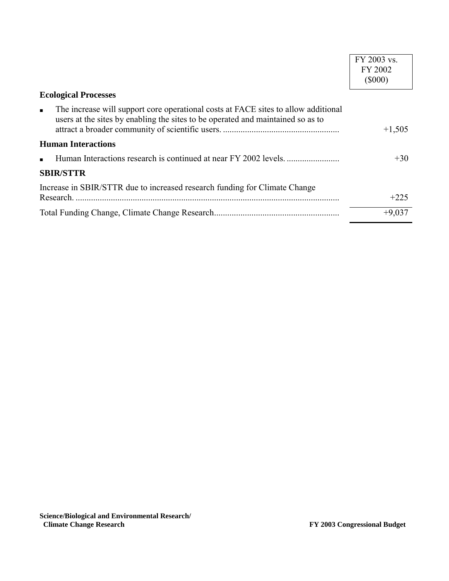|                                                                                                                                                                                         | FY 2003 vs.   |
|-----------------------------------------------------------------------------------------------------------------------------------------------------------------------------------------|---------------|
|                                                                                                                                                                                         | FY 2002       |
|                                                                                                                                                                                         | $($ \$000 $)$ |
| <b>Ecological Processes</b>                                                                                                                                                             |               |
| The increase will support core operational costs at FACE sites to allow additional<br>$\blacksquare$<br>users at the sites by enabling the sites to be operated and maintained so as to | $+1,505$      |
| <b>Human Interactions</b>                                                                                                                                                               |               |
| $\blacksquare$                                                                                                                                                                          | $+30$         |
| <b>SBIR/STTR</b>                                                                                                                                                                        |               |
| Increase in SBIR/STTR due to increased research funding for Climate Change                                                                                                              |               |
| Research.                                                                                                                                                                               | $+225$        |
|                                                                                                                                                                                         | $+9,037$      |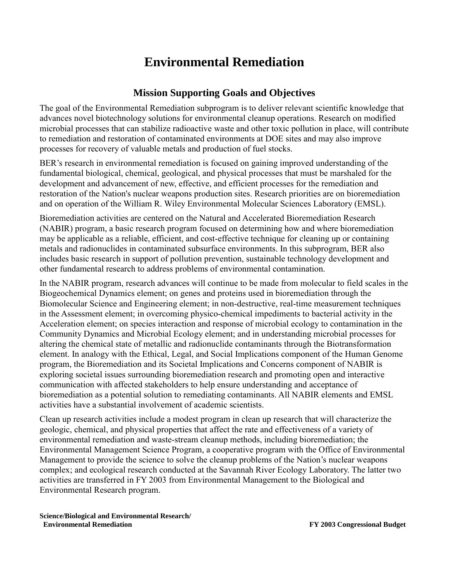# **Environmental Remediation**

### **Mission Supporting Goals and Objectives**

The goal of the Environmental Remediation subprogram is to deliver relevant scientific knowledge that advances novel biotechnology solutions for environmental cleanup operations. Research on modified microbial processes that can stabilize radioactive waste and other toxic pollution in place, will contribute to remediation and restoration of contaminated environments at DOE sites and may also improve processes for recovery of valuable metals and production of fuel stocks.

BER's research in environmental remediation is focused on gaining improved understanding of the fundamental biological, chemical, geological, and physical processes that must be marshaled for the development and advancement of new, effective, and efficient processes for the remediation and restoration of the Nation's nuclear weapons production sites. Research priorities are on bioremediation and on operation of the William R. Wiley Environmental Molecular Sciences Laboratory (EMSL).

Bioremediation activities are centered on the Natural and Accelerated Bioremediation Research (NABIR) program, a basic research program focused on determining how and where bioremediation may be applicable as a reliable, efficient, and cost-effective technique for cleaning up or containing metals and radionuclides in contaminated subsurface environments. In this subprogram, BER also includes basic research in support of pollution prevention, sustainable technology development and other fundamental research to address problems of environmental contamination.

In the NABIR program, research advances will continue to be made from molecular to field scales in the Biogeochemical Dynamics element; on genes and proteins used in bioremediation through the Biomolecular Science and Engineering element; in non-destructive, real-time measurement techniques in the Assessment element; in overcoming physico-chemical impediments to bacterial activity in the Acceleration element; on species interaction and response of microbial ecology to contamination in the Community Dynamics and Microbial Ecology element; and in understanding microbial processes for altering the chemical state of metallic and radionuclide contaminants through the Biotransformation element. In analogy with the Ethical, Legal, and Social Implications component of the Human Genome program, the Bioremediation and its Societal Implications and Concerns component of NABIR is exploring societal issues surrounding bioremediation research and promoting open and interactive communication with affected stakeholders to help ensure understanding and acceptance of bioremediation as a potential solution to remediating contaminants. All NABIR elements and EMSL activities have a substantial involvement of academic scientists.

Clean up research activities include a modest program in clean up research that will characterize the geologic, chemical, and physical properties that affect the rate and effectiveness of a variety of environmental remediation and waste-stream cleanup methods, including bioremediation; the Environmental Management Science Program, a cooperative program with the Office of Environmental Management to provide the science to solve the cleanup problems of the Nation's nuclear weapons complex; and ecological research conducted at the Savannah River Ecology Laboratory. The latter two activities are transferred in FY 2003 from Environmental Management to the Biological and Environmental Research program.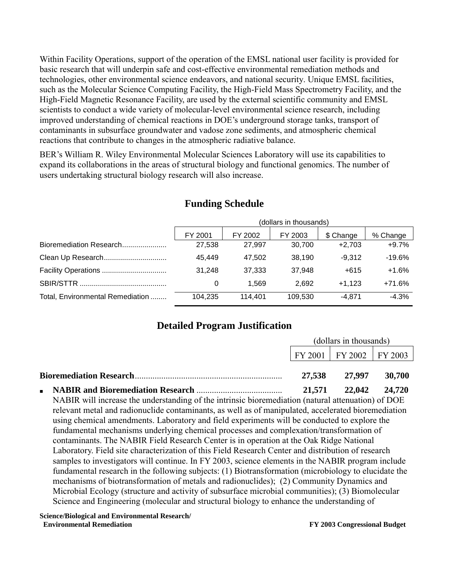Within Facility Operations, support of the operation of the EMSL national user facility is provided for basic research that will underpin safe and cost-effective environmental remediation methods and technologies, other environmental science endeavors, and national security. Unique EMSL facilities, such as the Molecular Science Computing Facility, the High-Field Mass Spectrometry Facility, and the High-Field Magnetic Resonance Facility, are used by the external scientific community and EMSL scientists to conduct a wide variety of molecular-level environmental science research, including improved understanding of chemical reactions in DOE's underground storage tanks, transport of contaminants in subsurface groundwater and vadose zone sediments, and atmospheric chemical reactions that contribute to changes in the atmospheric radiative balance.

BER's William R. Wiley Environmental Molecular Sciences Laboratory will use its capabilities to expand its collaborations in the areas of structural biology and functional genomics. The number of users undertaking structural biology research will also increase.

|                                  |         | (dollars in thousands) |         |           |          |  |  |
|----------------------------------|---------|------------------------|---------|-----------|----------|--|--|
|                                  | FY 2001 | FY 2002                | FY 2003 | \$ Change | % Change |  |  |
| Bioremediation Research          | 27.538  | 27.997                 | 30.700  | $+2.703$  | $+9.7%$  |  |  |
| Clean Up Research                | 45.449  | 47.502                 | 38,190  | $-9.312$  | -19.6%   |  |  |
| Facility Operations              | 31.248  | 37,333                 | 37,948  | $+615$    | $+1.6%$  |  |  |
|                                  |         | 1.569                  | 2.692   | $+1.123$  | +71.6%   |  |  |
| Total, Environmental Remediation | 104,235 | 114.401                | 109,530 | $-4.871$  | $-4.3%$  |  |  |

### **Funding Schedule**

## **Detailed Program Justification**

| (dollars in thousands) |                             |        |
|------------------------|-----------------------------|--------|
|                        | FY 2001   FY 2002   FY 2003 |        |
| 27.538                 | 27,997                      | 30.700 |
|                        | 21,571 22,042 24,720        |        |

NABIR will increase the understanding of the intrinsic bioremediation (natural attenuation) of DOE relevant metal and radionuclide contaminants, as well as of manipulated, accelerated bioremediation using chemical amendments. Laboratory and field experiments will be conducted to explore the fundamental mechanisms underlying chemical processes and complexation/transformation of contaminants. The NABIR Field Research Center is in operation at the Oak Ridge National Laboratory. Field site characterization of this Field Research Center and distribution of research samples to investigators will continue. In FY 2003, science elements in the NABIR program include fundamental research in the following subjects: (1) Biotransformation (microbiology to elucidate the mechanisms of biotransformation of metals and radionuclides); (2) Community Dynamics and Microbial Ecology (structure and activity of subsurface microbial communities); (3) Biomolecular Science and Engineering (molecular and structural biology to enhance the understanding of

**Science/Biological and Environmental Research/ Environmental Remediation FY 2003 Congressional Budget**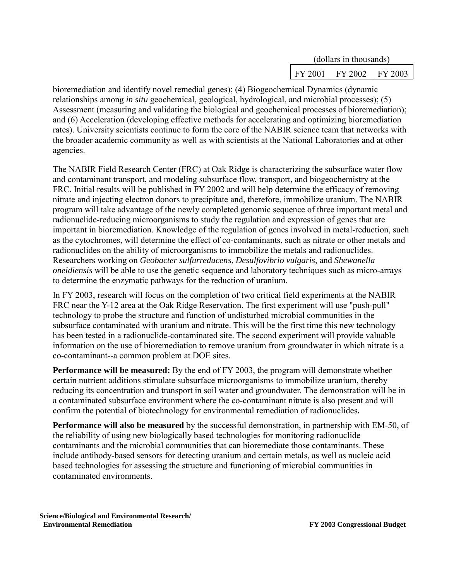| (dollars in thousands) |                               |  |
|------------------------|-------------------------------|--|
|                        | $FY 2001$   FY 2002   FY 2003 |  |

bioremediation and identify novel remedial genes); (4) Biogeochemical Dynamics (dynamic relationships among *in situ* geochemical, geological, hydrological, and microbial processes); (5) Assessment (measuring and validating the biological and geochemical processes of bioremediation); and (6) Acceleration (developing effective methods for accelerating and optimizing bioremediation rates). University scientists continue to form the core of the NABIR science team that networks with the broader academic community as well as with scientists at the National Laboratories and at other agencies.

The NABIR Field Research Center (FRC) at Oak Ridge is characterizing the subsurface water flow and contaminant transport, and modeling subsurface flow, transport, and biogeochemistry at the FRC. Initial results will be published in FY 2002 and will help determine the efficacy of removing nitrate and injecting electron donors to precipitate and, therefore, immobilize uranium. The NABIR program will take advantage of the newly completed genomic sequence of three important metal and radionuclide-reducing microorganisms to study the regulation and expression of genes that are important in bioremediation. Knowledge of the regulation of genes involved in metal-reduction, such as the cytochromes, will determine the effect of co-contaminants, such as nitrate or other metals and radionuclides on the ability of microorganisms to immobilize the metals and radionuclides. Researchers working on *Geobacter sulfurreducens*, *Desulfovibrio vulgaris,* and *Shewanella oneidiensis* will be able to use the genetic sequence and laboratory techniques such as micro-arrays to determine the enzymatic pathways for the reduction of uranium.

In FY 2003, research will focus on the completion of two critical field experiments at the NABIR FRC near the Y-12 area at the Oak Ridge Reservation. The first experiment will use "push-pull" technology to probe the structure and function of undisturbed microbial communities in the subsurface contaminated with uranium and nitrate. This will be the first time this new technology has been tested in a radionuclide-contaminated site. The second experiment will provide valuable information on the use of bioremediation to remove uranium from groundwater in which nitrate is a co-contaminant--a common problem at DOE sites.

**Performance will be measured:** By the end of FY 2003, the program will demonstrate whether certain nutrient additions stimulate subsurface microorganisms to immobilize uranium, thereby reducing its concentration and transport in soil water and groundwater. The demonstration will be in a contaminated subsurface environment where the co-contaminant nitrate is also present and will confirm the potential of biotechnology for environmental remediation of radionuclides**.** 

**Performance will also be measured** by the successful demonstration, in partnership with EM-50, of the reliability of using new biologically based technologies for monitoring radionuclide contaminants and the microbial communities that can bioremediate those contaminants. These include antibody-based sensors for detecting uranium and certain metals, as well as nucleic acid based technologies for assessing the structure and functioning of microbial communities in contaminated environments.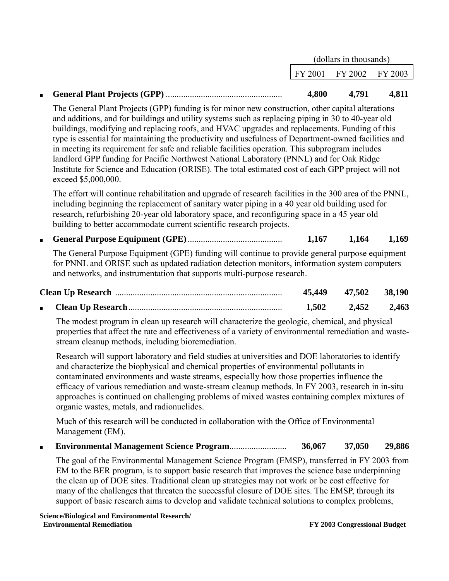|  | (dollars in thousands) |                                       |       |
|--|------------------------|---------------------------------------|-------|
|  |                        | $\text{FY } 2001$   FY 2002   FY 2003 |       |
|  |                        |                                       |       |
|  | 4,800                  | 4,791                                 | 4.811 |

The General Plant Projects (GPP) funding is for minor new construction, other capital alterations and additions, and for buildings and utility systems such as replacing piping in 30 to 40-year old buildings, modifying and replacing roofs, and HVAC upgrades and replacements. Funding of this type is essential for maintaining the productivity and usefulness of Department-owned facilities and in meeting its requirement for safe and reliable facilities operation. This subprogram includes landlord GPP funding for Pacific Northwest National Laboratory (PNNL) and for Oak Ridge Institute for Science and Education (ORISE). The total estimated cost of each GPP project will not exceed \$5,000,000.

The effort will continue rehabilitation and upgrade of research facilities in the 300 area of the PNNL, including beginning the replacement of sanitary water piping in a 40 year old building used for research, refurbishing 20-year old laboratory space, and reconfiguring space in a 45 year old building to better accommodate current scientific research projects.

■ **General Purpose Equipment (GPE)**........................................... **1,167 1,164 1,169**

The General Purpose Equipment (GPE) funding will continue to provide general purpose equipment for PNNL and ORISE such as updated radiation detection monitors, information system computers and networks, and instrumentation that supports multi-purpose research.

|  | 45,449 | 47,502 38,190 |       |
|--|--------|---------------|-------|
|  | 1.502  | 2.452         | 2,463 |

The modest program in clean up research will characterize the geologic, chemical, and physical properties that affect the rate and effectiveness of a variety of environmental remediation and wastestream cleanup methods, including bioremediation.

Research will support laboratory and field studies at universities and DOE laboratories to identify and characterize the biophysical and chemical properties of environmental pollutants in contaminated environments and waste streams, especially how those properties influence the efficacy of various remediation and waste-stream cleanup methods. In FY 2003, research in in-situ approaches is continued on challenging problems of mixed wastes containing complex mixtures of organic wastes, metals, and radionuclides.

Much of this research will be conducted in collaboration with the Office of Environmental Management (EM).

■ **Environmental Management Science Program**.......................... **36,067 37,050 29,886**

The goal of the Environmental Management Science Program (EMSP), transferred in FY 2003 from EM to the BER program, is to support basic research that improves the science base underpinning the clean up of DOE sites. Traditional clean up strategies may not work or be cost effective for many of the challenges that threaten the successful closure of DOE sites. The EMSP, through its support of basic research aims to develop and validate technical solutions to complex problems,

**Science/Biological and Environmental Research/ Environmental Remediation FY 2003 Congressional Budget**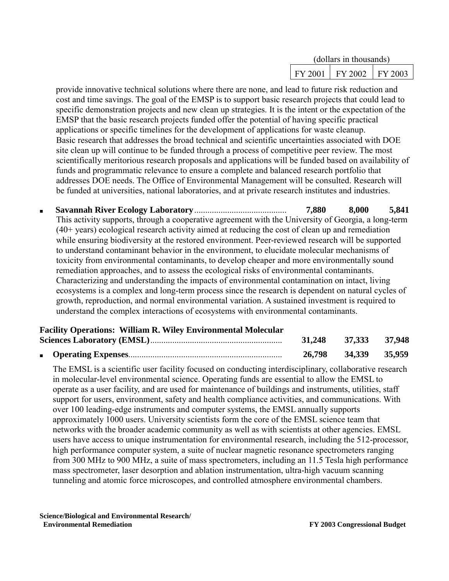| (dollars in thousands) |                                   |  |
|------------------------|-----------------------------------|--|
|                        | $FY 2001$   $FY 2002$   $FY 2003$ |  |

provide innovative technical solutions where there are none, and lead to future risk reduction and cost and time savings. The goal of the EMSP is to support basic research projects that could lead to specific demonstration projects and new clean up strategies. It is the intent or the expectation of the EMSP that the basic research projects funded offer the potential of having specific practical applications or specific timelines for the development of applications for waste cleanup. Basic research that addresses the broad technical and scientific uncertainties associated with DOE site clean up will continue to be funded through a process of competitive peer review. The most scientifically meritorious research proposals and applications will be funded based on availability of funds and programmatic relevance to ensure a complete and balanced research portfolio that addresses DOE needs. The Office of Environmental Management will be consulted. Research will be funded at universities, national laboratories, and at private research institutes and industries.

■ **Savannah River Ecology Laboratory**.......................................... **7,880 8,000 5,841** This activity supports, through a cooperative agreement with the University of Georgia, a long-term (40+ years) ecological research activity aimed at reducing the cost of clean up and remediation while ensuring biodiversity at the restored environment. Peer-reviewed research will be supported to understand contaminant behavior in the environment, to elucidate molecular mechanisms of toxicity from environmental contaminants, to develop cheaper and more environmentally sound remediation approaches, and to assess the ecological risks of environmental contaminants. Characterizing and understanding the impacts of environmental contamination on intact, living ecosystems is a complex and long-term process since the research is dependent on natural cycles of growth, reproduction, and normal environmental variation. A sustained investment is required to understand the complex interactions of ecosystems with environmental contaminants.

#### **Facility Operations: William R. Wiley Environmental Molecular Sciences Laboratory (EMSL)**............................................................ **31,248 37,333 37,948**

|  | 31,440 | 31,333 31,948        |  |
|--|--------|----------------------|--|
|  |        | 26,798 34,339 35,959 |  |

The EMSL is a scientific user facility focused on conducting interdisciplinary, collaborative research in molecular-level environmental science. Operating funds are essential to allow the EMSL to operate as a user facility, and are used for maintenance of buildings and instruments, utilities, staff support for users, environment, safety and health compliance activities, and communications. With over 100 leading-edge instruments and computer systems, the EMSL annually supports approximately 1000 users. University scientists form the core of the EMSL science team that networks with the broader academic community as well as with scientists at other agencies. EMSL users have access to unique instrumentation for environmental research, including the 512-processor, high performance computer system, a suite of nuclear magnetic resonance spectrometers ranging from 300 MHz to 900 MHz, a suite of mass spectrometers, including an 11.5 Tesla high performance mass spectrometer, laser desorption and ablation instrumentation, ultra-high vacuum scanning tunneling and atomic force microscopes, and controlled atmosphere environmental chambers.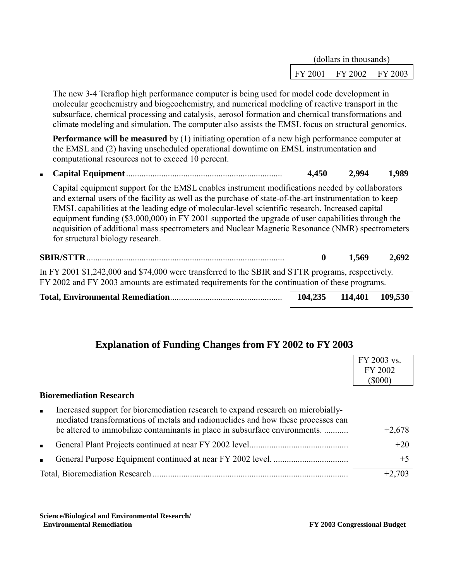| (dollars in thousands) |                               |  |
|------------------------|-------------------------------|--|
| FY 2001                | $\mid$ FY 2002 $\mid$ FY 2003 |  |

The new 3-4 Teraflop high performance computer is being used for model code development in molecular geochemistry and biogeochemistry, and numerical modeling of reactive transport in the subsurface, chemical processing and catalysis, aerosol formation and chemical transformations and climate modeling and simulation. The computer also assists the EMSL focus on structural genomics.

**Performance will be measured** by (1) initiating operation of a new high performance computer at the EMSL and (2) having unscheduled operational downtime on EMSL instrumentation and computational resources not to exceed 10 percent.

■ **Capital Equipment**....................................................................... **4,450 2,994 1,989**

Capital equipment support for the EMSL enables instrument modifications needed by collaborators and external users of the facility as well as the purchase of state-of-the-art instrumentation to keep EMSL capabilities at the leading edge of molecular-level scientific research. Increased capital equipment funding (\$3,000,000) in FY 2001 supported the upgrade of user capabilities through the acquisition of additional mass spectrometers and Nuclear Magnetic Resonance (NMR) spectrometers for structural biology research.

|                                                                                                                                                                                                     | - 1.569 -               | 2.692 |
|-----------------------------------------------------------------------------------------------------------------------------------------------------------------------------------------------------|-------------------------|-------|
| In FY 2001 \$1,242,000 and \$74,000 were transferred to the SBIR and STTR programs, respectively.<br>FY 2002 and FY 2003 amounts are estimated requirements for the continuation of these programs. |                         |       |
|                                                                                                                                                                                                     | 104,235 114,401 109,530 |       |

## **Explanation of Funding Changes from FY 2002 to FY 2003**

|                |                                                                                                                                                                      | FY 2003 vs. |
|----------------|----------------------------------------------------------------------------------------------------------------------------------------------------------------------|-------------|
|                |                                                                                                                                                                      | FY 2002     |
|                |                                                                                                                                                                      | $(\$000)$   |
|                | <b>Bioremediation Research</b>                                                                                                                                       |             |
| $\blacksquare$ | Increased support for bioremediation research to expand research on microbially-<br>mediated transformations of metals and radionuclides and how these processes can |             |
|                | be altered to immobilize contaminants in place in subsurface environments.                                                                                           | $+2,678$    |
| $\blacksquare$ |                                                                                                                                                                      | $+20$       |
| $\blacksquare$ |                                                                                                                                                                      | $+5$        |
|                |                                                                                                                                                                      | $+2,703$    |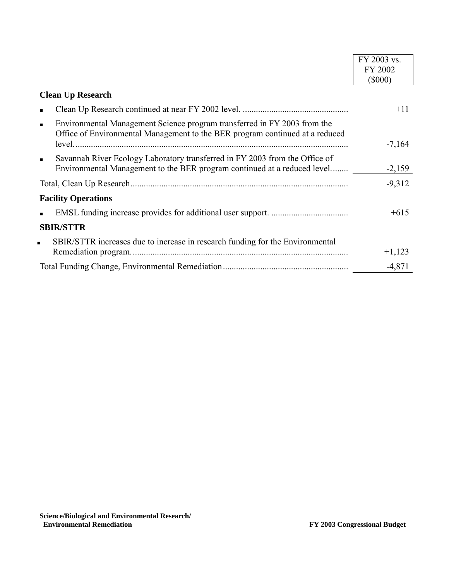|                                                                                                                                                                            | FY 2003 vs. |
|----------------------------------------------------------------------------------------------------------------------------------------------------------------------------|-------------|
|                                                                                                                                                                            | FY 2002     |
|                                                                                                                                                                            | $(\$000)$   |
| <b>Clean Up Research</b>                                                                                                                                                   |             |
| ٠                                                                                                                                                                          | $+11$       |
| Environmental Management Science program transferred in FY 2003 from the<br>$\blacksquare$<br>Office of Environmental Management to the BER program continued at a reduced |             |
|                                                                                                                                                                            | $-7,164$    |
| Savannah River Ecology Laboratory transferred in FY 2003 from the Office of<br>$\blacksquare$<br>Environmental Management to the BER program continued at a reduced level  | $-2,159$    |
|                                                                                                                                                                            | $-9,312$    |
| <b>Facility Operations</b>                                                                                                                                                 |             |
|                                                                                                                                                                            | $+615$      |
| <b>SBIR/STTR</b>                                                                                                                                                           |             |
| SBIR/STTR increases due to increase in research funding for the Environmental<br>π.                                                                                        |             |
|                                                                                                                                                                            | $+1,123$    |
|                                                                                                                                                                            | $-4,871$    |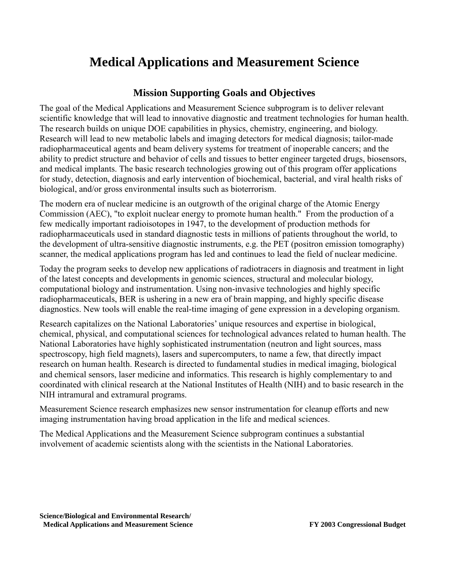# **Medical Applications and Measurement Science**

### **Mission Supporting Goals and Objectives**

The goal of the Medical Applications and Measurement Science subprogram is to deliver relevant scientific knowledge that will lead to innovative diagnostic and treatment technologies for human health. The research builds on unique DOE capabilities in physics, chemistry, engineering, and biology. Research will lead to new metabolic labels and imaging detectors for medical diagnosis; tailor-made radiopharmaceutical agents and beam delivery systems for treatment of inoperable cancers; and the ability to predict structure and behavior of cells and tissues to better engineer targeted drugs, biosensors, and medical implants. The basic research technologies growing out of this program offer applications for study, detection, diagnosis and early intervention of biochemical, bacterial, and viral health risks of biological, and/or gross environmental insults such as bioterrorism.

The modern era of nuclear medicine is an outgrowth of the original charge of the Atomic Energy Commission (AEC), "to exploit nuclear energy to promote human health." From the production of a few medically important radioisotopes in 1947, to the development of production methods for radiopharmaceuticals used in standard diagnostic tests in millions of patients throughout the world, to the development of ultra-sensitive diagnostic instruments, e.g. the PET (positron emission tomography) scanner, the medical applications program has led and continues to lead the field of nuclear medicine.

Today the program seeks to develop new applications of radiotracers in diagnosis and treatment in light of the latest concepts and developments in genomic sciences, structural and molecular biology, computational biology and instrumentation. Using non-invasive technologies and highly specific radiopharmaceuticals, BER is ushering in a new era of brain mapping, and highly specific disease diagnostics. New tools will enable the real-time imaging of gene expression in a developing organism.

Research capitalizes on the National Laboratories' unique resources and expertise in biological, chemical, physical, and computational sciences for technological advances related to human health. The National Laboratories have highly sophisticated instrumentation (neutron and light sources, mass spectroscopy, high field magnets), lasers and supercomputers, to name a few, that directly impact research on human health. Research is directed to fundamental studies in medical imaging, biological and chemical sensors, laser medicine and informatics. This research is highly complementary to and coordinated with clinical research at the National Institutes of Health (NIH) and to basic research in the NIH intramural and extramural programs.

Measurement Science research emphasizes new sensor instrumentation for cleanup efforts and new imaging instrumentation having broad application in the life and medical sciences.

The Medical Applications and the Measurement Science subprogram continues a substantial involvement of academic scientists along with the scientists in the National Laboratories.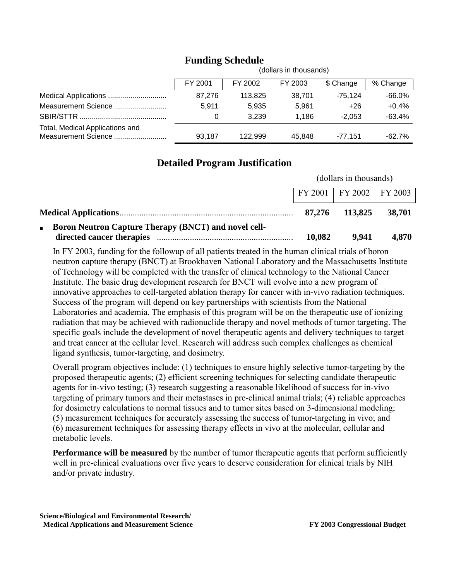|                                                        |         |         | (dollars in thousands) |           |           |
|--------------------------------------------------------|---------|---------|------------------------|-----------|-----------|
|                                                        | FY 2001 | FY 2002 | FY 2003                | \$ Change | % Change  |
|                                                        | 87,276  | 113.825 | 38.701                 | $-75.124$ | $-66.0\%$ |
| Measurement Science                                    | 5.911   | 5.935   | 5.961                  | $+26$     | $+0.4%$   |
|                                                        | 0       | 3.239   | 1.186                  | $-2.053$  | $-63.4%$  |
| Total, Medical Applications and<br>Measurement Science | 93.187  | 122.999 | 45.848                 | $-77.151$ | $-62.7\%$ |

## **Funding Schedule**

## **Detailed Program Justification**

|                                                                      | (dollars in thousands) |                             |        |
|----------------------------------------------------------------------|------------------------|-----------------------------|--------|
|                                                                      |                        | FY 2001   FY 2002   FY 2003 |        |
|                                                                      | 87,276                 | 113,825                     | 38,701 |
| <b>EXECUTE:</b> Boron Neutron Capture Therapy (BNCT) and novel cell- |                        |                             |        |
|                                                                      | 10,082                 | 9,941                       | 4,870  |

In FY 2003, funding for the followup of all patients treated in the human clinical trials of boron neutron capture therapy (BNCT) at Brookhaven National Laboratory and the Massachusetts Institute of Technology will be completed with the transfer of clinical technology to the National Cancer Institute. The basic drug development research for BNCT will evolve into a new program of innovative approaches to cell-targeted ablation therapy for cancer with in-vivo radiation techniques. Success of the program will depend on key partnerships with scientists from the National Laboratories and academia. The emphasis of this program will be on the therapeutic use of ionizing radiation that may be achieved with radionuclide therapy and novel methods of tumor targeting. The specific goals include the development of novel therapeutic agents and delivery techniques to target and treat cancer at the cellular level. Research will address such complex challenges as chemical ligand synthesis, tumor-targeting, and dosimetry.

Overall program objectives include: (1) techniques to ensure highly selective tumor-targeting by the proposed therapeutic agents; (2) efficient screening techniques for selecting candidate therapeutic agents for in-vivo testing; (3) research suggesting a reasonable likelihood of success for in-vivo targeting of primary tumors and their metastases in pre-clinical animal trials; (4) reliable approaches for dosimetry calculations to normal tissues and to tumor sites based on 3-dimensional modeling; (5) measurement techniques for accurately assessing the success of tumor-targeting in vivo; and (6) measurement techniques for assessing therapy effects in vivo at the molecular, cellular and metabolic levels.

**Performance will be measured** by the number of tumor therapeutic agents that perform sufficiently well in pre-clinical evaluations over five years to deserve consideration for clinical trials by NIH and/or private industry.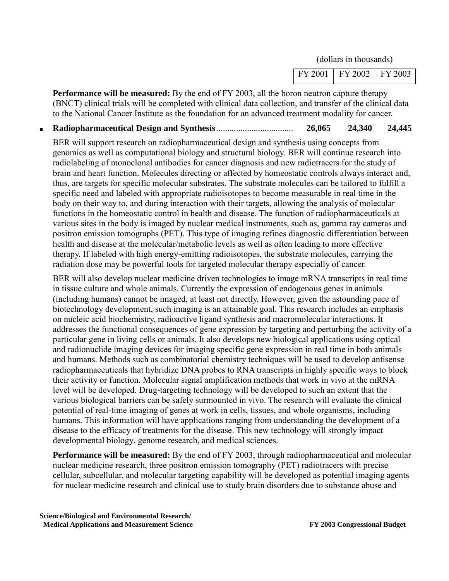| FY 2002<br>$FY$ 2001 | FY 2003 |  |
|----------------------|---------|--|
|----------------------|---------|--|

**Performance will be measured:** By the end of FY 2003, all the boron neutron capture therapy (BNCT) clinical trials will be completed with clinical data collection, and transfer of the clinical data to the National Cancer Institute as the foundation for an advanced treatment modality for cancer.

#### ■ **Radiopharmaceutical Design and Synthesis**................................... **26,065 24,340 24,445**

BER will support research on radiopharmaceutical design and synthesis using concepts from genomics as well as computational biology and structural biology. BER will continue research into radiolabeling of monoclonal antibodies for cancer diagnosis and new radiotracers for the study of brain and heart function. Molecules directing or affected by homeostatic controls always interact and, thus, are targets for specific molecular substrates. The substrate molecules can be tailored to fulfill a specific need and labeled with appropriate radioisotopes to become measurable in real time in the body on their way to, and during interaction with their targets, allowing the analysis of molecular functions in the homeostatic control in health and disease. The function of radiopharmaceuticals at various sites in the body is imaged by nuclear medical instruments, such as, gamma ray cameras and positron emission tomographs (PET). This type of imaging refines diagnostic differentiation between health and disease at the molecular/metabolic levels as well as often leading to more effective therapy. If labeled with high energy-emitting radioisotopes, the substrate molecules, carrying the radiation dose may be powerful tools for targeted molecular therapy especially of cancer.

BER will also develop nuclear medicine driven technologies to image mRNA transcripts in real time in tissue culture and whole animals. Currently the expression of endogenous genes in animals (including humans) cannot be imaged, at least not directly. However, given the astounding pace of biotechnology development, such imaging is an attainable goal. This research includes an emphasis on nucleic acid biochemistry, radioactive ligand synthesis and macromolecular interactions. It addresses the functional consequences of gene expression by targeting and perturbing the activity of a particular gene in living cells or animals. It also develops new biological applications using optical and radionuclide imaging devices for imaging specific gene expression in real time in both animals and humans. Methods such as combinatorial chemistry techniques will be used to develop antisense radiopharmaceuticals that hybridize DNA probes to RNA transcripts in highly specific ways to block their activity or function. Molecular signal amplification methods that work in vivo at the mRNA level will be developed. Drug-targeting technology will be developed to such an extent that the various biological barriers can be safely surmounted in vivo. The research will evaluate the clinical potential of real-time imaging of genes at work in cells, tissues, and whole organisms, including humans. This information will have applications ranging from understanding the development of a disease to the efficacy of treatments for the disease. This new technology will strongly impact developmental biology, genome research, and medical sciences.

**Performance will be measured:** By the end of FY 2003, through radiopharmaceutical and molecular nuclear medicine research, three positron emission tomography (PET) radiotracers with precise cellular, subcellular, and molecular targeting capability will be developed as potential imaging agents for nuclear medicine research and clinical use to study brain disorders due to substance abuse and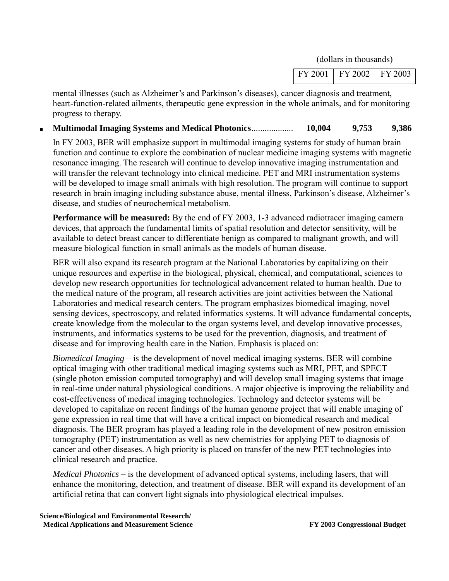| $FY$ 2001 | $\overline{Y}$ FY 2002<br>$\sim$ $\sim$ | <b>FY 2003</b> |
|-----------|-----------------------------------------|----------------|
|           |                                         |                |

mental illnesses (such as Alzheimer's and Parkinson's diseases), cancer diagnosis and treatment, heart-function-related ailments, therapeutic gene expression in the whole animals, and for monitoring progress to therapy.

#### ■ **Multimodal Imaging Systems and Medical Photonics**................... **10,004 9,753 9,386**

In FY 2003, BER will emphasize support in multimodal imaging systems for study of human brain function and continue to explore the combination of nuclear medicine imaging systems with magnetic resonance imaging. The research will continue to develop innovative imaging instrumentation and will transfer the relevant technology into clinical medicine. PET and MRI instrumentation systems will be developed to image small animals with high resolution. The program will continue to support research in brain imaging including substance abuse, mental illness, Parkinson's disease, Alzheimer's disease, and studies of neurochemical metabolism.

**Performance will be measured:** By the end of FY 2003, 1-3 advanced radiotracer imaging camera devices, that approach the fundamental limits of spatial resolution and detector sensitivity, will be available to detect breast cancer to differentiate benign as compared to malignant growth, and will measure biological function in small animals as the models of human disease.

BER will also expand its research program at the National Laboratories by capitalizing on their unique resources and expertise in the biological, physical, chemical, and computational, sciences to develop new research opportunities for technological advancement related to human health. Due to the medical nature of the program, all research activities are joint activities between the National Laboratories and medical research centers. The program emphasizes biomedical imaging, novel sensing devices, spectroscopy, and related informatics systems. It will advance fundamental concepts, create knowledge from the molecular to the organ systems level, and develop innovative processes, instruments, and informatics systems to be used for the prevention, diagnosis, and treatment of disease and for improving health care in the Nation. Emphasis is placed on:

*Biomedical Imaging* – is the development of novel medical imaging systems. BER will combine optical imaging with other traditional medical imaging systems such as MRI, PET, and SPECT (single photon emission computed tomography) and will develop small imaging systems that image in real-time under natural physiological conditions. A major objective is improving the reliability and cost-effectiveness of medical imaging technologies. Technology and detector systems will be developed to capitalize on recent findings of the human genome project that will enable imaging of gene expression in real time that will have a critical impact on biomedical research and medical diagnosis. The BER program has played a leading role in the development of new positron emission tomography (PET) instrumentation as well as new chemistries for applying PET to diagnosis of cancer and other diseases. A high priority is placed on transfer of the new PET technologies into clinical research and practice.

*Medical Photonics* – is the development of advanced optical systems, including lasers, that will enhance the monitoring, detection, and treatment of disease. BER will expand its development of an artificial retina that can convert light signals into physiological electrical impulses.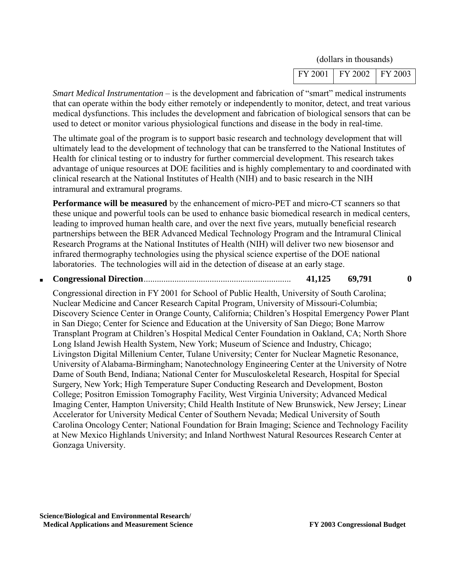| FY 2002<br>FY 2001 | FY 2003 |
|--------------------|---------|
|--------------------|---------|

*Smart Medical Instrumentation* – is the development and fabrication of "smart" medical instruments that can operate within the body either remotely or independently to monitor, detect, and treat various medical dysfunctions. This includes the development and fabrication of biological sensors that can be used to detect or monitor various physiological functions and disease in the body in real-time.

The ultimate goal of the program is to support basic research and technology development that will ultimately lead to the development of technology that can be transferred to the National Institutes of Health for clinical testing or to industry for further commercial development. This research takes advantage of unique resources at DOE facilities and is highly complementary to and coordinated with clinical research at the National Institutes of Health (NIH) and to basic research in the NIH intramural and extramural programs.

**Performance will be measured** by the enhancement of micro-PET and micro-CT scanners so that these unique and powerful tools can be used to enhance basic biomedical research in medical centers, leading to improved human health care, and over the next five years, mutually beneficial research partnerships between the BER Advanced Medical Technology Program and the Intramural Clinical Research Programs at the National Institutes of Health (NIH) will deliver two new biosensor and infrared thermography technologies using the physical science expertise of the DOE national laboratories. The technologies will aid in the detection of disease at an early stage.

#### ■ **Congressional Direction**................................................................... **41,125 69,791 0**

Congressional direction in FY 2001 for School of Public Health, University of South Carolina; Nuclear Medicine and Cancer Research Capital Program, University of Missouri-Columbia; Discovery Science Center in Orange County, California; Children's Hospital Emergency Power Plant in San Diego; Center for Science and Education at the University of San Diego; Bone Marrow Transplant Program at Children's Hospital Medical Center Foundation in Oakland, CA; North Shore Long Island Jewish Health System, New York; Museum of Science and Industry, Chicago; Livingston Digital Millenium Center, Tulane University; Center for Nuclear Magnetic Resonance, University of Alabama-Birmingham; Nanotechnology Engineering Center at the University of Notre Dame of South Bend, Indiana; National Center for Musculoskeletal Research, Hospital for Special Surgery, New York; High Temperature Super Conducting Research and Development, Boston College; Positron Emission Tomography Facility, West Virginia University; Advanced Medical Imaging Center, Hampton University; Child Health Institute of New Brunswick, New Jersey; Linear Accelerator for University Medical Center of Southern Nevada; Medical University of South Carolina Oncology Center; National Foundation for Brain Imaging; Science and Technology Facility at New Mexico Highlands University; and Inland Northwest Natural Resources Research Center at Gonzaga University.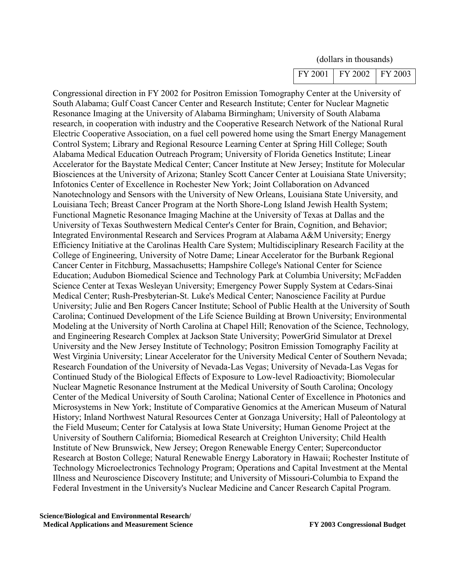Congressional direction in FY 2002 for Positron Emission Tomography Center at the University of South Alabama; Gulf Coast Cancer Center and Research Institute; Center for Nuclear Magnetic Resonance Imaging at the University of Alabama Birmingham; University of South Alabama research, in cooperation with industry and the Cooperative Research Network of the National Rural Electric Cooperative Association, on a fuel cell powered home using the Smart Energy Management Control System; Library and Regional Resource Learning Center at Spring Hill College; South Alabama Medical Education Outreach Program; University of Florida Genetics Institute; Linear Accelerator for the Baystate Medical Center; Cancer Institute at New Jersey; Institute for Molecular Biosciences at the University of Arizona; Stanley Scott Cancer Center at Louisiana State University; Infotonics Center of Excellence in Rochester New York; Joint Collaboration on Advanced Nanotechnology and Sensors with the University of New Orleans, Louisiana State University, and Louisiana Tech; Breast Cancer Program at the North Shore-Long Island Jewish Health System; Functional Magnetic Resonance Imaging Machine at the University of Texas at Dallas and the University of Texas Southwestern Medical Center's Center for Brain, Cognition, and Behavior; Integrated Environmental Research and Services Program at Alabama A&M University; Energy Efficiency Initiative at the Carolinas Health Care System; Multidisciplinary Research Facility at the College of Engineering, University of Notre Dame; Linear Accelerator for the Burbank Regional Cancer Center in Fitchburg, Massachusetts; Hampshire College's National Center for Science Education; Audubon Biomedical Science and Technology Park at Columbia University; McFadden Science Center at Texas Wesleyan University; Emergency Power Supply System at Cedars-Sinai Medical Center; Rush-Presbyterian-St. Luke's Medical Center; Nanoscience Facility at Purdue University; Julie and Ben Rogers Cancer Institute; School of Public Health at the University of South Carolina; Continued Development of the Life Science Building at Brown University; Environmental Modeling at the University of North Carolina at Chapel Hill; Renovation of the Science, Technology, and Engineering Research Complex at Jackson State University; PowerGrid Simulator at Drexel University and the New Jersey Institute of Technology; Positron Emission Tomography Facility at West Virginia University; Linear Accelerator for the University Medical Center of Southern Nevada; Research Foundation of the University of Nevada-Las Vegas; University of Nevada-Las Vegas for Continued Study of the Biological Effects of Exposure to Low-level Radioactivity; Biomolecular Nuclear Magnetic Resonance Instrument at the Medical University of South Carolina; Oncology Center of the Medical University of South Carolina; National Center of Excellence in Photonics and Microsystems in New York; Institute of Comparative Genomics at the American Museum of Natural History; Inland Northwest Natural Resources Center at Gonzaga University; Hall of Paleontology at the Field Museum; Center for Catalysis at Iowa State University; Human Genome Project at the University of Southern California; Biomedical Research at Creighton University; Child Health Institute of New Brunswick, New Jersey; Oregon Renewable Energy Center; Superconductor Research at Boston College; Natural Renewable Energy Laboratory in Hawaii; Rochester Institute of Technology Microelectronics Technology Program; Operations and Capital Investment at the Mental Illness and Neuroscience Discovery Institute; and University of Missouri-Columbia to Expand the Federal Investment in the University's Nuclear Medicine and Cancer Research Capital Program.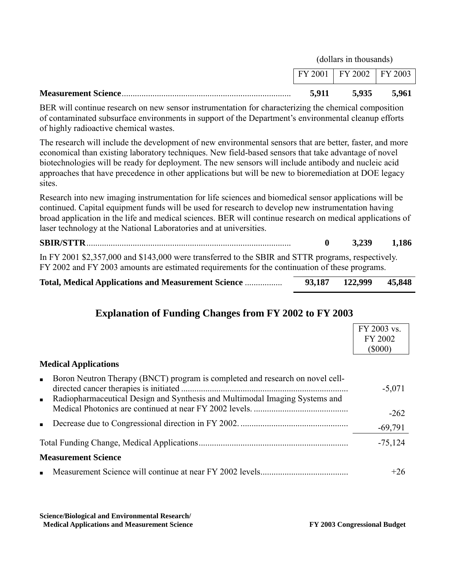| <b>Measurement Science</b> | 5.911 | 5.935                             | 5.961 |  |
|----------------------------|-------|-----------------------------------|-------|--|
|                            |       | $FY 2001$   $FY 2002$   $FY 2003$ |       |  |
|                            |       | (dollars in thousands)            |       |  |

BER will continue research on new sensor instrumentation for characterizing the chemical composition of contaminated subsurface environments in support of the Department's environmental cleanup efforts of highly radioactive chemical wastes.

The research will include the development of new environmental sensors that are better, faster, and more economical than existing laboratory techniques. New field-based sensors that take advantage of novel biotechnologies will be ready for deployment. The new sensors will include antibody and nucleic acid approaches that have precedence in other applications but will be new to bioremediation at DOE legacy sites.

Research into new imaging instrumentation for life sciences and biomedical sensor applications will be continued. Capital equipment funds will be used for research to develop new instrumentation having broad application in the life and medical sciences. BER will continue research on medical applications of laser technology at the National Laboratories and at universities.

|                                                                                                                                                                                                      | 3.239 | 1,186 |
|------------------------------------------------------------------------------------------------------------------------------------------------------------------------------------------------------|-------|-------|
| In FY 2001 \$2,357,000 and \$143,000 were transferred to the SBIR and STTR programs, respectively.<br>FY 2002 and FY 2003 amounts are estimated requirements for the continuation of these programs. |       |       |

| <b>Total, Medical Applications and Measurement Science </b> |  | 93,187 122,999 | 45,848 |
|-------------------------------------------------------------|--|----------------|--------|
|-------------------------------------------------------------|--|----------------|--------|

## **Explanation of Funding Changes from FY 2002 to FY 2003**

|                                                                                                                                                                                  | FY 2003 vs.<br>FY 2002<br>$($ \$000) |
|----------------------------------------------------------------------------------------------------------------------------------------------------------------------------------|--------------------------------------|
| <b>Medical Applications</b>                                                                                                                                                      |                                      |
| Boron Neutron Therapy (BNCT) program is completed and research on novel cell-<br>$\blacksquare$<br>• Radiopharmaceutical Design and Synthesis and Multimodal Imaging Systems and | $-5,071$                             |
|                                                                                                                                                                                  | $-262$                               |
| $\blacksquare$                                                                                                                                                                   | $-69,791$                            |
|                                                                                                                                                                                  | $-75,124$                            |
| <b>Measurement Science</b>                                                                                                                                                       |                                      |
|                                                                                                                                                                                  | $+26$                                |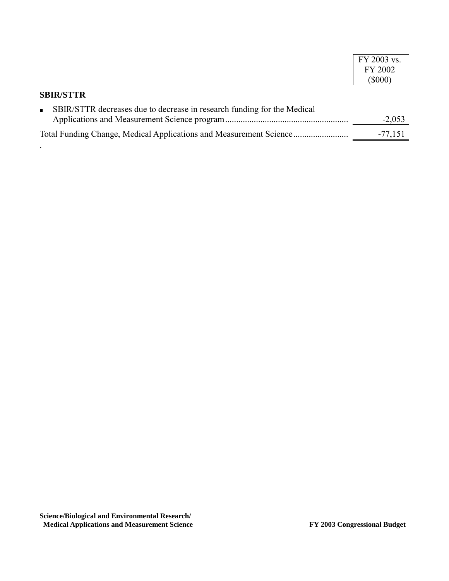|                                                                         | FY 2003 vs. |
|-------------------------------------------------------------------------|-------------|
|                                                                         | FY 2002     |
|                                                                         | $(\$000)$   |
| <b>SBIR/STTR</b>                                                        |             |
| SBIR/STTR decreases due to decrease in research funding for the Medical |             |
|                                                                         | $-2,053$    |
|                                                                         | $-77,151$   |

.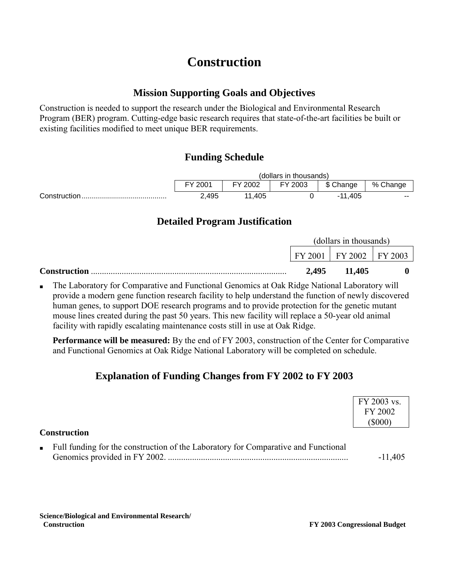# **Construction**

### **Mission Supporting Goals and Objectives**

Construction is needed to support the research under the Biological and Environmental Research Program (BER) program. Cutting-edge basic research requires that state-of-the-art facilities be built or existing facilities modified to meet unique BER requirements.

## **Funding Schedule**

| (dollars in thousands) |         |         |            |          |  |  |
|------------------------|---------|---------|------------|----------|--|--|
| FY 2001                | FY 2002 | FY 2003 | \$ Change  | % Change |  |  |
| 2,495                  | ,405    |         | ,405<br>44 | $- -$    |  |  |

## **Detailed Program Justification**

|                     | (dollars in thousands) |                               |  |
|---------------------|------------------------|-------------------------------|--|
|                     |                        | $FY 2001$   FY 2002   FY 2003 |  |
| <b>Construction</b> | 2,495                  | 11,405                        |  |

The Laboratory for Comparative and Functional Genomics at Oak Ridge National Laboratory will provide a modern gene function research facility to help understand the function of newly discovered human genes, to support DOE research programs and to provide protection for the genetic mutant mouse lines created during the past 50 years. This new facility will replace a 50-year old animal facility with rapidly escalating maintenance costs still in use at Oak Ridge.

**Performance will be measured:** By the end of FY 2003, construction of the Center for Comparative and Functional Genomics at Oak Ridge National Laboratory will be completed on schedule.

## **Explanation of Funding Changes from FY 2002 to FY 2003**

| <b>Construction</b>                                                                  | FY 2003 vs.<br>FY 2002<br>$($ \$000 $)$ |
|--------------------------------------------------------------------------------------|-----------------------------------------|
| • Full funding for the construction of the Laboratory for Comparative and Functional | $-11,405$                               |